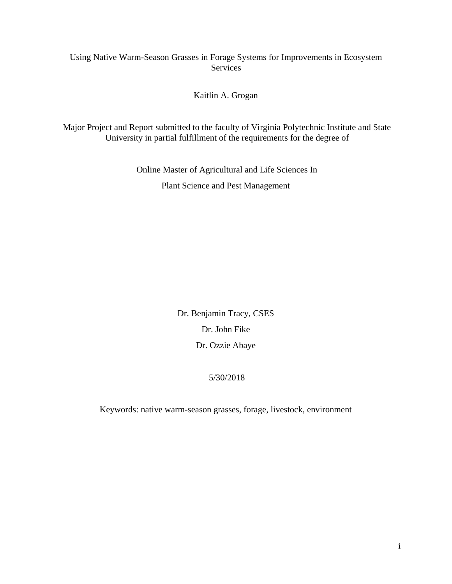# Using Native Warm-Season Grasses in Forage Systems for Improvements in Ecosystem Services

Kaitlin A. Grogan

Major Project and Report submitted to the faculty of Virginia Polytechnic Institute and State University in partial fulfillment of the requirements for the degree of

> Online Master of Agricultural and Life Sciences In Plant Science and Pest Management

> > Dr. Benjamin Tracy, CSES Dr. John Fike Dr. Ozzie Abaye

# 5/30/2018

Keywords: native warm-season grasses, forage, livestock, environment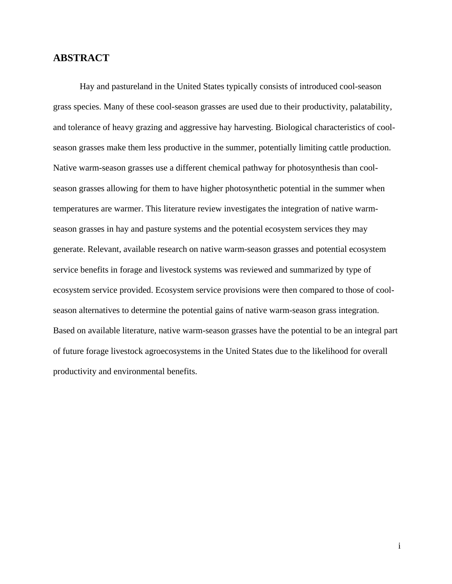# <span id="page-1-0"></span>**ABSTRACT**

Hay and pastureland in the United States typically consists of introduced cool-season grass species. Many of these cool-season grasses are used due to their productivity, palatability, and tolerance of heavy grazing and aggressive hay harvesting. Biological characteristics of coolseason grasses make them less productive in the summer, potentially limiting cattle production. Native warm-season grasses use a different chemical pathway for photosynthesis than coolseason grasses allowing for them to have higher photosynthetic potential in the summer when temperatures are warmer. This literature review investigates the integration of native warmseason grasses in hay and pasture systems and the potential ecosystem services they may generate. Relevant, available research on native warm-season grasses and potential ecosystem service benefits in forage and livestock systems was reviewed and summarized by type of ecosystem service provided. Ecosystem service provisions were then compared to those of coolseason alternatives to determine the potential gains of native warm-season grass integration. Based on available literature, native warm-season grasses have the potential to be an integral part of future forage livestock agroecosystems in the United States due to the likelihood for overall productivity and environmental benefits.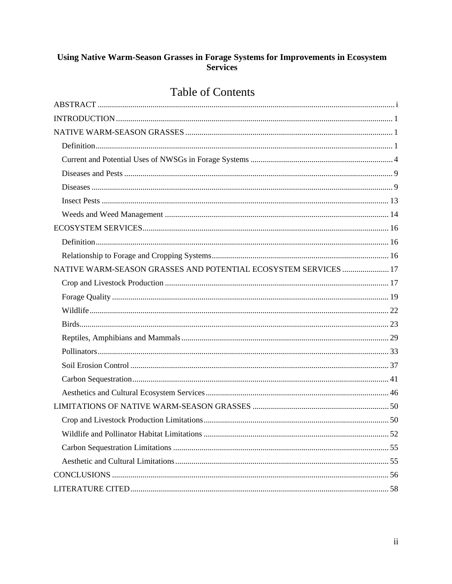# Using Native Warm-Season Grasses in Forage Systems for Improvements in Ecosystem<br>Services

# **Table of Contents**

| NATIVE WARM-SEASON GRASSES AND POTENTIAL ECOSYSTEM SERVICES  17 |  |
|-----------------------------------------------------------------|--|
|                                                                 |  |
|                                                                 |  |
|                                                                 |  |
|                                                                 |  |
|                                                                 |  |
|                                                                 |  |
|                                                                 |  |
|                                                                 |  |
|                                                                 |  |
|                                                                 |  |
|                                                                 |  |
|                                                                 |  |
|                                                                 |  |
|                                                                 |  |
|                                                                 |  |
|                                                                 |  |
|                                                                 |  |
|                                                                 |  |
|                                                                 |  |
|                                                                 |  |
|                                                                 |  |
|                                                                 |  |
|                                                                 |  |
|                                                                 |  |
|                                                                 |  |
|                                                                 |  |
|                                                                 |  |
|                                                                 |  |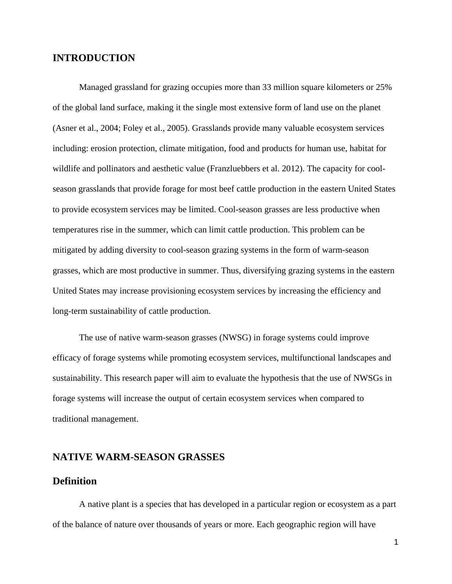# <span id="page-3-0"></span>**INTRODUCTION**

Managed grassland for grazing occupies more than 33 million square kilometers or 25% of the global land surface, making it the single most extensive form of land use on the planet (Asner et al., 2004; Foley et al., 2005). Grasslands provide many valuable ecosystem services including: erosion protection, climate mitigation, food and products for human use, habitat for wildlife and pollinators and aesthetic value (Franzluebbers et al. 2012). The capacity for coolseason grasslands that provide forage for most beef cattle production in the eastern United States to provide ecosystem services may be limited. Cool-season grasses are less productive when temperatures rise in the summer, which can limit cattle production. This problem can be mitigated by adding diversity to cool-season grazing systems in the form of warm-season grasses, which are most productive in summer. Thus, diversifying grazing systems in the eastern United States may increase provisioning ecosystem services by increasing the efficiency and long-term sustainability of cattle production.

The use of native warm-season grasses (NWSG) in forage systems could improve efficacy of forage systems while promoting ecosystem services, multifunctional landscapes and sustainability. This research paper will aim to evaluate the hypothesis that the use of NWSGs in forage systems will increase the output of certain ecosystem services when compared to traditional management.

# <span id="page-3-1"></span>**NATIVE WARM-SEASON GRASSES**

## <span id="page-3-2"></span>**Definition**

A native plant is a species that has developed in a particular region or ecosystem as a part of the balance of nature over thousands of years or more. Each geographic region will have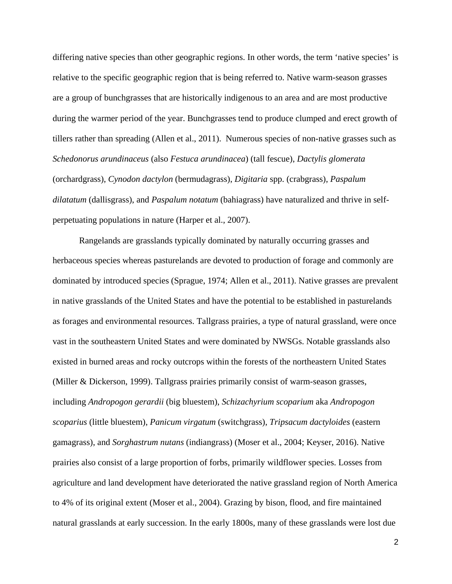differing native species than other geographic regions. In other words, the term 'native species' is relative to the specific geographic region that is being referred to. Native warm-season grasses are a group of bunchgrasses that are historically indigenous to an area and are most productive during the warmer period of the year. Bunchgrasses tend to produce clumped and erect growth of tillers rather than spreading (Allen et al., 2011). Numerous species of non-native grasses such as *Schedonorus arundinaceus* (also *Festuca arundinacea*) (tall fescue), *Dactylis glomerata* (orchardgrass), *Cynodon dactylon* (bermudagrass), *Digitaria* spp. (crabgrass), *Paspalum dilatatum* (dallisgrass), and *Paspalum notatum* (bahiagrass) have naturalized and thrive in selfperpetuating populations in nature (Harper et al., 2007).

Rangelands are grasslands typically dominated by naturally occurring grasses and herbaceous species whereas pasturelands are devoted to production of forage and commonly are dominated by introduced species (Sprague, 1974; Allen et al., 2011). Native grasses are prevalent in native grasslands of the United States and have the potential to be established in pasturelands as forages and environmental resources. Tallgrass prairies, a type of natural grassland, were once vast in the southeastern United States and were dominated by NWSGs. Notable grasslands also existed in burned areas and rocky outcrops within the forests of the northeastern United States (Miller & Dickerson, 1999). Tallgrass prairies primarily consist of warm-season grasses, including *Andropogon gerardii* (big bluestem), *Schizachyrium scoparium* aka *Andropogon scoparius* (little bluestem), *Panicum virgatum* (switchgrass), *Tripsacum dactyloides* (eastern gamagrass), and *Sorghastrum nutans* (indiangrass) (Moser et al., 2004; Keyser, 2016). Native prairies also consist of a large proportion of forbs, primarily wildflower species. Losses from agriculture and land development have deteriorated the native grassland region of North America to 4% of its original extent (Moser et al., 2004). Grazing by bison, flood, and fire maintained natural grasslands at early succession. In the early 1800s, many of these grasslands were lost due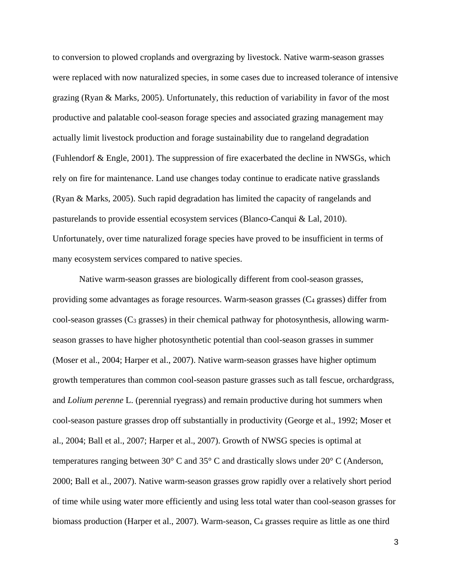to conversion to plowed croplands and overgrazing by livestock. Native warm-season grasses were replaced with now naturalized species, in some cases due to increased tolerance of intensive grazing (Ryan & Marks, 2005). Unfortunately, this reduction of variability in favor of the most productive and palatable cool-season forage species and associated grazing management may actually limit livestock production and forage sustainability due to rangeland degradation (Fuhlendorf & Engle, 2001). The suppression of fire exacerbated the decline in NWSGs, which rely on fire for maintenance. Land use changes today continue to eradicate native grasslands (Ryan & Marks, 2005). Such rapid degradation has limited the capacity of rangelands and pasturelands to provide essential ecosystem services (Blanco-Canqui & Lal, 2010). Unfortunately, over time naturalized forage species have proved to be insufficient in terms of many ecosystem services compared to native species.

Native warm-season grasses are biologically different from cool-season grasses, providing some advantages as forage resources. Warm-season grasses (C4 grasses) differ from  $\text{cool-season grasses (C3 grasses)}$  in their chemical pathway for photosynthesis, allowing warmseason grasses to have higher photosynthetic potential than cool-season grasses in summer (Moser et al., 2004; Harper et al., 2007). Native warm-season grasses have higher optimum growth temperatures than common cool-season pasture grasses such as tall fescue, orchardgrass, and *Lolium perenne* L. (perennial ryegrass) and remain productive during hot summers when cool-season pasture grasses drop off substantially in productivity (George et al., 1992; Moser et al., 2004; Ball et al., 2007; Harper et al., 2007). Growth of NWSG species is optimal at temperatures ranging between 30° C and 35° C and drastically slows under 20° C (Anderson, 2000; Ball et al., 2007). Native warm-season grasses grow rapidly over a relatively short period of time while using water more efficiently and using less total water than cool-season grasses for biomass production (Harper et al., 2007). Warm-season, C4 grasses require as little as one third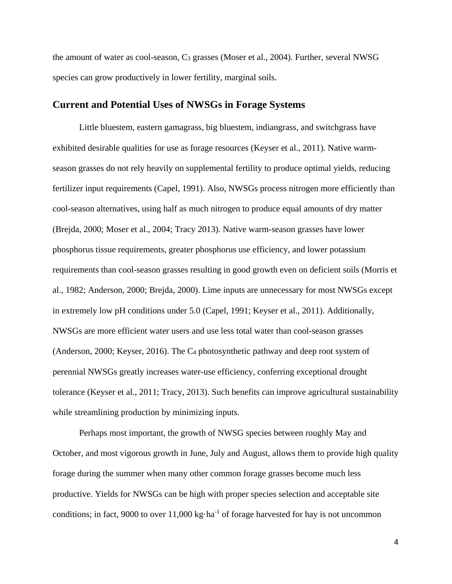the amount of water as cool-season,  $C_3$  grasses (Moser et al., 2004). Further, several NWSG species can grow productively in lower fertility, marginal soils.

#### <span id="page-6-0"></span>**Current and Potential Uses of NWSGs in Forage Systems**

Little bluestem, eastern gamagrass, big bluestem, indiangrass, and switchgrass have exhibited desirable qualities for use as forage resources (Keyser et al., 2011). Native warmseason grasses do not rely heavily on supplemental fertility to produce optimal yields, reducing fertilizer input requirements (Capel, 1991). Also, NWSGs process nitrogen more efficiently than cool-season alternatives, using half as much nitrogen to produce equal amounts of dry matter (Brejda, 2000; Moser et al., 2004; Tracy 2013). Native warm-season grasses have lower phosphorus tissue requirements, greater phosphorus use efficiency, and lower potassium requirements than cool-season grasses resulting in good growth even on deficient soils (Morris et al., 1982; Anderson, 2000; Brejda, 2000). Lime inputs are unnecessary for most NWSGs except in extremely low pH conditions under 5.0 (Capel, 1991; Keyser et al., 2011). Additionally, NWSGs are more efficient water users and use less total water than cool-season grasses (Anderson, 2000; Keyser, 2016). The C4 photosynthetic pathway and deep root system of perennial NWSGs greatly increases water-use efficiency, conferring exceptional drought tolerance (Keyser et al., 2011; Tracy, 2013). Such benefits can improve agricultural sustainability while streamlining production by minimizing inputs.

Perhaps most important, the growth of NWSG species between roughly May and October, and most vigorous growth in June, July and August, allows them to provide high quality forage during the summer when many other common forage grasses become much less productive. Yields for NWSGs can be high with proper species selection and acceptable site conditions; in fact, 9000 to over  $11,000 \text{ kg} \cdot \text{ha}^{-1}$  of forage harvested for hay is not uncommon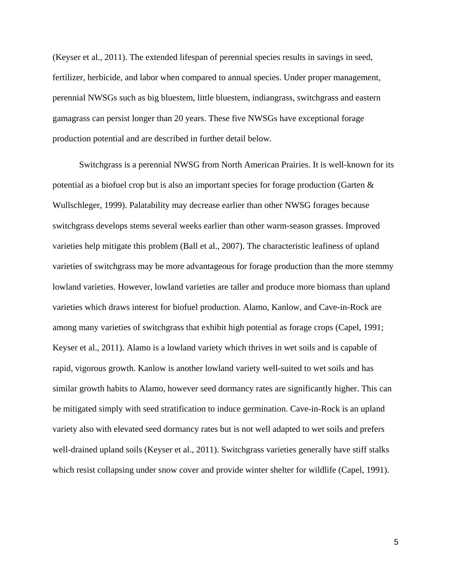(Keyser et al., 2011). The extended lifespan of perennial species results in savings in seed, fertilizer, herbicide, and labor when compared to annual species. Under proper management, perennial NWSGs such as big bluestem, little bluestem, indiangrass, switchgrass and eastern gamagrass can persist longer than 20 years. These five NWSGs have exceptional forage production potential and are described in further detail below.

Switchgrass is a perennial NWSG from North American Prairies. It is well-known for its potential as a biofuel crop but is also an important species for forage production (Garten & Wullschleger, 1999). Palatability may decrease earlier than other NWSG forages because switchgrass develops stems several weeks earlier than other warm-season grasses. Improved varieties help mitigate this problem (Ball et al., 2007). The characteristic leafiness of upland varieties of switchgrass may be more advantageous for forage production than the more stemmy lowland varieties. However, lowland varieties are taller and produce more biomass than upland varieties which draws interest for biofuel production. Alamo, Kanlow, and Cave-in-Rock are among many varieties of switchgrass that exhibit high potential as forage crops (Capel, 1991; Keyser et al., 2011). Alamo is a lowland variety which thrives in wet soils and is capable of rapid, vigorous growth. Kanlow is another lowland variety well-suited to wet soils and has similar growth habits to Alamo, however seed dormancy rates are significantly higher. This can be mitigated simply with seed stratification to induce germination. Cave-in-Rock is an upland variety also with elevated seed dormancy rates but is not well adapted to wet soils and prefers well-drained upland soils (Keyser et al., 2011). Switchgrass varieties generally have stiff stalks which resist collapsing under snow cover and provide winter shelter for wildlife (Capel, 1991).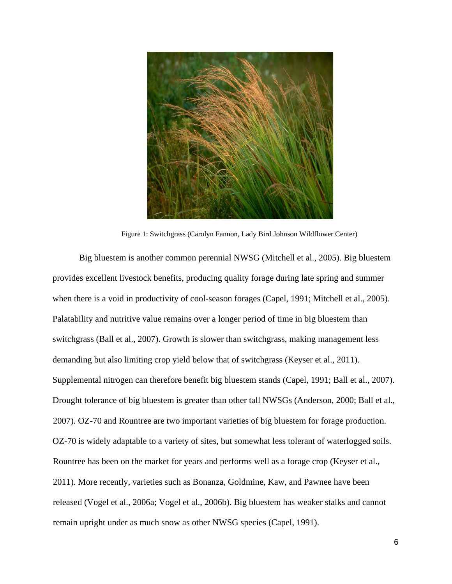

Figure 1: Switchgrass (Carolyn Fannon, Lady Bird Johnson Wildflower Center)

Big bluestem is another common perennial NWSG (Mitchell et al., 2005). Big bluestem provides excellent livestock benefits, producing quality forage during late spring and summer when there is a void in productivity of cool-season forages (Capel, 1991; Mitchell et al., 2005). Palatability and nutritive value remains over a longer period of time in big bluestem than switchgrass (Ball et al., 2007). Growth is slower than switchgrass, making management less demanding but also limiting crop yield below that of switchgrass (Keyser et al., 2011). Supplemental nitrogen can therefore benefit big bluestem stands (Capel, 1991; Ball et al., 2007). Drought tolerance of big bluestem is greater than other tall NWSGs (Anderson, 2000; Ball et al., 2007). OZ-70 and Rountree are two important varieties of big bluestem for forage production. OZ-70 is widely adaptable to a variety of sites, but somewhat less tolerant of waterlogged soils. Rountree has been on the market for years and performs well as a forage crop (Keyser et al., 2011). More recently, varieties such as Bonanza, Goldmine, Kaw, and Pawnee have been released (Vogel et al., 2006a; Vogel et al., 2006b). Big bluestem has weaker stalks and cannot remain upright under as much snow as other NWSG species (Capel, 1991).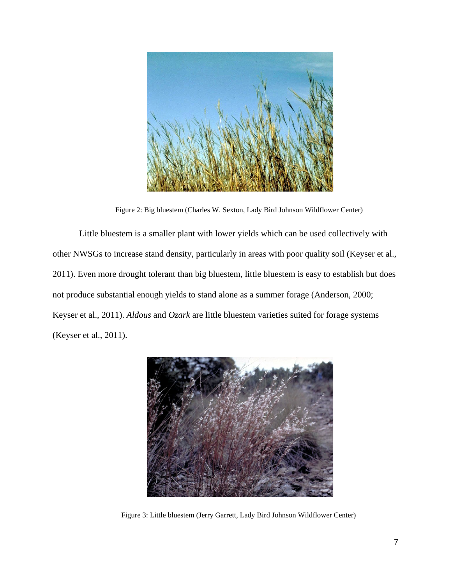

Figure 2: Big bluestem (Charles W. Sexton, Lady Bird Johnson Wildflower Center)

Little bluestem is a smaller plant with lower yields which can be used collectively with other NWSGs to increase stand density, particularly in areas with poor quality soil (Keyser et al., 2011). Even more drought tolerant than big bluestem, little bluestem is easy to establish but does not produce substantial enough yields to stand alone as a summer forage (Anderson, 2000; Keyser et al., 2011). *Aldous* and *Ozark* are little bluestem varieties suited for forage systems (Keyser et al., 2011).



Figure 3: Little bluestem (Jerry Garrett, Lady Bird Johnson Wildflower Center)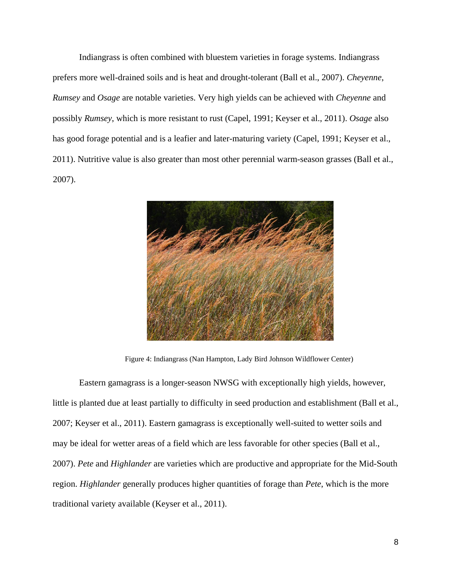Indiangrass is often combined with bluestem varieties in forage systems. Indiangrass prefers more well-drained soils and is heat and drought-tolerant (Ball et al., 2007). *Cheyenne*, *Rumsey* and *Osage* are notable varieties. Very high yields can be achieved with *Cheyenne* and possibly *Rumsey*, which is more resistant to rust (Capel, 1991; Keyser et al., 2011). *Osage* also has good forage potential and is a leafier and later-maturing variety (Capel, 1991; Keyser et al., 2011). Nutritive value is also greater than most other perennial warm-season grasses (Ball et al., 2007).



Figure 4: Indiangrass (Nan Hampton, Lady Bird Johnson Wildflower Center)

Eastern gamagrass is a longer-season NWSG with exceptionally high yields, however, little is planted due at least partially to difficulty in seed production and establishment (Ball et al., 2007; Keyser et al., 2011). Eastern gamagrass is exceptionally well-suited to wetter soils and may be ideal for wetter areas of a field which are less favorable for other species (Ball et al., 2007). *Pete* and *Highlander* are varieties which are productive and appropriate for the Mid-South region. *Highlander* generally produces higher quantities of forage than *Pete*, which is the more traditional variety available (Keyser et al., 2011).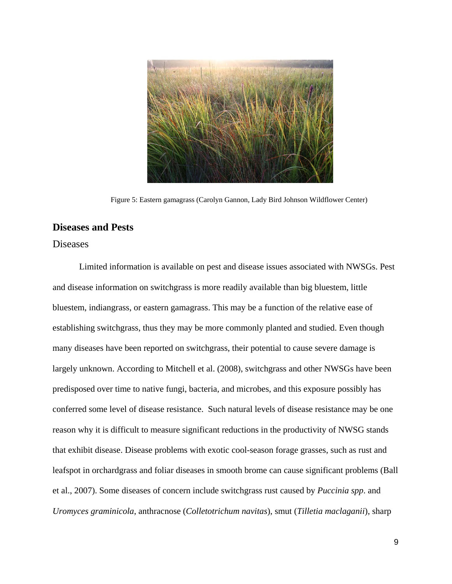

Figure 5: Eastern gamagrass (Carolyn Gannon, Lady Bird Johnson Wildflower Center)

# <span id="page-11-0"></span>**Diseases and Pests**

#### <span id="page-11-1"></span>Diseases

Limited information is available on pest and disease issues associated with NWSGs. Pest and disease information on switchgrass is more readily available than big bluestem, little bluestem, indiangrass, or eastern gamagrass. This may be a function of the relative ease of establishing switchgrass, thus they may be more commonly planted and studied. Even though many diseases have been reported on switchgrass, their potential to cause severe damage is largely unknown. According to Mitchell et al. (2008), switchgrass and other NWSGs have been predisposed over time to native fungi, bacteria, and microbes, and this exposure possibly has conferred some level of disease resistance. Such natural levels of disease resistance may be one reason why it is difficult to measure significant reductions in the productivity of NWSG stands that exhibit disease. Disease problems with exotic cool-season forage grasses, such as rust and leafspot in orchardgrass and foliar diseases in smooth brome can cause significant problems (Ball et al., 2007). Some diseases of concern include switchgrass rust caused by *Puccinia spp*. and *Uromyces graminicola*, anthracnose (*Colletotrichum navitas*), smut (*Tilletia maclaganii*), sharp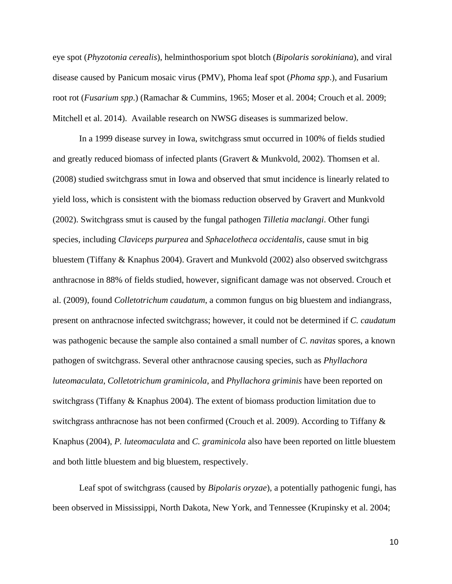eye spot (*Phyzotonia cerealis*), helminthosporium spot blotch (*Bipolaris sorokiniana*), and viral disease caused by Panicum mosaic virus (PMV), Phoma leaf spot (*Phoma spp*.), and Fusarium root rot (*Fusarium spp*.) (Ramachar & Cummins, 1965; Moser et al. 2004; Crouch et al. 2009; Mitchell et al. 2014). Available research on NWSG diseases is summarized below.

In a 1999 disease survey in Iowa, switchgrass smut occurred in 100% of fields studied and greatly reduced biomass of infected plants (Gravert & Munkvold, 2002). Thomsen et al. (2008) studied switchgrass smut in Iowa and observed that smut incidence is linearly related to yield loss, which is consistent with the biomass reduction observed by Gravert and Munkvold (2002). Switchgrass smut is caused by the fungal pathogen *Tilletia maclangi*. Other fungi species, including *Claviceps purpurea* and *Sphacelotheca occidentalis*, cause smut in big bluestem (Tiffany & Knaphus 2004). Gravert and Munkvold (2002) also observed switchgrass anthracnose in 88% of fields studied, however, significant damage was not observed. Crouch et al. (2009), found *Colletotrichum caudatum*, a common fungus on big bluestem and indiangrass, present on anthracnose infected switchgrass; however, it could not be determined if *C. caudatum*  was pathogenic because the sample also contained a small number of *C. navitas* spores, a known pathogen of switchgrass. Several other anthracnose causing species, such as *Phyllachora luteomaculata*, *Colletotrichum graminicola*, and *Phyllachora griminis* have been reported on switchgrass (Tiffany & Knaphus 2004). The extent of biomass production limitation due to switchgrass anthracnose has not been confirmed (Crouch et al. 2009). According to Tiffany & Knaphus (2004), *P. luteomaculata* and *C. graminicola* also have been reported on little bluestem and both little bluestem and big bluestem, respectively.

Leaf spot of switchgrass (caused by *Bipolaris oryzae*), a potentially pathogenic fungi, has been observed in Mississippi, North Dakota, New York, and Tennessee (Krupinsky et al. 2004;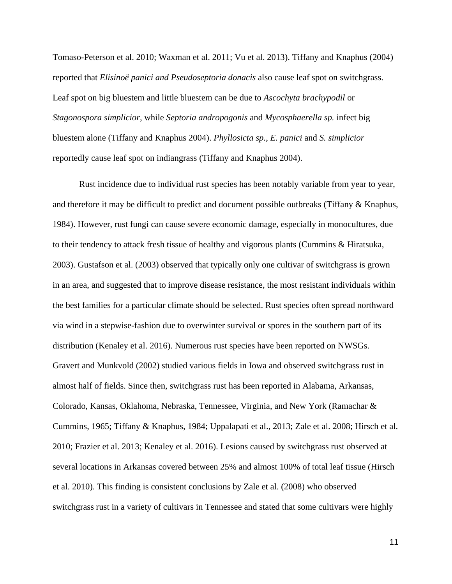Tomaso-Peterson et al. 2010; Waxman et al. 2011; Vu et al. 2013). Tiffany and Knaphus (2004) reported that *Elisinoë panici and Pseudoseptoria donacis* also cause leaf spot on switchgrass. Leaf spot on big bluestem and little bluestem can be due to *Ascochyta brachypodil* or *Stagonospora simplicior*, while *Septoria andropogonis* and *Mycosphaerella sp.* infect big bluestem alone (Tiffany and Knaphus 2004). *Phyllosicta sp.*, *E. panici* and *S. simplicior*  reportedly cause leaf spot on indiangrass (Tiffany and Knaphus 2004).

Rust incidence due to individual rust species has been notably variable from year to year, and therefore it may be difficult to predict and document possible outbreaks (Tiffany  $\&$  Knaphus, 1984). However, rust fungi can cause severe economic damage, especially in monocultures, due to their tendency to attack fresh tissue of healthy and vigorous plants (Cummins & Hiratsuka, 2003). Gustafson et al. (2003) observed that typically only one cultivar of switchgrass is grown in an area, and suggested that to improve disease resistance, the most resistant individuals within the best families for a particular climate should be selected. Rust species often spread northward via wind in a stepwise-fashion due to overwinter survival or spores in the southern part of its distribution (Kenaley et al. 2016). Numerous rust species have been reported on NWSGs. Gravert and Munkvold (2002) studied various fields in Iowa and observed switchgrass rust in almost half of fields. Since then, switchgrass rust has been reported in Alabama, Arkansas, Colorado, Kansas, Oklahoma, Nebraska, Tennessee, Virginia, and New York (Ramachar & Cummins, 1965; Tiffany & Knaphus, 1984; Uppalapati et al., 2013; Zale et al. 2008; Hirsch et al. 2010; Frazier et al. 2013; Kenaley et al. 2016). Lesions caused by switchgrass rust observed at several locations in Arkansas covered between 25% and almost 100% of total leaf tissue (Hirsch et al. 2010). This finding is consistent conclusions by Zale et al. (2008) who observed switchgrass rust in a variety of cultivars in Tennessee and stated that some cultivars were highly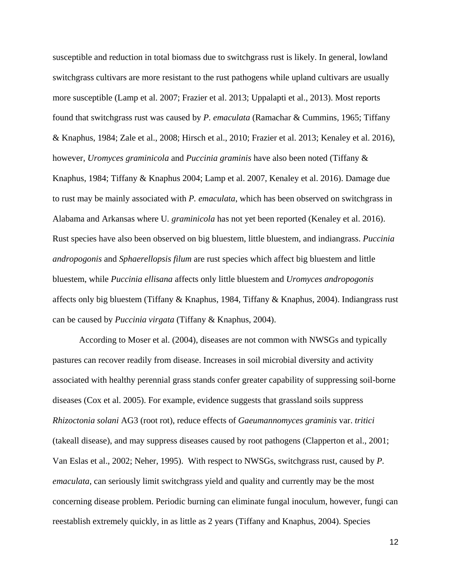susceptible and reduction in total biomass due to switchgrass rust is likely. In general, lowland switchgrass cultivars are more resistant to the rust pathogens while upland cultivars are usually more susceptible (Lamp et al. 2007; Frazier et al. 2013; Uppalapti et al., 2013). Most reports found that switchgrass rust was caused by *P. emaculata* (Ramachar & Cummins, 1965; Tiffany & Knaphus, 1984; Zale et al., 2008; Hirsch et al., 2010; Frazier et al. 2013; Kenaley et al. 2016), however, *Uromyces graminicola* and *Puccinia graminis* have also been noted (Tiffany & Knaphus, 1984; Tiffany & Knaphus 2004; Lamp et al. 2007, Kenaley et al. 2016). Damage due to rust may be mainly associated with *P. emaculata*, which has been observed on switchgrass in Alabama and Arkansas where U*. graminicola* has not yet been reported (Kenaley et al. 2016). Rust species have also been observed on big bluestem, little bluestem, and indiangrass. *Puccinia andropogonis* and *Sphaerellopsis filum* are rust species which affect big bluestem and little bluestem, while *Puccinia ellisana* affects only little bluestem and *Uromyces andropogonis*  affects only big bluestem (Tiffany & Knaphus, 1984, Tiffany & Knaphus, 2004). Indiangrass rust can be caused by *Puccinia virgata* (Tiffany & Knaphus, 2004).

According to Moser et al. (2004), diseases are not common with NWSGs and typically pastures can recover readily from disease. Increases in soil microbial diversity and activity associated with healthy perennial grass stands confer greater capability of suppressing soil-borne diseases (Cox et al. 2005). For example, evidence suggests that grassland soils suppress *Rhizoctonia solani* AG3 (root rot), reduce effects of *Gaeumannomyces graminis* var. *tritici*  (takeall disease), and may suppress diseases caused by root pathogens (Clapperton et al., 2001; Van Eslas et al., 2002; Neher, 1995). With respect to NWSGs, switchgrass rust, caused by *P. emaculata*, can seriously limit switchgrass yield and quality and currently may be the most concerning disease problem. Periodic burning can eliminate fungal inoculum, however, fungi can reestablish extremely quickly, in as little as 2 years (Tiffany and Knaphus, 2004). Species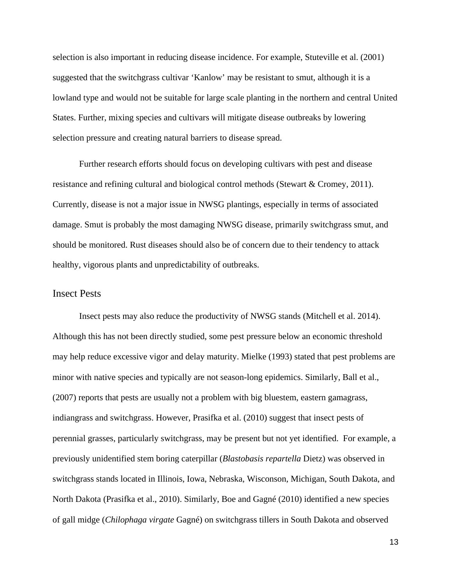selection is also important in reducing disease incidence. For example, Stuteville et al. (2001) suggested that the switchgrass cultivar 'Kanlow' may be resistant to smut, although it is a lowland type and would not be suitable for large scale planting in the northern and central United States. Further, mixing species and cultivars will mitigate disease outbreaks by lowering selection pressure and creating natural barriers to disease spread.

Further research efforts should focus on developing cultivars with pest and disease resistance and refining cultural and biological control methods (Stewart & Cromey, 2011). Currently, disease is not a major issue in NWSG plantings, especially in terms of associated damage. Smut is probably the most damaging NWSG disease, primarily switchgrass smut, and should be monitored. Rust diseases should also be of concern due to their tendency to attack healthy, vigorous plants and unpredictability of outbreaks.

## <span id="page-15-0"></span>Insect Pests

Insect pests may also reduce the productivity of NWSG stands (Mitchell et al. 2014). Although this has not been directly studied, some pest pressure below an economic threshold may help reduce excessive vigor and delay maturity. Mielke (1993) stated that pest problems are minor with native species and typically are not season-long epidemics. Similarly, Ball et al., (2007) reports that pests are usually not a problem with big bluestem, eastern gamagrass, indiangrass and switchgrass. However, Prasifka et al. (2010) suggest that insect pests of perennial grasses, particularly switchgrass, may be present but not yet identified. For example, a previously unidentified stem boring caterpillar (*Blastobasis repartella* Dietz) was observed in switchgrass stands located in Illinois, Iowa, Nebraska, Wisconson, Michigan, South Dakota, and North Dakota (Prasifka et al., 2010). Similarly, Boe and Gagné (2010) identified a new species of gall midge (*Chilophaga virgate* Gagné) on switchgrass tillers in South Dakota and observed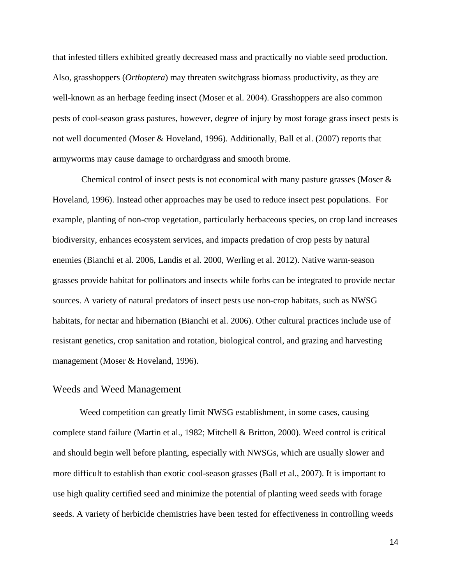that infested tillers exhibited greatly decreased mass and practically no viable seed production. Also, grasshoppers (*Orthoptera*) may threaten switchgrass biomass productivity, as they are well-known as an herbage feeding insect (Moser et al. 2004). Grasshoppers are also common pests of cool-season grass pastures, however, degree of injury by most forage grass insect pests is not well documented (Moser & Hoveland, 1996). Additionally, Ball et al. (2007) reports that armyworms may cause damage to orchardgrass and smooth brome.

Chemical control of insect pests is not economical with many pasture grasses (Moser  $\&$ Hoveland, 1996). Instead other approaches may be used to reduce insect pest populations. For example, planting of non-crop vegetation, particularly herbaceous species, on crop land increases biodiversity, enhances ecosystem services, and impacts predation of crop pests by natural enemies (Bianchi et al. 2006, Landis et al. 2000, Werling et al. 2012). Native warm-season grasses provide habitat for pollinators and insects while forbs can be integrated to provide nectar sources. A variety of natural predators of insect pests use non-crop habitats, such as NWSG habitats, for nectar and hibernation (Bianchi et al. 2006). Other cultural practices include use of resistant genetics, crop sanitation and rotation, biological control, and grazing and harvesting management (Moser & Hoveland, 1996).

#### <span id="page-16-0"></span>Weeds and Weed Management

Weed competition can greatly limit NWSG establishment, in some cases, causing complete stand failure (Martin et al., 1982; Mitchell & Britton, 2000). Weed control is critical and should begin well before planting, especially with NWSGs, which are usually slower and more difficult to establish than exotic cool-season grasses (Ball et al., 2007). It is important to use high quality certified seed and minimize the potential of planting weed seeds with forage seeds. A variety of herbicide chemistries have been tested for effectiveness in controlling weeds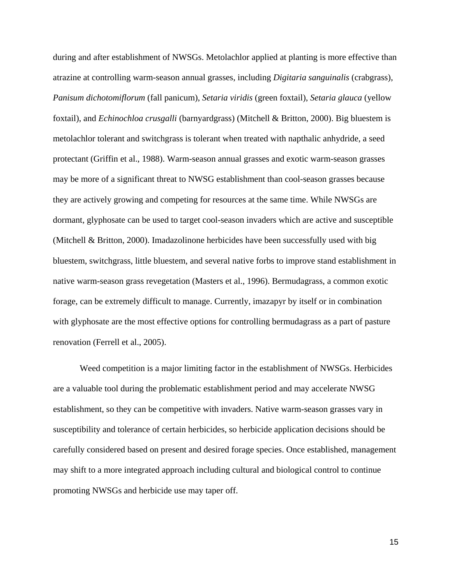during and after establishment of NWSGs. Metolachlor applied at planting is more effective than atrazine at controlling warm-season annual grasses, including *Digitaria sanguinalis* (crabgrass), *Panisum dichotomiflorum* (fall panicum), *Setaria viridis* (green foxtail), *Setaria glauca* (yellow foxtail), and *Echinochloa crusgalli* (barnyardgrass) (Mitchell & Britton, 2000). Big bluestem is metolachlor tolerant and switchgrass is tolerant when treated with napthalic anhydride, a seed protectant (Griffin et al., 1988). Warm-season annual grasses and exotic warm-season grasses may be more of a significant threat to NWSG establishment than cool-season grasses because they are actively growing and competing for resources at the same time. While NWSGs are dormant, glyphosate can be used to target cool-season invaders which are active and susceptible (Mitchell & Britton, 2000). Imadazolinone herbicides have been successfully used with big bluestem, switchgrass, little bluestem, and several native forbs to improve stand establishment in native warm-season grass revegetation (Masters et al., 1996). Bermudagrass, a common exotic forage, can be extremely difficult to manage. Currently, imazapyr by itself or in combination with glyphosate are the most effective options for controlling bermudagrass as a part of pasture renovation (Ferrell et al., 2005).

Weed competition is a major limiting factor in the establishment of NWSGs. Herbicides are a valuable tool during the problematic establishment period and may accelerate NWSG establishment, so they can be competitive with invaders. Native warm-season grasses vary in susceptibility and tolerance of certain herbicides, so herbicide application decisions should be carefully considered based on present and desired forage species. Once established, management may shift to a more integrated approach including cultural and biological control to continue promoting NWSGs and herbicide use may taper off.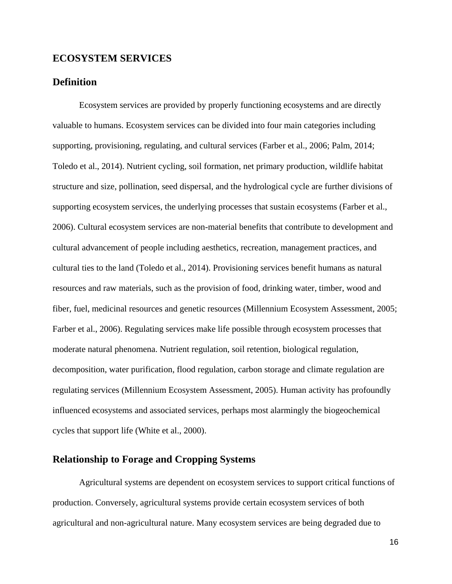# <span id="page-18-0"></span>**ECOSYSTEM SERVICES**

## <span id="page-18-1"></span>**Definition**

Ecosystem services are provided by properly functioning ecosystems and are directly valuable to humans. Ecosystem services can be divided into four main categories including supporting, provisioning, regulating, and cultural services (Farber et al., 2006; Palm, 2014; Toledo et al., 2014). Nutrient cycling, soil formation, net primary production, wildlife habitat structure and size, pollination, seed dispersal, and the hydrological cycle are further divisions of supporting ecosystem services, the underlying processes that sustain ecosystems (Farber et al., 2006). Cultural ecosystem services are non-material benefits that contribute to development and cultural advancement of people including aesthetics, recreation, management practices, and cultural ties to the land (Toledo et al., 2014). Provisioning services benefit humans as natural resources and raw materials, such as the provision of food, drinking water, timber, wood and fiber, fuel, medicinal resources and genetic resources (Millennium Ecosystem Assessment, 2005; Farber et al., 2006). Regulating services make life possible through ecosystem processes that moderate natural phenomena. Nutrient regulation, soil retention, biological regulation, decomposition, water purification, flood regulation, carbon storage and climate regulation are regulating services (Millennium Ecosystem Assessment, 2005). Human activity has profoundly influenced ecosystems and associated services, perhaps most alarmingly the biogeochemical cycles that support life (White et al., 2000).

# <span id="page-18-2"></span>**Relationship to Forage and Cropping Systems**

Agricultural systems are dependent on ecosystem services to support critical functions of production. Conversely, agricultural systems provide certain ecosystem services of both agricultural and non-agricultural nature. Many ecosystem services are being degraded due to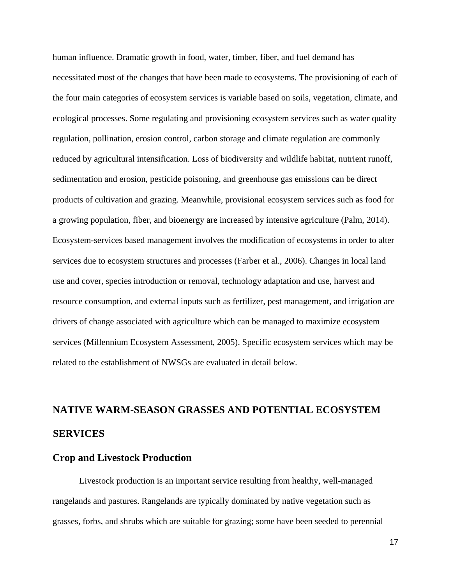human influence. Dramatic growth in food, water, timber, fiber, and fuel demand has necessitated most of the changes that have been made to ecosystems. The provisioning of each of the four main categories of ecosystem services is variable based on soils, vegetation, climate, and ecological processes. Some regulating and provisioning ecosystem services such as water quality regulation, pollination, erosion control, carbon storage and climate regulation are commonly reduced by agricultural intensification. Loss of biodiversity and wildlife habitat, nutrient runoff, sedimentation and erosion, pesticide poisoning, and greenhouse gas emissions can be direct products of cultivation and grazing. Meanwhile, provisional ecosystem services such as food for a growing population, fiber, and bioenergy are increased by intensive agriculture (Palm, 2014). Ecosystem-services based management involves the modification of ecosystems in order to alter services due to ecosystem structures and processes (Farber et al., 2006). Changes in local land use and cover, species introduction or removal, technology adaptation and use, harvest and resource consumption, and external inputs such as fertilizer, pest management, and irrigation are drivers of change associated with agriculture which can be managed to maximize ecosystem services (Millennium Ecosystem Assessment, 2005). Specific ecosystem services which may be related to the establishment of NWSGs are evaluated in detail below.

# <span id="page-19-0"></span>**NATIVE WARM-SEASON GRASSES AND POTENTIAL ECOSYSTEM SERVICES**

#### <span id="page-19-1"></span>**Crop and Livestock Production**

Livestock production is an important service resulting from healthy, well-managed rangelands and pastures. Rangelands are typically dominated by native vegetation such as grasses, forbs, and shrubs which are suitable for grazing; some have been seeded to perennial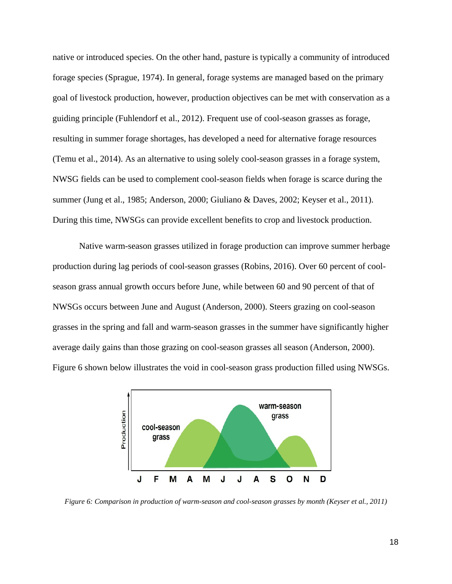native or introduced species. On the other hand, pasture is typically a community of introduced forage species (Sprague, 1974). In general, forage systems are managed based on the primary goal of livestock production, however, production objectives can be met with conservation as a guiding principle (Fuhlendorf et al., 2012). Frequent use of cool-season grasses as forage, resulting in summer forage shortages, has developed a need for alternative forage resources (Temu et al., 2014). As an alternative to using solely cool-season grasses in a forage system, NWSG fields can be used to complement cool-season fields when forage is scarce during the summer (Jung et al., 1985; Anderson, 2000; Giuliano & Daves, 2002; Keyser et al., 2011). During this time, NWSGs can provide excellent benefits to crop and livestock production.

Native warm-season grasses utilized in forage production can improve summer herbage production during lag periods of cool-season grasses (Robins, 2016). Over 60 percent of coolseason grass annual growth occurs before June, while between 60 and 90 percent of that of NWSGs occurs between June and August (Anderson, 2000). Steers grazing on cool-season grasses in the spring and fall and warm-season grasses in the summer have significantly higher average daily gains than those grazing on cool-season grasses all season (Anderson, 2000). Figure 6 shown below illustrates the void in cool-season grass production filled using NWSGs.



*Figure 6: Comparison in production of warm-season and cool-season grasses by month (Keyser et al., 2011)*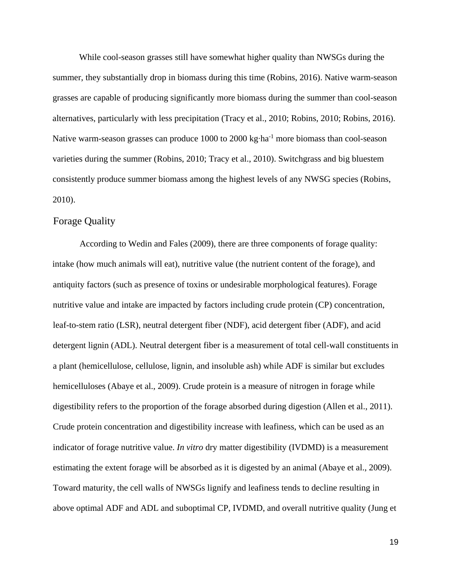While cool-season grasses still have somewhat higher quality than NWSGs during the summer, they substantially drop in biomass during this time (Robins, 2016). Native warm-season grasses are capable of producing significantly more biomass during the summer than cool-season alternatives, particularly with less precipitation (Tracy et al., 2010; Robins, 2010; Robins, 2016). Native warm-season grasses can produce 1000 to 2000 kg⋅ha<sup>-1</sup> more biomass than cool-season varieties during the summer (Robins, 2010; Tracy et al., 2010). Switchgrass and big bluestem consistently produce summer biomass among the highest levels of any NWSG species (Robins, 2010).

#### <span id="page-21-0"></span>Forage Quality

According to Wedin and Fales (2009), there are three components of forage quality: intake (how much animals will eat), nutritive value (the nutrient content of the forage), and antiquity factors (such as presence of toxins or undesirable morphological features). Forage nutritive value and intake are impacted by factors including crude protein (CP) concentration, leaf-to-stem ratio (LSR), neutral detergent fiber (NDF), acid detergent fiber (ADF), and acid detergent lignin (ADL). Neutral detergent fiber is a measurement of total cell-wall constituents in a plant (hemicellulose, cellulose, lignin, and insoluble ash) while ADF is similar but excludes hemicelluloses (Abaye et al., 2009). Crude protein is a measure of nitrogen in forage while digestibility refers to the proportion of the forage absorbed during digestion (Allen et al., 2011). Crude protein concentration and digestibility increase with leafiness, which can be used as an indicator of forage nutritive value. *In vitro* dry matter digestibility (IVDMD) is a measurement estimating the extent forage will be absorbed as it is digested by an animal (Abaye et al., 2009). Toward maturity, the cell walls of NWSGs lignify and leafiness tends to decline resulting in above optimal ADF and ADL and suboptimal CP, IVDMD, and overall nutritive quality (Jung et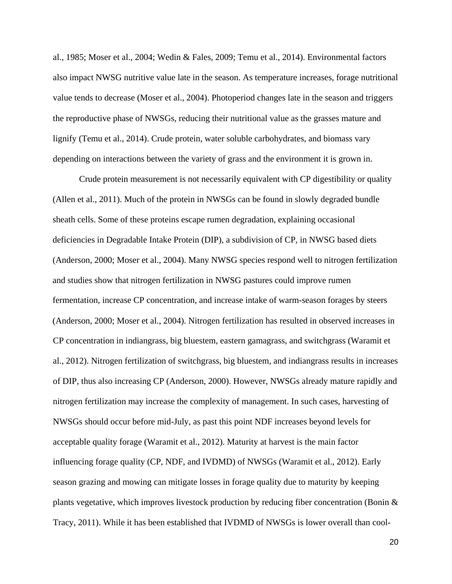al., 1985; Moser et al., 2004; Wedin & Fales, 2009; Temu et al., 2014). Environmental factors also impact NWSG nutritive value late in the season. As temperature increases, forage nutritional value tends to decrease (Moser et al., 2004). Photoperiod changes late in the season and triggers the reproductive phase of NWSGs, reducing their nutritional value as the grasses mature and lignify (Temu et al., 2014). Crude protein, water soluble carbohydrates, and biomass vary depending on interactions between the variety of grass and the environment it is grown in.

Crude protein measurement is not necessarily equivalent with CP digestibility or quality (Allen et al., 2011). Much of the protein in NWSGs can be found in slowly degraded bundle sheath cells. Some of these proteins escape rumen degradation, explaining occasional deficiencies in Degradable Intake Protein (DIP), a subdivision of CP, in NWSG based diets (Anderson, 2000; Moser et al., 2004). Many NWSG species respond well to nitrogen fertilization and studies show that nitrogen fertilization in NWSG pastures could improve rumen fermentation, increase CP concentration, and increase intake of warm-season forages by steers (Anderson, 2000; Moser et al., 2004). Nitrogen fertilization has resulted in observed increases in CP concentration in indiangrass, big bluestem, eastern gamagrass, and switchgrass (Waramit et al., 2012). Nitrogen fertilization of switchgrass, big bluestem, and indiangrass results in increases of DIP, thus also increasing CP (Anderson, 2000). However, NWSGs already mature rapidly and nitrogen fertilization may increase the complexity of management. In such cases, harvesting of NWSGs should occur before mid-July, as past this point NDF increases beyond levels for acceptable quality forage (Waramit et al., 2012). Maturity at harvest is the main factor influencing forage quality (CP, NDF, and IVDMD) of NWSGs (Waramit et al., 2012). Early season grazing and mowing can mitigate losses in forage quality due to maturity by keeping plants vegetative, which improves livestock production by reducing fiber concentration (Bonin & Tracy, 2011). While it has been established that IVDMD of NWSGs is lower overall than cool-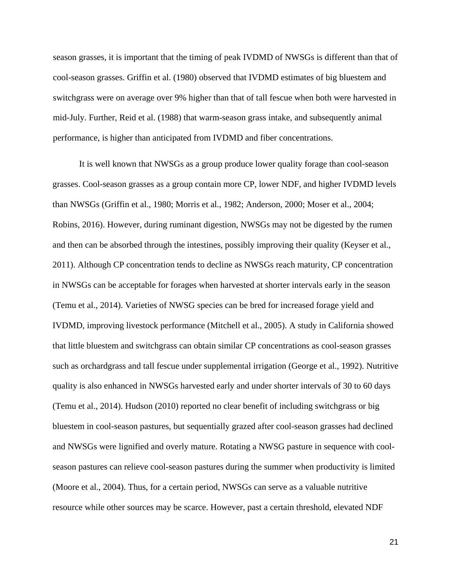season grasses, it is important that the timing of peak IVDMD of NWSGs is different than that of cool-season grasses. Griffin et al. (1980) observed that IVDMD estimates of big bluestem and switchgrass were on average over 9% higher than that of tall fescue when both were harvested in mid-July. Further, Reid et al. (1988) that warm-season grass intake, and subsequently animal performance, is higher than anticipated from IVDMD and fiber concentrations.

It is well known that NWSGs as a group produce lower quality forage than cool-season grasses. Cool-season grasses as a group contain more CP, lower NDF, and higher IVDMD levels than NWSGs (Griffin et al., 1980; Morris et al., 1982; Anderson, 2000; Moser et al., 2004; Robins, 2016). However, during ruminant digestion, NWSGs may not be digested by the rumen and then can be absorbed through the intestines, possibly improving their quality (Keyser et al., 2011). Although CP concentration tends to decline as NWSGs reach maturity, CP concentration in NWSGs can be acceptable for forages when harvested at shorter intervals early in the season (Temu et al., 2014). Varieties of NWSG species can be bred for increased forage yield and IVDMD, improving livestock performance (Mitchell et al., 2005). A study in California showed that little bluestem and switchgrass can obtain similar CP concentrations as cool-season grasses such as orchardgrass and tall fescue under supplemental irrigation (George et al., 1992). Nutritive quality is also enhanced in NWSGs harvested early and under shorter intervals of 30 to 60 days (Temu et al., 2014). Hudson (2010) reported no clear benefit of including switchgrass or big bluestem in cool-season pastures, but sequentially grazed after cool-season grasses had declined and NWSGs were lignified and overly mature. Rotating a NWSG pasture in sequence with coolseason pastures can relieve cool-season pastures during the summer when productivity is limited (Moore et al., 2004). Thus, for a certain period, NWSGs can serve as a valuable nutritive resource while other sources may be scarce. However, past a certain threshold, elevated NDF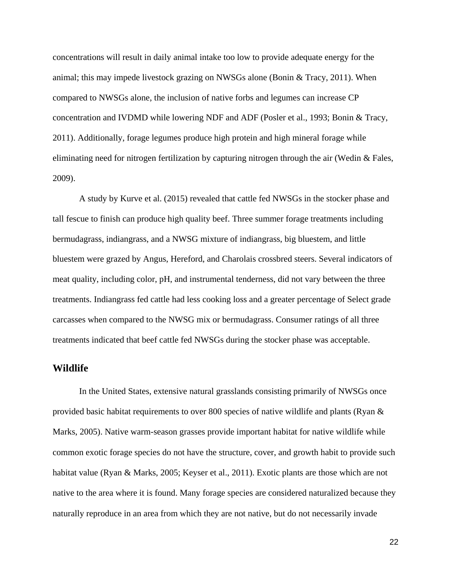concentrations will result in daily animal intake too low to provide adequate energy for the animal; this may impede livestock grazing on NWSGs alone (Bonin & Tracy, 2011). When compared to NWSGs alone, the inclusion of native forbs and legumes can increase CP concentration and IVDMD while lowering NDF and ADF (Posler et al., 1993; Bonin & Tracy, 2011). Additionally, forage legumes produce high protein and high mineral forage while eliminating need for nitrogen fertilization by capturing nitrogen through the air (Wedin & Fales, 2009).

A study by Kurve et al. (2015) revealed that cattle fed NWSGs in the stocker phase and tall fescue to finish can produce high quality beef. Three summer forage treatments including bermudagrass, indiangrass, and a NWSG mixture of indiangrass, big bluestem, and little bluestem were grazed by Angus, Hereford, and Charolais crossbred steers. Several indicators of meat quality, including color, pH, and instrumental tenderness, did not vary between the three treatments. Indiangrass fed cattle had less cooking loss and a greater percentage of Select grade carcasses when compared to the NWSG mix or bermudagrass. Consumer ratings of all three treatments indicated that beef cattle fed NWSGs during the stocker phase was acceptable.

#### <span id="page-24-0"></span>**Wildlife**

In the United States, extensive natural grasslands consisting primarily of NWSGs once provided basic habitat requirements to over 800 species of native wildlife and plants (Ryan & Marks, 2005). Native warm-season grasses provide important habitat for native wildlife while common exotic forage species do not have the structure, cover, and growth habit to provide such habitat value (Ryan & Marks, 2005; Keyser et al., 2011). Exotic plants are those which are not native to the area where it is found. Many forage species are considered naturalized because they naturally reproduce in an area from which they are not native, but do not necessarily invade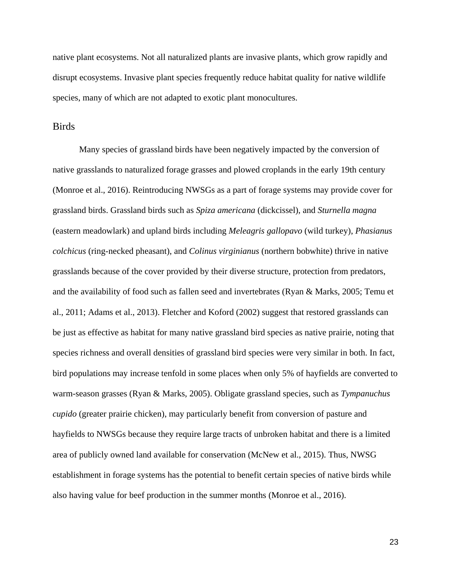native plant ecosystems. Not all naturalized plants are invasive plants, which grow rapidly and disrupt ecosystems. Invasive plant species frequently reduce habitat quality for native wildlife species, many of which are not adapted to exotic plant monocultures.

## <span id="page-25-0"></span>**Birds**

Many species of grassland birds have been negatively impacted by the conversion of native grasslands to naturalized forage grasses and plowed croplands in the early 19th century (Monroe et al., 2016). Reintroducing NWSGs as a part of forage systems may provide cover for grassland birds. Grassland birds such as *Spiza americana* (dickcissel), and *Sturnella magna*  (eastern meadowlark) and upland birds including *Meleagris gallopavo* (wild turkey), *Phasianus colchicus* (ring-necked pheasant), and *Colinus virginianus* (northern bobwhite) thrive in native grasslands because of the cover provided by their diverse structure, protection from predators, and the availability of food such as fallen seed and invertebrates (Ryan & Marks, 2005; Temu et al., 2011; Adams et al., 2013). Fletcher and Koford (2002) suggest that restored grasslands can be just as effective as habitat for many native grassland bird species as native prairie, noting that species richness and overall densities of grassland bird species were very similar in both. In fact, bird populations may increase tenfold in some places when only 5% of hayfields are converted to warm-season grasses (Ryan & Marks, 2005). Obligate grassland species, such as *Tympanuchus cupido* (greater prairie chicken), may particularly benefit from conversion of pasture and hayfields to NWSGs because they require large tracts of unbroken habitat and there is a limited area of publicly owned land available for conservation (McNew et al., 2015). Thus, NWSG establishment in forage systems has the potential to benefit certain species of native birds while also having value for beef production in the summer months (Monroe et al., 2016).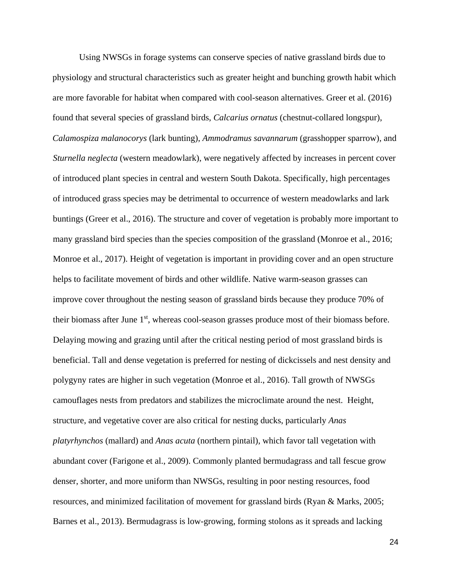Using NWSGs in forage systems can conserve species of native grassland birds due to physiology and structural characteristics such as greater height and bunching growth habit which are more favorable for habitat when compared with cool-season alternatives. Greer et al. (2016) found that several species of grassland birds, *Calcarius ornatus* (chestnut-collared longspur), *Calamospiza malanocorys* (lark bunting), *Ammodramus savannarum* (grasshopper sparrow), and *Sturnella neglecta* (western meadowlark), were negatively affected by increases in percent cover of introduced plant species in central and western South Dakota. Specifically, high percentages of introduced grass species may be detrimental to occurrence of western meadowlarks and lark buntings (Greer et al., 2016). The structure and cover of vegetation is probably more important to many grassland bird species than the species composition of the grassland (Monroe et al., 2016; Monroe et al., 2017). Height of vegetation is important in providing cover and an open structure helps to facilitate movement of birds and other wildlife. Native warm-season grasses can improve cover throughout the nesting season of grassland birds because they produce 70% of their biomass after June 1<sup>st</sup>, whereas cool-season grasses produce most of their biomass before. Delaying mowing and grazing until after the critical nesting period of most grassland birds is beneficial. Tall and dense vegetation is preferred for nesting of dickcissels and nest density and polygyny rates are higher in such vegetation (Monroe et al., 2016). Tall growth of NWSGs camouflages nests from predators and stabilizes the microclimate around the nest. Height, structure, and vegetative cover are also critical for nesting ducks, particularly *Anas platyrhynchos* (mallard) and *Anas acuta* (northern pintail), which favor tall vegetation with abundant cover (Farigone et al., 2009). Commonly planted bermudagrass and tall fescue grow denser, shorter, and more uniform than NWSGs, resulting in poor nesting resources, food resources, and minimized facilitation of movement for grassland birds (Ryan & Marks, 2005; Barnes et al., 2013). Bermudagrass is low-growing, forming stolons as it spreads and lacking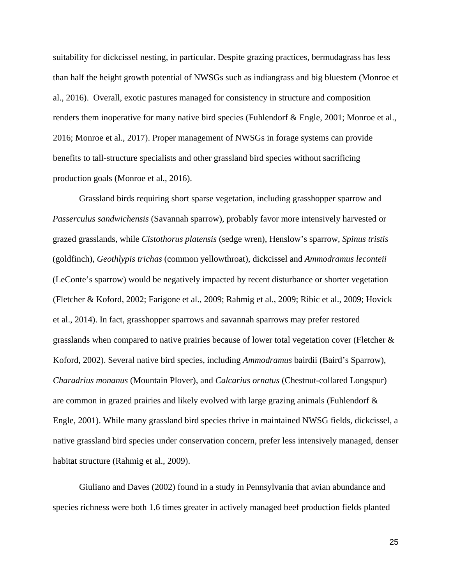suitability for dickcissel nesting, in particular. Despite grazing practices, bermudagrass has less than half the height growth potential of NWSGs such as indiangrass and big bluestem (Monroe et al., 2016). Overall, exotic pastures managed for consistency in structure and composition renders them inoperative for many native bird species (Fuhlendorf & Engle, 2001; Monroe et al., 2016; Monroe et al., 2017). Proper management of NWSGs in forage systems can provide benefits to tall-structure specialists and other grassland bird species without sacrificing production goals (Monroe et al., 2016).

Grassland birds requiring short sparse vegetation, including grasshopper sparrow and *Passerculus sandwichensis* (Savannah sparrow), probably favor more intensively harvested or grazed grasslands, while *Cistothorus platensis* (sedge wren), Henslow's sparrow, *Spinus tristis* (goldfinch), *Geothlypis trichas* (common yellowthroat), dickcissel and *Ammodramus leconteii*  (LeConte's sparrow) would be negatively impacted by recent disturbance or shorter vegetation (Fletcher & Koford, 2002; Farigone et al., 2009; Rahmig et al., 2009; Ribic et al., 2009; Hovick et al., 2014). In fact, grasshopper sparrows and savannah sparrows may prefer restored grasslands when compared to native prairies because of lower total vegetation cover (Fletcher & Koford, 2002). Several native bird species, including *Ammodramus* bairdii (Baird's Sparrow), *Charadrius monanus* (Mountain Plover), and *Calcarius ornatus* (Chestnut-collared Longspur) are common in grazed prairies and likely evolved with large grazing animals (Fuhlendorf & Engle, 2001). While many grassland bird species thrive in maintained NWSG fields, dickcissel, a native grassland bird species under conservation concern, prefer less intensively managed, denser habitat structure (Rahmig et al., 2009).

Giuliano and Daves (2002) found in a study in Pennsylvania that avian abundance and species richness were both 1.6 times greater in actively managed beef production fields planted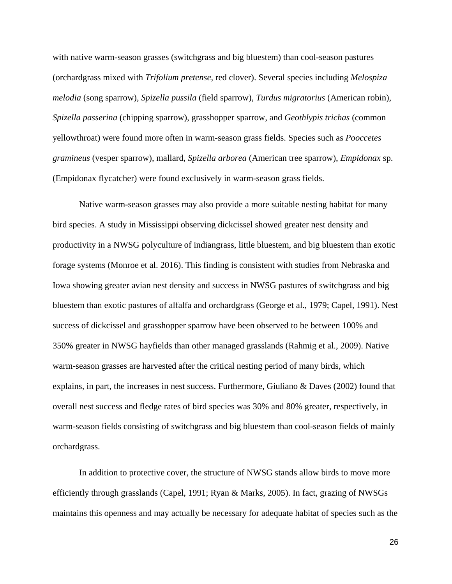with native warm-season grasses (switchgrass and big bluestem) than cool-season pastures (orchardgrass mixed with *Trifolium pretense*, red clover). Several species including *Melospiza melodia* (song sparrow), *Spizella pussila* (field sparrow), *Turdus migratorius* (American robin), *Spizella passerina* (chipping sparrow), grasshopper sparrow, and *Geothlypis trichas* (common yellowthroat) were found more often in warm-season grass fields. Species such as *Pooccetes gramineus* (vesper sparrow), mallard, *Spizella arborea* (American tree sparrow), *Empidonax* sp. (Empidonax flycatcher) were found exclusively in warm-season grass fields.

Native warm-season grasses may also provide a more suitable nesting habitat for many bird species. A study in Mississippi observing dickcissel showed greater nest density and productivity in a NWSG polyculture of indiangrass, little bluestem, and big bluestem than exotic forage systems (Monroe et al. 2016). This finding is consistent with studies from Nebraska and Iowa showing greater avian nest density and success in NWSG pastures of switchgrass and big bluestem than exotic pastures of alfalfa and orchardgrass (George et al., 1979; Capel, 1991). Nest success of dickcissel and grasshopper sparrow have been observed to be between 100% and 350% greater in NWSG hayfields than other managed grasslands (Rahmig et al., 2009). Native warm-season grasses are harvested after the critical nesting period of many birds, which explains, in part, the increases in nest success. Furthermore, Giuliano  $\&$  Daves (2002) found that overall nest success and fledge rates of bird species was 30% and 80% greater, respectively, in warm-season fields consisting of switchgrass and big bluestem than cool-season fields of mainly orchardgrass.

In addition to protective cover, the structure of NWSG stands allow birds to move more efficiently through grasslands (Capel, 1991; Ryan & Marks, 2005). In fact, grazing of NWSGs maintains this openness and may actually be necessary for adequate habitat of species such as the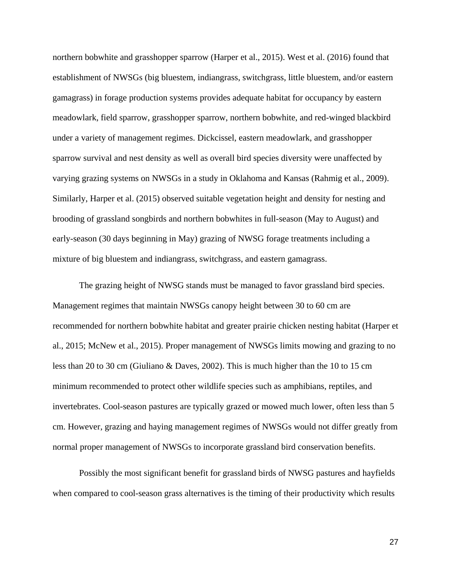northern bobwhite and grasshopper sparrow (Harper et al., 2015). West et al. (2016) found that establishment of NWSGs (big bluestem, indiangrass, switchgrass, little bluestem, and/or eastern gamagrass) in forage production systems provides adequate habitat for occupancy by eastern meadowlark, field sparrow, grasshopper sparrow, northern bobwhite, and red-winged blackbird under a variety of management regimes. Dickcissel, eastern meadowlark, and grasshopper sparrow survival and nest density as well as overall bird species diversity were unaffected by varying grazing systems on NWSGs in a study in Oklahoma and Kansas (Rahmig et al., 2009). Similarly, Harper et al. (2015) observed suitable vegetation height and density for nesting and brooding of grassland songbirds and northern bobwhites in full-season (May to August) and early-season (30 days beginning in May) grazing of NWSG forage treatments including a mixture of big bluestem and indiangrass, switchgrass, and eastern gamagrass.

The grazing height of NWSG stands must be managed to favor grassland bird species. Management regimes that maintain NWSGs canopy height between 30 to 60 cm are recommended for northern bobwhite habitat and greater prairie chicken nesting habitat (Harper et al., 2015; McNew et al., 2015). Proper management of NWSGs limits mowing and grazing to no less than 20 to 30 cm (Giuliano & Daves, 2002). This is much higher than the 10 to 15 cm minimum recommended to protect other wildlife species such as amphibians, reptiles, and invertebrates. Cool-season pastures are typically grazed or mowed much lower, often less than 5 cm. However, grazing and haying management regimes of NWSGs would not differ greatly from normal proper management of NWSGs to incorporate grassland bird conservation benefits.

Possibly the most significant benefit for grassland birds of NWSG pastures and hayfields when compared to cool-season grass alternatives is the timing of their productivity which results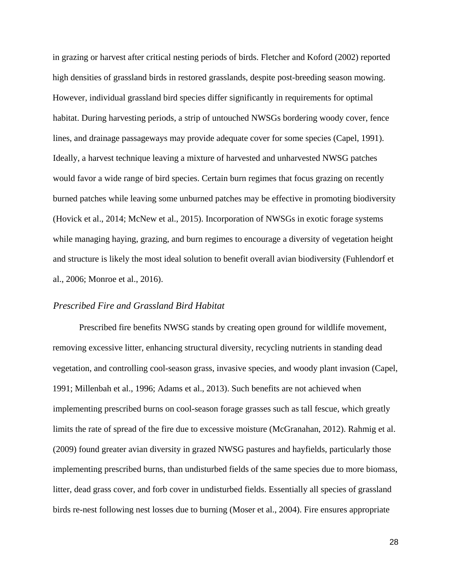in grazing or harvest after critical nesting periods of birds. Fletcher and Koford (2002) reported high densities of grassland birds in restored grasslands, despite post-breeding season mowing. However, individual grassland bird species differ significantly in requirements for optimal habitat. During harvesting periods, a strip of untouched NWSGs bordering woody cover, fence lines, and drainage passageways may provide adequate cover for some species (Capel, 1991). Ideally, a harvest technique leaving a mixture of harvested and unharvested NWSG patches would favor a wide range of bird species. Certain burn regimes that focus grazing on recently burned patches while leaving some unburned patches may be effective in promoting biodiversity (Hovick et al., 2014; McNew et al., 2015). Incorporation of NWSGs in exotic forage systems while managing haying, grazing, and burn regimes to encourage a diversity of vegetation height and structure is likely the most ideal solution to benefit overall avian biodiversity (Fuhlendorf et al., 2006; Monroe et al., 2016).

#### *Prescribed Fire and Grassland Bird Habitat*

Prescribed fire benefits NWSG stands by creating open ground for wildlife movement, removing excessive litter, enhancing structural diversity, recycling nutrients in standing dead vegetation, and controlling cool-season grass, invasive species, and woody plant invasion (Capel, 1991; Millenbah et al., 1996; Adams et al., 2013). Such benefits are not achieved when implementing prescribed burns on cool-season forage grasses such as tall fescue, which greatly limits the rate of spread of the fire due to excessive moisture (McGranahan, 2012). Rahmig et al. (2009) found greater avian diversity in grazed NWSG pastures and hayfields, particularly those implementing prescribed burns, than undisturbed fields of the same species due to more biomass, litter, dead grass cover, and forb cover in undisturbed fields. Essentially all species of grassland birds re-nest following nest losses due to burning (Moser et al., 2004). Fire ensures appropriate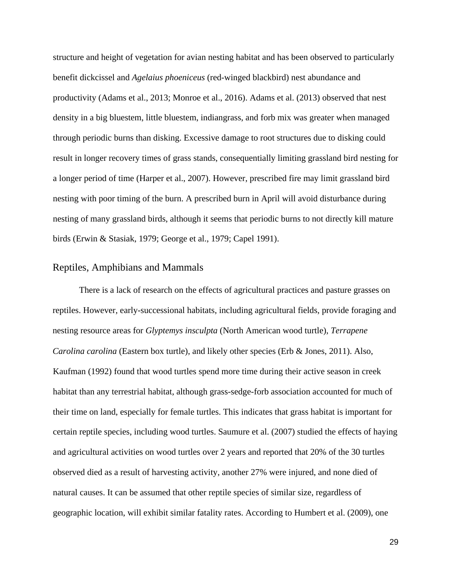structure and height of vegetation for avian nesting habitat and has been observed to particularly benefit dickcissel and *Agelaius phoeniceus* (red-winged blackbird) nest abundance and productivity (Adams et al., 2013; Monroe et al., 2016). Adams et al. (2013) observed that nest density in a big bluestem, little bluestem, indiangrass, and forb mix was greater when managed through periodic burns than disking. Excessive damage to root structures due to disking could result in longer recovery times of grass stands, consequentially limiting grassland bird nesting for a longer period of time (Harper et al., 2007). However, prescribed fire may limit grassland bird nesting with poor timing of the burn. A prescribed burn in April will avoid disturbance during nesting of many grassland birds, although it seems that periodic burns to not directly kill mature birds (Erwin & Stasiak, 1979; George et al., 1979; Capel 1991).

## <span id="page-31-0"></span>Reptiles, Amphibians and Mammals

There is a lack of research on the effects of agricultural practices and pasture grasses on reptiles. However, early-successional habitats, including agricultural fields, provide foraging and nesting resource areas for *Glyptemys insculpta* (North American wood turtle), *Terrapene Carolina carolina* (Eastern box turtle), and likely other species (Erb & Jones, 2011). Also, Kaufman (1992) found that wood turtles spend more time during their active season in creek habitat than any terrestrial habitat, although grass-sedge-forb association accounted for much of their time on land, especially for female turtles. This indicates that grass habitat is important for certain reptile species, including wood turtles. Saumure et al. (2007) studied the effects of haying and agricultural activities on wood turtles over 2 years and reported that 20% of the 30 turtles observed died as a result of harvesting activity, another 27% were injured, and none died of natural causes. It can be assumed that other reptile species of similar size, regardless of geographic location, will exhibit similar fatality rates. According to Humbert et al. (2009), one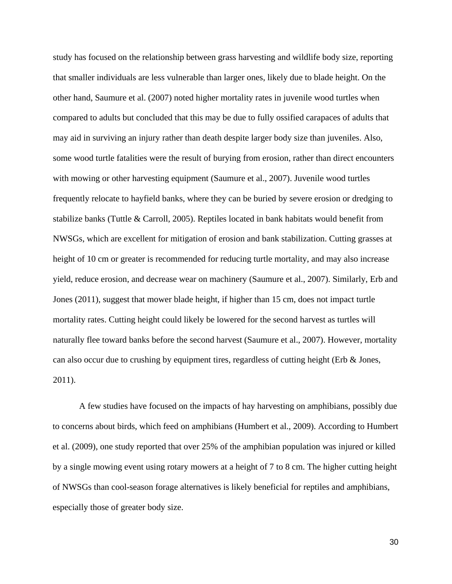study has focused on the relationship between grass harvesting and wildlife body size, reporting that smaller individuals are less vulnerable than larger ones, likely due to blade height. On the other hand, Saumure et al. (2007) noted higher mortality rates in juvenile wood turtles when compared to adults but concluded that this may be due to fully ossified carapaces of adults that may aid in surviving an injury rather than death despite larger body size than juveniles. Also, some wood turtle fatalities were the result of burying from erosion, rather than direct encounters with mowing or other harvesting equipment (Saumure et al., 2007). Juvenile wood turtles frequently relocate to hayfield banks, where they can be buried by severe erosion or dredging to stabilize banks (Tuttle & Carroll, 2005). Reptiles located in bank habitats would benefit from NWSGs, which are excellent for mitigation of erosion and bank stabilization. Cutting grasses at height of 10 cm or greater is recommended for reducing turtle mortality, and may also increase yield, reduce erosion, and decrease wear on machinery (Saumure et al., 2007). Similarly, Erb and Jones (2011), suggest that mower blade height, if higher than 15 cm, does not impact turtle mortality rates. Cutting height could likely be lowered for the second harvest as turtles will naturally flee toward banks before the second harvest (Saumure et al., 2007). However, mortality can also occur due to crushing by equipment tires, regardless of cutting height (Erb & Jones, 2011).

A few studies have focused on the impacts of hay harvesting on amphibians, possibly due to concerns about birds, which feed on amphibians (Humbert et al., 2009). According to Humbert et al. (2009), one study reported that over 25% of the amphibian population was injured or killed by a single mowing event using rotary mowers at a height of 7 to 8 cm. The higher cutting height of NWSGs than cool-season forage alternatives is likely beneficial for reptiles and amphibians, especially those of greater body size.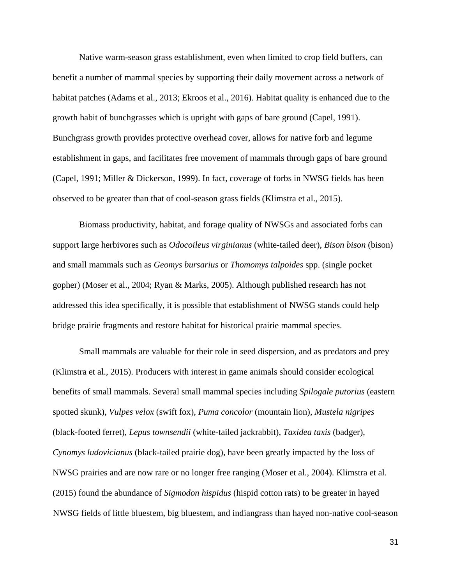Native warm-season grass establishment, even when limited to crop field buffers, can benefit a number of mammal species by supporting their daily movement across a network of habitat patches (Adams et al., 2013; Ekroos et al., 2016). Habitat quality is enhanced due to the growth habit of bunchgrasses which is upright with gaps of bare ground (Capel, 1991). Bunchgrass growth provides protective overhead cover, allows for native forb and legume establishment in gaps, and facilitates free movement of mammals through gaps of bare ground (Capel, 1991; Miller & Dickerson, 1999). In fact, coverage of forbs in NWSG fields has been observed to be greater than that of cool-season grass fields (Klimstra et al., 2015).

Biomass productivity, habitat, and forage quality of NWSGs and associated forbs can support large herbivores such as *Odocoileus virginianus* (white-tailed deer), *Bison bison* (bison) and small mammals such as *Geomys bursarius* or *Thomomys talpoides* spp. (single pocket gopher) (Moser et al., 2004; Ryan & Marks, 2005). Although published research has not addressed this idea specifically, it is possible that establishment of NWSG stands could help bridge prairie fragments and restore habitat for historical prairie mammal species.

Small mammals are valuable for their role in seed dispersion, and as predators and prey (Klimstra et al., 2015). Producers with interest in game animals should consider ecological benefits of small mammals. Several small mammal species including *Spilogale putorius* (eastern spotted skunk), *Vulpes velox* (swift fox), *Puma concolor* (mountain lion), *Mustela nigripes*  (black-footed ferret), *Lepus townsendii* (white-tailed jackrabbit), *Taxidea taxis* (badger), *Cynomys ludovicianus* (black-tailed prairie dog), have been greatly impacted by the loss of NWSG prairies and are now rare or no longer free ranging (Moser et al., 2004). Klimstra et al. (2015) found the abundance of *Sigmodon hispidus* (hispid cotton rats) to be greater in hayed NWSG fields of little bluestem, big bluestem, and indiangrass than hayed non-native cool-season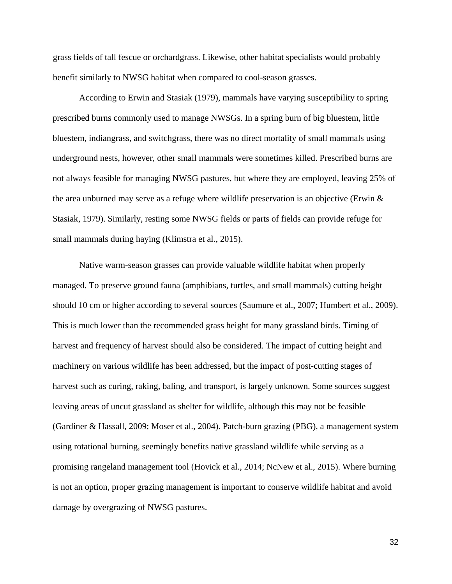grass fields of tall fescue or orchardgrass. Likewise, other habitat specialists would probably benefit similarly to NWSG habitat when compared to cool-season grasses.

According to Erwin and Stasiak (1979), mammals have varying susceptibility to spring prescribed burns commonly used to manage NWSGs. In a spring burn of big bluestem, little bluestem, indiangrass, and switchgrass, there was no direct mortality of small mammals using underground nests, however, other small mammals were sometimes killed. Prescribed burns are not always feasible for managing NWSG pastures, but where they are employed, leaving 25% of the area unburned may serve as a refuge where wildlife preservation is an objective (Erwin  $\&$ Stasiak, 1979). Similarly, resting some NWSG fields or parts of fields can provide refuge for small mammals during haying (Klimstra et al., 2015).

Native warm-season grasses can provide valuable wildlife habitat when properly managed. To preserve ground fauna (amphibians, turtles, and small mammals) cutting height should 10 cm or higher according to several sources (Saumure et al., 2007; Humbert et al., 2009). This is much lower than the recommended grass height for many grassland birds. Timing of harvest and frequency of harvest should also be considered. The impact of cutting height and machinery on various wildlife has been addressed, but the impact of post-cutting stages of harvest such as curing, raking, baling, and transport, is largely unknown. Some sources suggest leaving areas of uncut grassland as shelter for wildlife, although this may not be feasible (Gardiner & Hassall, 2009; Moser et al., 2004). Patch-burn grazing (PBG), a management system using rotational burning, seemingly benefits native grassland wildlife while serving as a promising rangeland management tool (Hovick et al., 2014; NcNew et al., 2015). Where burning is not an option, proper grazing management is important to conserve wildlife habitat and avoid damage by overgrazing of NWSG pastures.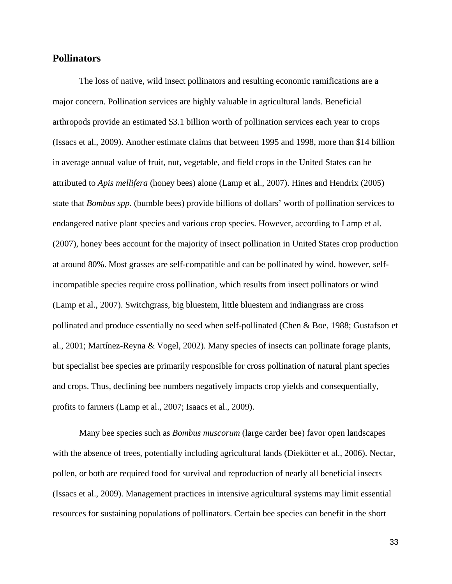# <span id="page-35-0"></span>**Pollinators**

The loss of native, wild insect pollinators and resulting economic ramifications are a major concern. Pollination services are highly valuable in agricultural lands. Beneficial arthropods provide an estimated \$3.1 billion worth of pollination services each year to crops (Issacs et al., 2009). Another estimate claims that between 1995 and 1998, more than \$14 billion in average annual value of fruit, nut, vegetable, and field crops in the United States can be attributed to *Apis mellifera* (honey bees) alone (Lamp et al., 2007). Hines and Hendrix (2005) state that *Bombus spp.* (bumble bees) provide billions of dollars' worth of pollination services to endangered native plant species and various crop species. However, according to Lamp et al. (2007), honey bees account for the majority of insect pollination in United States crop production at around 80%. Most grasses are self-compatible and can be pollinated by wind, however, selfincompatible species require cross pollination, which results from insect pollinators or wind (Lamp et al., 2007). Switchgrass, big bluestem, little bluestem and indiangrass are cross pollinated and produce essentially no seed when self-pollinated (Chen & Boe, 1988; Gustafson et al., 2001; Martínez-Reyna & Vogel, 2002). Many species of insects can pollinate forage plants, but specialist bee species are primarily responsible for cross pollination of natural plant species and crops. Thus, declining bee numbers negatively impacts crop yields and consequentially, profits to farmers (Lamp et al., 2007; Isaacs et al., 2009).

Many bee species such as *Bombus muscorum* (large carder bee) favor open landscapes with the absence of trees, potentially including agricultural lands (Diekötter et al., 2006). Nectar, pollen, or both are required food for survival and reproduction of nearly all beneficial insects (Issacs et al., 2009). Management practices in intensive agricultural systems may limit essential resources for sustaining populations of pollinators. Certain bee species can benefit in the short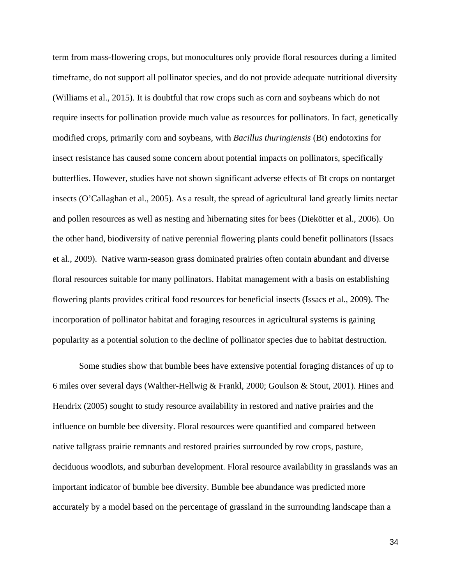term from mass-flowering crops, but monocultures only provide floral resources during a limited timeframe, do not support all pollinator species, and do not provide adequate nutritional diversity (Williams et al., 2015). It is doubtful that row crops such as corn and soybeans which do not require insects for pollination provide much value as resources for pollinators. In fact, genetically modified crops, primarily corn and soybeans, with *Bacillus thuringiensis* (Bt) endotoxins for insect resistance has caused some concern about potential impacts on pollinators, specifically butterflies. However, studies have not shown significant adverse effects of Bt crops on nontarget insects (O'Callaghan et al., 2005). As a result, the spread of agricultural land greatly limits nectar and pollen resources as well as nesting and hibernating sites for bees (Diekötter et al., 2006). On the other hand, biodiversity of native perennial flowering plants could benefit pollinators (Issacs et al., 2009). Native warm-season grass dominated prairies often contain abundant and diverse floral resources suitable for many pollinators. Habitat management with a basis on establishing flowering plants provides critical food resources for beneficial insects (Issacs et al., 2009). The incorporation of pollinator habitat and foraging resources in agricultural systems is gaining popularity as a potential solution to the decline of pollinator species due to habitat destruction.

Some studies show that bumble bees have extensive potential foraging distances of up to 6 miles over several days (Walther-Hellwig & Frankl, 2000; Goulson & Stout, 2001). Hines and Hendrix (2005) sought to study resource availability in restored and native prairies and the influence on bumble bee diversity. Floral resources were quantified and compared between native tallgrass prairie remnants and restored prairies surrounded by row crops, pasture, deciduous woodlots, and suburban development. Floral resource availability in grasslands was an important indicator of bumble bee diversity. Bumble bee abundance was predicted more accurately by a model based on the percentage of grassland in the surrounding landscape than a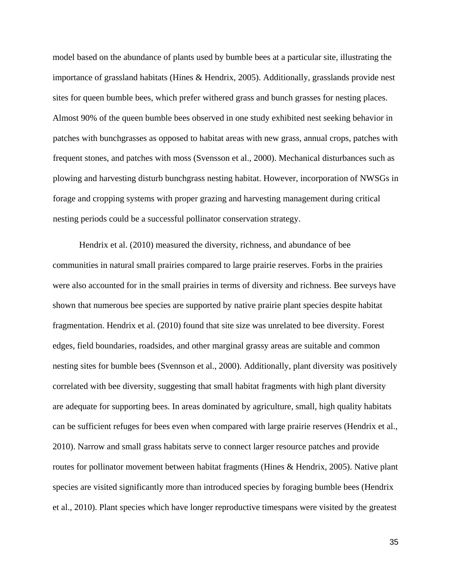model based on the abundance of plants used by bumble bees at a particular site, illustrating the importance of grassland habitats (Hines & Hendrix, 2005). Additionally, grasslands provide nest sites for queen bumble bees, which prefer withered grass and bunch grasses for nesting places. Almost 90% of the queen bumble bees observed in one study exhibited nest seeking behavior in patches with bunchgrasses as opposed to habitat areas with new grass, annual crops, patches with frequent stones, and patches with moss (Svensson et al., 2000). Mechanical disturbances such as plowing and harvesting disturb bunchgrass nesting habitat. However, incorporation of NWSGs in forage and cropping systems with proper grazing and harvesting management during critical nesting periods could be a successful pollinator conservation strategy.

Hendrix et al. (2010) measured the diversity, richness, and abundance of bee communities in natural small prairies compared to large prairie reserves. Forbs in the prairies were also accounted for in the small prairies in terms of diversity and richness. Bee surveys have shown that numerous bee species are supported by native prairie plant species despite habitat fragmentation. Hendrix et al. (2010) found that site size was unrelated to bee diversity. Forest edges, field boundaries, roadsides, and other marginal grassy areas are suitable and common nesting sites for bumble bees (Svennson et al., 2000). Additionally, plant diversity was positively correlated with bee diversity, suggesting that small habitat fragments with high plant diversity are adequate for supporting bees. In areas dominated by agriculture, small, high quality habitats can be sufficient refuges for bees even when compared with large prairie reserves (Hendrix et al., 2010). Narrow and small grass habitats serve to connect larger resource patches and provide routes for pollinator movement between habitat fragments (Hines & Hendrix, 2005). Native plant species are visited significantly more than introduced species by foraging bumble bees (Hendrix et al., 2010). Plant species which have longer reproductive timespans were visited by the greatest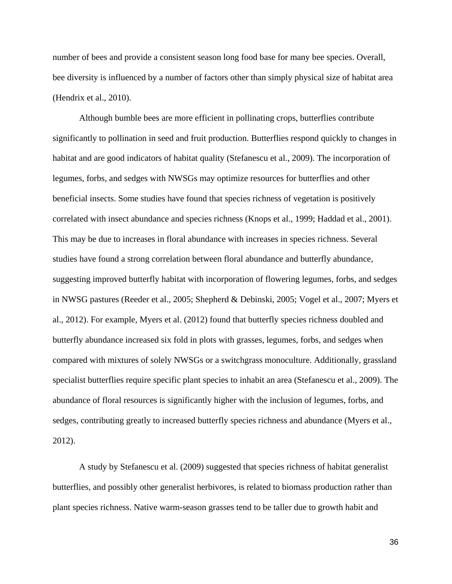number of bees and provide a consistent season long food base for many bee species. Overall, bee diversity is influenced by a number of factors other than simply physical size of habitat area (Hendrix et al., 2010).

Although bumble bees are more efficient in pollinating crops, butterflies contribute significantly to pollination in seed and fruit production. Butterflies respond quickly to changes in habitat and are good indicators of habitat quality (Stefanescu et al., 2009). The incorporation of legumes, forbs, and sedges with NWSGs may optimize resources for butterflies and other beneficial insects. Some studies have found that species richness of vegetation is positively correlated with insect abundance and species richness (Knops et al., 1999; Haddad et al., 2001). This may be due to increases in floral abundance with increases in species richness. Several studies have found a strong correlation between floral abundance and butterfly abundance, suggesting improved butterfly habitat with incorporation of flowering legumes, forbs, and sedges in NWSG pastures (Reeder et al., 2005; Shepherd & Debinski, 2005; Vogel et al., 2007; Myers et al., 2012). For example, Myers et al. (2012) found that butterfly species richness doubled and butterfly abundance increased six fold in plots with grasses, legumes, forbs, and sedges when compared with mixtures of solely NWSGs or a switchgrass monoculture. Additionally, grassland specialist butterflies require specific plant species to inhabit an area (Stefanescu et al., 2009). The abundance of floral resources is significantly higher with the inclusion of legumes, forbs, and sedges, contributing greatly to increased butterfly species richness and abundance (Myers et al., 2012).

A study by Stefanescu et al. (2009) suggested that species richness of habitat generalist butterflies, and possibly other generalist herbivores, is related to biomass production rather than plant species richness. Native warm-season grasses tend to be taller due to growth habit and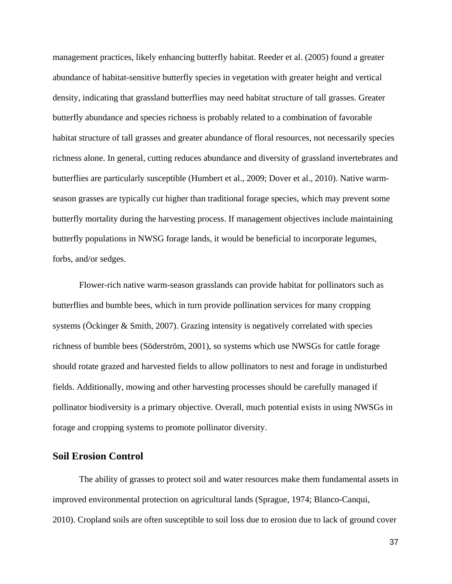management practices, likely enhancing butterfly habitat. Reeder et al. (2005) found a greater abundance of habitat-sensitive butterfly species in vegetation with greater height and vertical density, indicating that grassland butterflies may need habitat structure of tall grasses. Greater butterfly abundance and species richness is probably related to a combination of favorable habitat structure of tall grasses and greater abundance of floral resources, not necessarily species richness alone. In general, cutting reduces abundance and diversity of grassland invertebrates and butterflies are particularly susceptible (Humbert et al., 2009; Dover et al., 2010). Native warmseason grasses are typically cut higher than traditional forage species, which may prevent some butterfly mortality during the harvesting process. If management objectives include maintaining butterfly populations in NWSG forage lands, it would be beneficial to incorporate legumes, forbs, and/or sedges.

Flower-rich native warm-season grasslands can provide habitat for pollinators such as butterflies and bumble bees, which in turn provide pollination services for many cropping systems (Öckinger & Smith, 2007). Grazing intensity is negatively correlated with species richness of bumble bees (Söderström, 2001), so systems which use NWSGs for cattle forage should rotate grazed and harvested fields to allow pollinators to nest and forage in undisturbed fields. Additionally, mowing and other harvesting processes should be carefully managed if pollinator biodiversity is a primary objective. Overall, much potential exists in using NWSGs in forage and cropping systems to promote pollinator diversity.

#### **Soil Erosion Control**

The ability of grasses to protect soil and water resources make them fundamental assets in improved environmental protection on agricultural lands (Sprague, 1974; Blanco-Canqui, 2010). Cropland soils are often susceptible to soil loss due to erosion due to lack of ground cover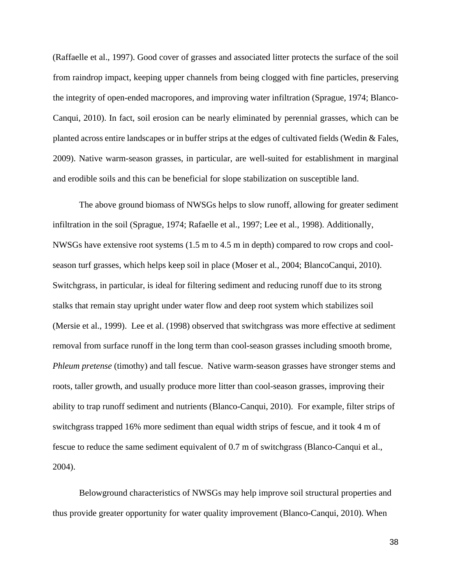(Raffaelle et al., 1997). Good cover of grasses and associated litter protects the surface of the soil from raindrop impact, keeping upper channels from being clogged with fine particles, preserving the integrity of open-ended macropores, and improving water infiltration (Sprague, 1974; Blanco-Canqui, 2010). In fact, soil erosion can be nearly eliminated by perennial grasses, which can be planted across entire landscapes or in buffer strips at the edges of cultivated fields (Wedin & Fales, 2009). Native warm-season grasses, in particular, are well-suited for establishment in marginal and erodible soils and this can be beneficial for slope stabilization on susceptible land.

The above ground biomass of NWSGs helps to slow runoff, allowing for greater sediment infiltration in the soil (Sprague, 1974; Rafaelle et al., 1997; Lee et al., 1998). Additionally, NWSGs have extensive root systems (1.5 m to 4.5 m in depth) compared to row crops and coolseason turf grasses, which helps keep soil in place (Moser et al., 2004; BlancoCanqui, 2010). Switchgrass, in particular, is ideal for filtering sediment and reducing runoff due to its strong stalks that remain stay upright under water flow and deep root system which stabilizes soil (Mersie et al., 1999). Lee et al. (1998) observed that switchgrass was more effective at sediment removal from surface runoff in the long term than cool-season grasses including smooth brome, *Phleum pretense* (timothy) and tall fescue. Native warm-season grasses have stronger stems and roots, taller growth, and usually produce more litter than cool-season grasses, improving their ability to trap runoff sediment and nutrients (Blanco-Canqui, 2010). For example, filter strips of switchgrass trapped 16% more sediment than equal width strips of fescue, and it took 4 m of fescue to reduce the same sediment equivalent of 0.7 m of switchgrass (Blanco-Canqui et al., 2004).

Belowground characteristics of NWSGs may help improve soil structural properties and thus provide greater opportunity for water quality improvement (Blanco-Canqui, 2010). When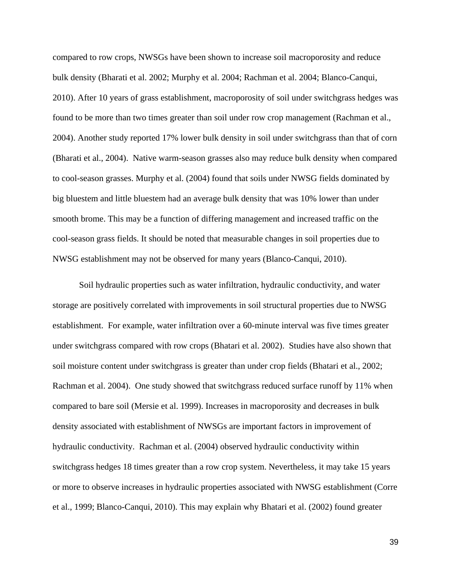compared to row crops, NWSGs have been shown to increase soil macroporosity and reduce bulk density (Bharati et al. 2002; Murphy et al. 2004; Rachman et al. 2004; Blanco-Canqui, 2010). After 10 years of grass establishment, macroporosity of soil under switchgrass hedges was found to be more than two times greater than soil under row crop management (Rachman et al., 2004). Another study reported 17% lower bulk density in soil under switchgrass than that of corn (Bharati et al., 2004). Native warm-season grasses also may reduce bulk density when compared to cool-season grasses. Murphy et al. (2004) found that soils under NWSG fields dominated by big bluestem and little bluestem had an average bulk density that was 10% lower than under smooth brome. This may be a function of differing management and increased traffic on the cool-season grass fields. It should be noted that measurable changes in soil properties due to NWSG establishment may not be observed for many years (Blanco-Canqui, 2010).

Soil hydraulic properties such as water infiltration, hydraulic conductivity, and water storage are positively correlated with improvements in soil structural properties due to NWSG establishment. For example, water infiltration over a 60-minute interval was five times greater under switchgrass compared with row crops (Bhatari et al. 2002). Studies have also shown that soil moisture content under switchgrass is greater than under crop fields (Bhatari et al., 2002; Rachman et al. 2004). One study showed that switchgrass reduced surface runoff by 11% when compared to bare soil (Mersie et al. 1999). Increases in macroporosity and decreases in bulk density associated with establishment of NWSGs are important factors in improvement of hydraulic conductivity. Rachman et al. (2004) observed hydraulic conductivity within switchgrass hedges 18 times greater than a row crop system. Nevertheless, it may take 15 years or more to observe increases in hydraulic properties associated with NWSG establishment (Corre et al., 1999; Blanco-Canqui, 2010). This may explain why Bhatari et al. (2002) found greater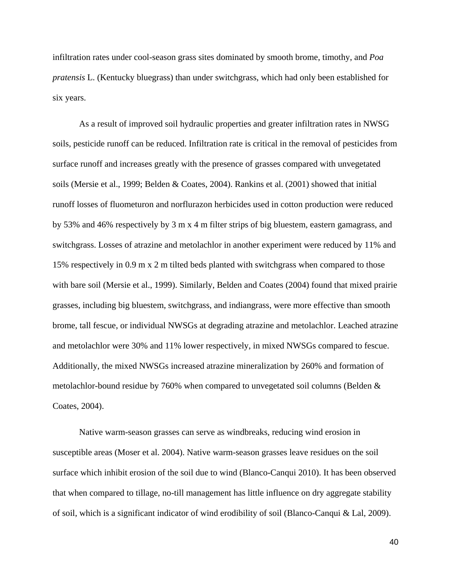infiltration rates under cool-season grass sites dominated by smooth brome, timothy, and *Poa pratensis* L. (Kentucky bluegrass) than under switchgrass, which had only been established for six years.

As a result of improved soil hydraulic properties and greater infiltration rates in NWSG soils, pesticide runoff can be reduced. Infiltration rate is critical in the removal of pesticides from surface runoff and increases greatly with the presence of grasses compared with unvegetated soils (Mersie et al., 1999; Belden & Coates, 2004). Rankins et al. (2001) showed that initial runoff losses of fluometuron and norflurazon herbicides used in cotton production were reduced by 53% and 46% respectively by 3 m x 4 m filter strips of big bluestem, eastern gamagrass, and switchgrass. Losses of atrazine and metolachlor in another experiment were reduced by 11% and 15% respectively in 0.9 m x 2 m tilted beds planted with switchgrass when compared to those with bare soil (Mersie et al., 1999). Similarly, Belden and Coates (2004) found that mixed prairie grasses, including big bluestem, switchgrass, and indiangrass, were more effective than smooth brome, tall fescue, or individual NWSGs at degrading atrazine and metolachlor. Leached atrazine and metolachlor were 30% and 11% lower respectively, in mixed NWSGs compared to fescue. Additionally, the mixed NWSGs increased atrazine mineralization by 260% and formation of metolachlor-bound residue by 760% when compared to unvegetated soil columns (Belden & Coates, 2004).

Native warm-season grasses can serve as windbreaks, reducing wind erosion in susceptible areas (Moser et al. 2004). Native warm-season grasses leave residues on the soil surface which inhibit erosion of the soil due to wind (Blanco-Canqui 2010). It has been observed that when compared to tillage, no-till management has little influence on dry aggregate stability of soil, which is a significant indicator of wind erodibility of soil (Blanco-Canqui & Lal, 2009).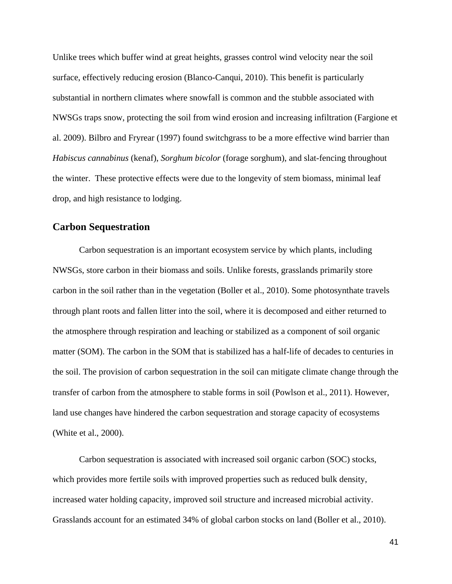Unlike trees which buffer wind at great heights, grasses control wind velocity near the soil surface, effectively reducing erosion (Blanco-Canqui, 2010). This benefit is particularly substantial in northern climates where snowfall is common and the stubble associated with NWSGs traps snow, protecting the soil from wind erosion and increasing infiltration (Fargione et al. 2009). Bilbro and Fryrear (1997) found switchgrass to be a more effective wind barrier than *Habiscus cannabinus* (kenaf), *Sorghum bicolor* (forage sorghum), and slat-fencing throughout the winter. These protective effects were due to the longevity of stem biomass, minimal leaf drop, and high resistance to lodging.

### **Carbon Sequestration**

Carbon sequestration is an important ecosystem service by which plants, including NWSGs, store carbon in their biomass and soils. Unlike forests, grasslands primarily store carbon in the soil rather than in the vegetation (Boller et al., 2010). Some photosynthate travels through plant roots and fallen litter into the soil, where it is decomposed and either returned to the atmosphere through respiration and leaching or stabilized as a component of soil organic matter (SOM). The carbon in the SOM that is stabilized has a half-life of decades to centuries in the soil. The provision of carbon sequestration in the soil can mitigate climate change through the transfer of carbon from the atmosphere to stable forms in soil (Powlson et al., 2011). However, land use changes have hindered the carbon sequestration and storage capacity of ecosystems (White et al., 2000).

Carbon sequestration is associated with increased soil organic carbon (SOC) stocks, which provides more fertile soils with improved properties such as reduced bulk density, increased water holding capacity, improved soil structure and increased microbial activity. Grasslands account for an estimated 34% of global carbon stocks on land (Boller et al., 2010).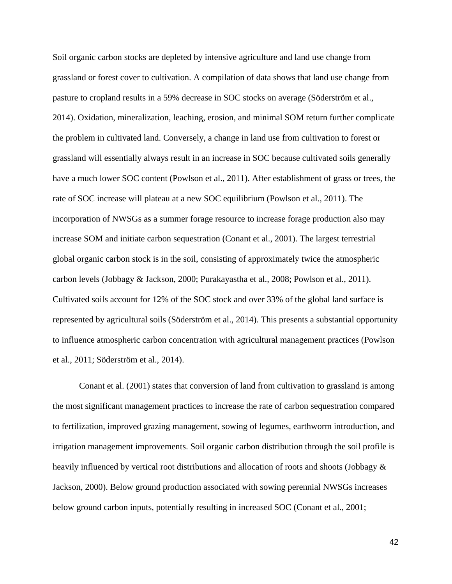Soil organic carbon stocks are depleted by intensive agriculture and land use change from grassland or forest cover to cultivation. A compilation of data shows that land use change from pasture to cropland results in a 59% decrease in SOC stocks on average (Söderström et al., 2014). Oxidation, mineralization, leaching, erosion, and minimal SOM return further complicate the problem in cultivated land. Conversely, a change in land use from cultivation to forest or grassland will essentially always result in an increase in SOC because cultivated soils generally have a much lower SOC content (Powlson et al., 2011). After establishment of grass or trees, the rate of SOC increase will plateau at a new SOC equilibrium (Powlson et al., 2011). The incorporation of NWSGs as a summer forage resource to increase forage production also may increase SOM and initiate carbon sequestration (Conant et al., 2001). The largest terrestrial global organic carbon stock is in the soil, consisting of approximately twice the atmospheric carbon levels (Jobbagy & Jackson, 2000; Purakayastha et al., 2008; Powlson et al., 2011). Cultivated soils account for 12% of the SOC stock and over 33% of the global land surface is represented by agricultural soils (Söderström et al., 2014). This presents a substantial opportunity to influence atmospheric carbon concentration with agricultural management practices (Powlson et al., 2011; Söderström et al., 2014).

Conant et al. (2001) states that conversion of land from cultivation to grassland is among the most significant management practices to increase the rate of carbon sequestration compared to fertilization, improved grazing management, sowing of legumes, earthworm introduction, and irrigation management improvements. Soil organic carbon distribution through the soil profile is heavily influenced by vertical root distributions and allocation of roots and shoots (Jobbagy & Jackson, 2000). Below ground production associated with sowing perennial NWSGs increases below ground carbon inputs, potentially resulting in increased SOC (Conant et al., 2001;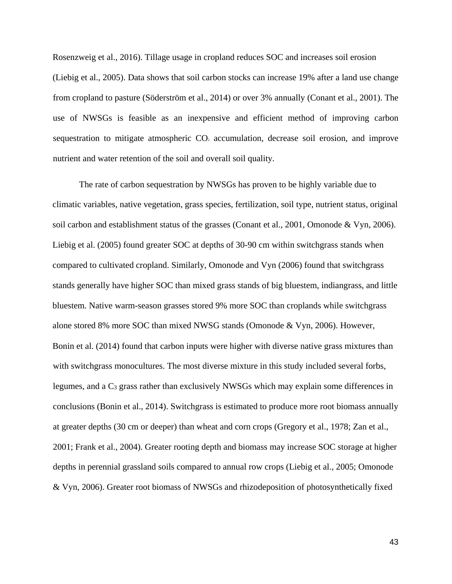Rosenzweig et al., 2016). Tillage usage in cropland reduces SOC and increases soil erosion (Liebig et al., 2005). Data shows that soil carbon stocks can increase 19% after a land use change from cropland to pasture (Söderström et al., 2014) or over 3% annually (Conant et al., 2001). The use of NWSGs is feasible as an inexpensive and efficient method of improving carbon sequestration to mitigate atmospheric  $CO<sub>2</sub>$  accumulation, decrease soil erosion, and improve nutrient and water retention of the soil and overall soil quality.

The rate of carbon sequestration by NWSGs has proven to be highly variable due to climatic variables, native vegetation, grass species, fertilization, soil type, nutrient status, original soil carbon and establishment status of the grasses (Conant et al., 2001, Omonode & Vyn, 2006). Liebig et al. (2005) found greater SOC at depths of 30-90 cm within switchgrass stands when compared to cultivated cropland. Similarly, Omonode and Vyn (2006) found that switchgrass stands generally have higher SOC than mixed grass stands of big bluestem, indiangrass, and little bluestem. Native warm-season grasses stored 9% more SOC than croplands while switchgrass alone stored 8% more SOC than mixed NWSG stands (Omonode & Vyn, 2006). However, Bonin et al. (2014) found that carbon inputs were higher with diverse native grass mixtures than with switchgrass monocultures. The most diverse mixture in this study included several forbs, legumes, and a C3 grass rather than exclusively NWSGs which may explain some differences in conclusions (Bonin et al., 2014). Switchgrass is estimated to produce more root biomass annually at greater depths (30 cm or deeper) than wheat and corn crops (Gregory et al., 1978; Zan et al., 2001; Frank et al., 2004). Greater rooting depth and biomass may increase SOC storage at higher depths in perennial grassland soils compared to annual row crops (Liebig et al., 2005; Omonode & Vyn, 2006). Greater root biomass of NWSGs and rhizodeposition of photosynthetically fixed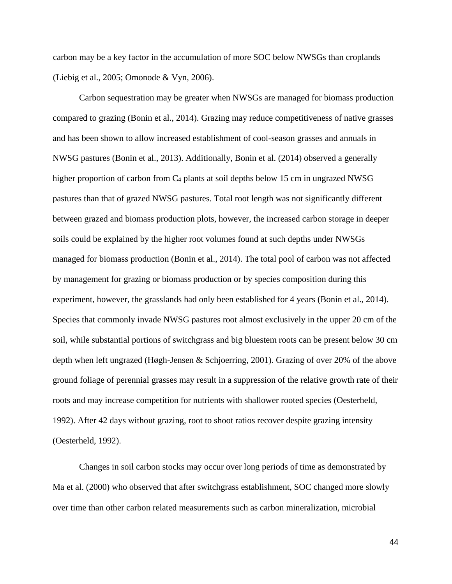carbon may be a key factor in the accumulation of more SOC below NWSGs than croplands (Liebig et al., 2005; Omonode & Vyn, 2006).

Carbon sequestration may be greater when NWSGs are managed for biomass production compared to grazing (Bonin et al., 2014). Grazing may reduce competitiveness of native grasses and has been shown to allow increased establishment of cool-season grasses and annuals in NWSG pastures (Bonin et al., 2013). Additionally, Bonin et al. (2014) observed a generally higher proportion of carbon from C4 plants at soil depths below 15 cm in ungrazed NWSG pastures than that of grazed NWSG pastures. Total root length was not significantly different between grazed and biomass production plots, however, the increased carbon storage in deeper soils could be explained by the higher root volumes found at such depths under NWSGs managed for biomass production (Bonin et al., 2014). The total pool of carbon was not affected by management for grazing or biomass production or by species composition during this experiment, however, the grasslands had only been established for 4 years (Bonin et al., 2014). Species that commonly invade NWSG pastures root almost exclusively in the upper 20 cm of the soil, while substantial portions of switchgrass and big bluestem roots can be present below 30 cm depth when left ungrazed (Høgh-Jensen & Schjoerring, 2001). Grazing of over 20% of the above ground foliage of perennial grasses may result in a suppression of the relative growth rate of their roots and may increase competition for nutrients with shallower rooted species (Oesterheld, 1992). After 42 days without grazing, root to shoot ratios recover despite grazing intensity (Oesterheld, 1992).

Changes in soil carbon stocks may occur over long periods of time as demonstrated by Ma et al. (2000) who observed that after switchgrass establishment, SOC changed more slowly over time than other carbon related measurements such as carbon mineralization, microbial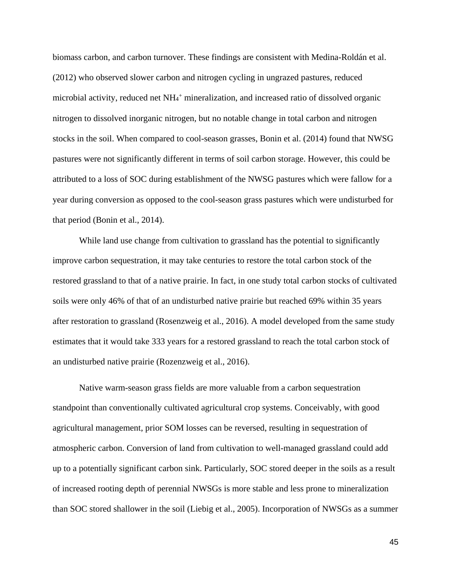biomass carbon, and carbon turnover. These findings are consistent with Medina-Roldán et al. (2012) who observed slower carbon and nitrogen cycling in ungrazed pastures, reduced microbial activity, reduced net NH<sub>4</sub><sup>+</sup> mineralization, and increased ratio of dissolved organic nitrogen to dissolved inorganic nitrogen, but no notable change in total carbon and nitrogen stocks in the soil. When compared to cool-season grasses, Bonin et al. (2014) found that NWSG pastures were not significantly different in terms of soil carbon storage. However, this could be attributed to a loss of SOC during establishment of the NWSG pastures which were fallow for a year during conversion as opposed to the cool-season grass pastures which were undisturbed for that period (Bonin et al., 2014).

While land use change from cultivation to grassland has the potential to significantly improve carbon sequestration, it may take centuries to restore the total carbon stock of the restored grassland to that of a native prairie. In fact, in one study total carbon stocks of cultivated soils were only 46% of that of an undisturbed native prairie but reached 69% within 35 years after restoration to grassland (Rosenzweig et al., 2016). A model developed from the same study estimates that it would take 333 years for a restored grassland to reach the total carbon stock of an undisturbed native prairie (Rozenzweig et al., 2016).

Native warm-season grass fields are more valuable from a carbon sequestration standpoint than conventionally cultivated agricultural crop systems. Conceivably, with good agricultural management, prior SOM losses can be reversed, resulting in sequestration of atmospheric carbon. Conversion of land from cultivation to well-managed grassland could add up to a potentially significant carbon sink. Particularly, SOC stored deeper in the soils as a result of increased rooting depth of perennial NWSGs is more stable and less prone to mineralization than SOC stored shallower in the soil (Liebig et al., 2005). Incorporation of NWSGs as a summer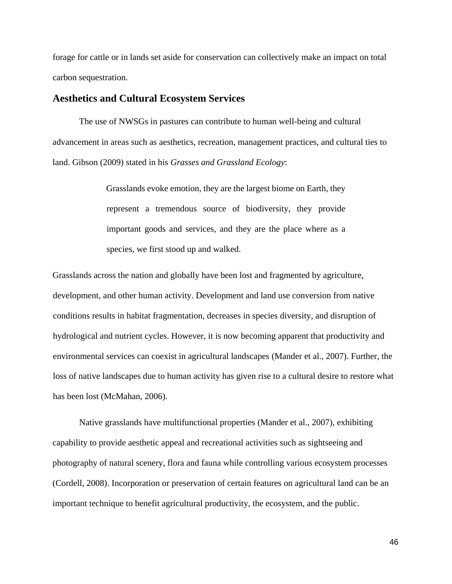forage for cattle or in lands set aside for conservation can collectively make an impact on total carbon sequestration.

#### **Aesthetics and Cultural Ecosystem Services**

The use of NWSGs in pastures can contribute to human well-being and cultural advancement in areas such as aesthetics, recreation, management practices, and cultural ties to land. Gibson (2009) stated in his *Grasses and Grassland Ecology*:

> Grasslands evoke emotion, they are the largest biome on Earth, they represent a tremendous source of biodiversity, they provide important goods and services, and they are the place where as a species, we first stood up and walked.

Grasslands across the nation and globally have been lost and fragmented by agriculture, development, and other human activity. Development and land use conversion from native conditions results in habitat fragmentation, decreases in species diversity, and disruption of hydrological and nutrient cycles. However, it is now becoming apparent that productivity and environmental services can coexist in agricultural landscapes (Mander et al., 2007). Further, the loss of native landscapes due to human activity has given rise to a cultural desire to restore what has been lost (McMahan, 2006).

Native grasslands have multifunctional properties (Mander et al., 2007), exhibiting capability to provide aesthetic appeal and recreational activities such as sightseeing and photography of natural scenery, flora and fauna while controlling various ecosystem processes (Cordell, 2008). Incorporation or preservation of certain features on agricultural land can be an important technique to benefit agricultural productivity, the ecosystem, and the public.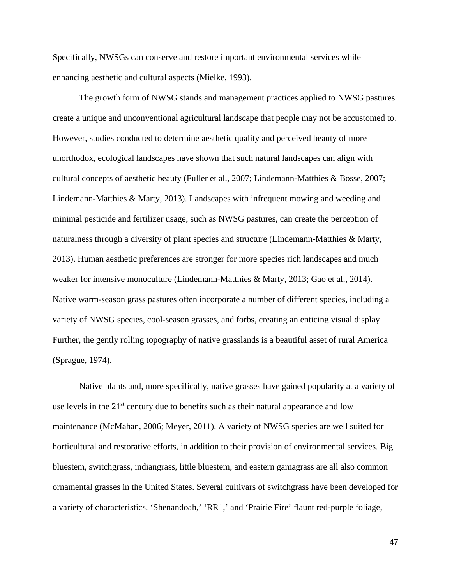Specifically, NWSGs can conserve and restore important environmental services while enhancing aesthetic and cultural aspects (Mielke, 1993).

The growth form of NWSG stands and management practices applied to NWSG pastures create a unique and unconventional agricultural landscape that people may not be accustomed to. However, studies conducted to determine aesthetic quality and perceived beauty of more unorthodox, ecological landscapes have shown that such natural landscapes can align with cultural concepts of aesthetic beauty (Fuller et al., 2007; Lindemann-Matthies & Bosse, 2007; Lindemann-Matthies & Marty, 2013). Landscapes with infrequent mowing and weeding and minimal pesticide and fertilizer usage, such as NWSG pastures, can create the perception of naturalness through a diversity of plant species and structure (Lindemann-Matthies & Marty, 2013). Human aesthetic preferences are stronger for more species rich landscapes and much weaker for intensive monoculture (Lindemann-Matthies & Marty, 2013; Gao et al., 2014). Native warm-season grass pastures often incorporate a number of different species, including a variety of NWSG species, cool-season grasses, and forbs, creating an enticing visual display. Further, the gently rolling topography of native grasslands is a beautiful asset of rural America (Sprague, 1974).

Native plants and, more specifically, native grasses have gained popularity at a variety of use levels in the  $21<sup>st</sup>$  century due to benefits such as their natural appearance and low maintenance (McMahan, 2006; Meyer, 2011). A variety of NWSG species are well suited for horticultural and restorative efforts, in addition to their provision of environmental services. Big bluestem, switchgrass, indiangrass, little bluestem, and eastern gamagrass are all also common ornamental grasses in the United States. Several cultivars of switchgrass have been developed for a variety of characteristics. 'Shenandoah,' 'RR1,' and 'Prairie Fire' flaunt red-purple foliage,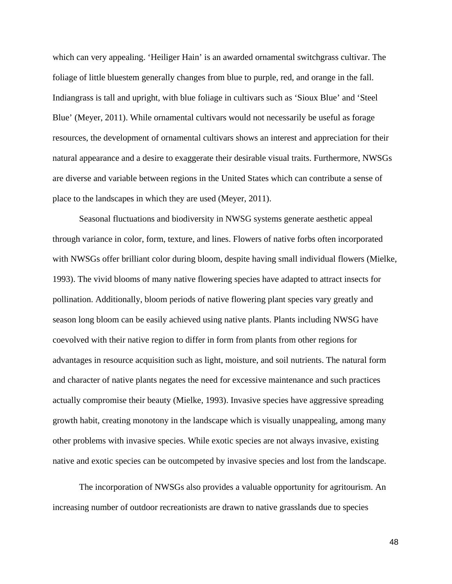which can very appealing. 'Heiliger Hain' is an awarded ornamental switchgrass cultivar. The foliage of little bluestem generally changes from blue to purple, red, and orange in the fall. Indiangrass is tall and upright, with blue foliage in cultivars such as 'Sioux Blue' and 'Steel Blue' (Meyer, 2011). While ornamental cultivars would not necessarily be useful as forage resources, the development of ornamental cultivars shows an interest and appreciation for their natural appearance and a desire to exaggerate their desirable visual traits. Furthermore, NWSGs are diverse and variable between regions in the United States which can contribute a sense of place to the landscapes in which they are used (Meyer, 2011).

Seasonal fluctuations and biodiversity in NWSG systems generate aesthetic appeal through variance in color, form, texture, and lines. Flowers of native forbs often incorporated with NWSGs offer brilliant color during bloom, despite having small individual flowers (Mielke, 1993). The vivid blooms of many native flowering species have adapted to attract insects for pollination. Additionally, bloom periods of native flowering plant species vary greatly and season long bloom can be easily achieved using native plants. Plants including NWSG have coevolved with their native region to differ in form from plants from other regions for advantages in resource acquisition such as light, moisture, and soil nutrients. The natural form and character of native plants negates the need for excessive maintenance and such practices actually compromise their beauty (Mielke, 1993). Invasive species have aggressive spreading growth habit, creating monotony in the landscape which is visually unappealing, among many other problems with invasive species. While exotic species are not always invasive, existing native and exotic species can be outcompeted by invasive species and lost from the landscape.

The incorporation of NWSGs also provides a valuable opportunity for agritourism. An increasing number of outdoor recreationists are drawn to native grasslands due to species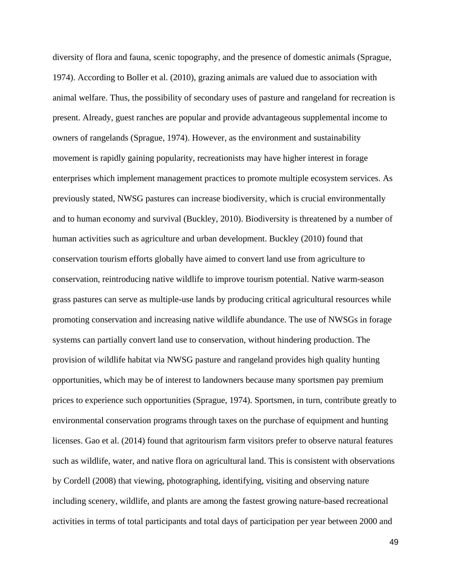diversity of flora and fauna, scenic topography, and the presence of domestic animals (Sprague, 1974). According to Boller et al. (2010), grazing animals are valued due to association with animal welfare. Thus, the possibility of secondary uses of pasture and rangeland for recreation is present. Already, guest ranches are popular and provide advantageous supplemental income to owners of rangelands (Sprague, 1974). However, as the environment and sustainability movement is rapidly gaining popularity, recreationists may have higher interest in forage enterprises which implement management practices to promote multiple ecosystem services. As previously stated, NWSG pastures can increase biodiversity, which is crucial environmentally and to human economy and survival (Buckley, 2010). Biodiversity is threatened by a number of human activities such as agriculture and urban development. Buckley (2010) found that conservation tourism efforts globally have aimed to convert land use from agriculture to conservation, reintroducing native wildlife to improve tourism potential. Native warm-season grass pastures can serve as multiple-use lands by producing critical agricultural resources while promoting conservation and increasing native wildlife abundance. The use of NWSGs in forage systems can partially convert land use to conservation, without hindering production. The provision of wildlife habitat via NWSG pasture and rangeland provides high quality hunting opportunities, which may be of interest to landowners because many sportsmen pay premium prices to experience such opportunities (Sprague, 1974). Sportsmen, in turn, contribute greatly to environmental conservation programs through taxes on the purchase of equipment and hunting licenses. Gao et al. (2014) found that agritourism farm visitors prefer to observe natural features such as wildlife, water, and native flora on agricultural land. This is consistent with observations by Cordell (2008) that viewing, photographing, identifying, visiting and observing nature including scenery, wildlife, and plants are among the fastest growing nature-based recreational activities in terms of total participants and total days of participation per year between 2000 and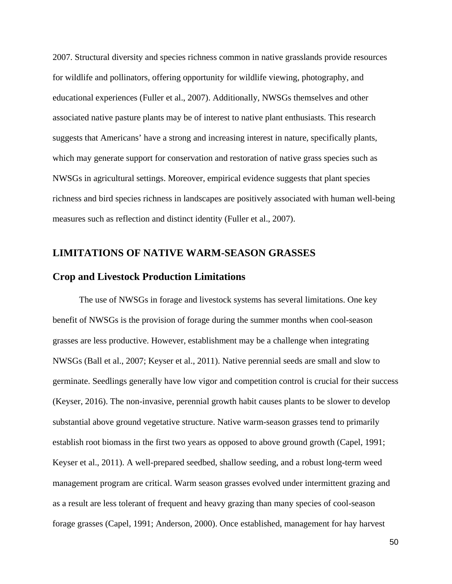2007. Structural diversity and species richness common in native grasslands provide resources for wildlife and pollinators, offering opportunity for wildlife viewing, photography, and educational experiences (Fuller et al., 2007). Additionally, NWSGs themselves and other associated native pasture plants may be of interest to native plant enthusiasts. This research suggests that Americans' have a strong and increasing interest in nature, specifically plants, which may generate support for conservation and restoration of native grass species such as NWSGs in agricultural settings. Moreover, empirical evidence suggests that plant species richness and bird species richness in landscapes are positively associated with human well-being measures such as reflection and distinct identity (Fuller et al., 2007).

## **LIMITATIONS OF NATIVE WARM-SEASON GRASSES**

#### **Crop and Livestock Production Limitations**

The use of NWSGs in forage and livestock systems has several limitations. One key benefit of NWSGs is the provision of forage during the summer months when cool-season grasses are less productive. However, establishment may be a challenge when integrating NWSGs (Ball et al., 2007; Keyser et al., 2011). Native perennial seeds are small and slow to germinate. Seedlings generally have low vigor and competition control is crucial for their success (Keyser, 2016). The non-invasive, perennial growth habit causes plants to be slower to develop substantial above ground vegetative structure. Native warm-season grasses tend to primarily establish root biomass in the first two years as opposed to above ground growth (Capel, 1991; Keyser et al., 2011). A well-prepared seedbed, shallow seeding, and a robust long-term weed management program are critical. Warm season grasses evolved under intermittent grazing and as a result are less tolerant of frequent and heavy grazing than many species of cool-season forage grasses (Capel, 1991; Anderson, 2000). Once established, management for hay harvest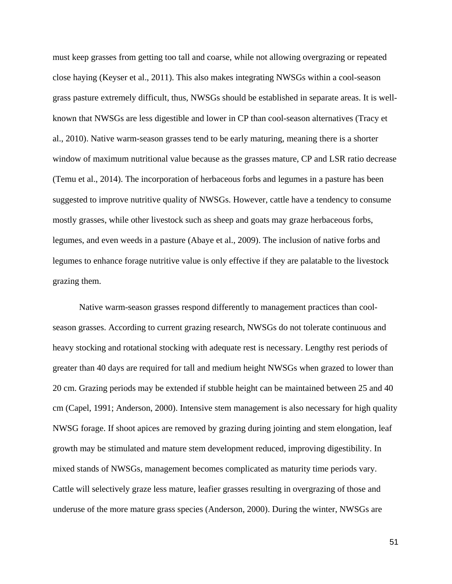must keep grasses from getting too tall and coarse, while not allowing overgrazing or repeated close haying (Keyser et al., 2011). This also makes integrating NWSGs within a cool-season grass pasture extremely difficult, thus, NWSGs should be established in separate areas. It is wellknown that NWSGs are less digestible and lower in CP than cool-season alternatives (Tracy et al., 2010). Native warm-season grasses tend to be early maturing, meaning there is a shorter window of maximum nutritional value because as the grasses mature, CP and LSR ratio decrease (Temu et al., 2014). The incorporation of herbaceous forbs and legumes in a pasture has been suggested to improve nutritive quality of NWSGs. However, cattle have a tendency to consume mostly grasses, while other livestock such as sheep and goats may graze herbaceous forbs, legumes, and even weeds in a pasture (Abaye et al., 2009). The inclusion of native forbs and legumes to enhance forage nutritive value is only effective if they are palatable to the livestock grazing them.

Native warm-season grasses respond differently to management practices than coolseason grasses. According to current grazing research, NWSGs do not tolerate continuous and heavy stocking and rotational stocking with adequate rest is necessary. Lengthy rest periods of greater than 40 days are required for tall and medium height NWSGs when grazed to lower than 20 cm. Grazing periods may be extended if stubble height can be maintained between 25 and 40 cm (Capel, 1991; Anderson, 2000). Intensive stem management is also necessary for high quality NWSG forage. If shoot apices are removed by grazing during jointing and stem elongation, leaf growth may be stimulated and mature stem development reduced, improving digestibility. In mixed stands of NWSGs, management becomes complicated as maturity time periods vary. Cattle will selectively graze less mature, leafier grasses resulting in overgrazing of those and underuse of the more mature grass species (Anderson, 2000). During the winter, NWSGs are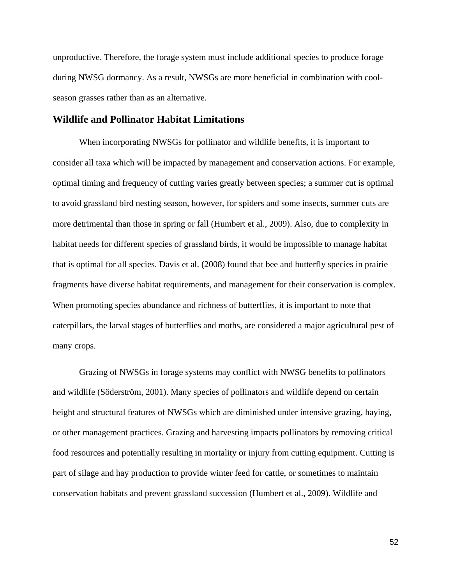unproductive. Therefore, the forage system must include additional species to produce forage during NWSG dormancy. As a result, NWSGs are more beneficial in combination with coolseason grasses rather than as an alternative.

#### **Wildlife and Pollinator Habitat Limitations**

When incorporating NWSGs for pollinator and wildlife benefits, it is important to consider all taxa which will be impacted by management and conservation actions. For example, optimal timing and frequency of cutting varies greatly between species; a summer cut is optimal to avoid grassland bird nesting season, however, for spiders and some insects, summer cuts are more detrimental than those in spring or fall (Humbert et al., 2009). Also, due to complexity in habitat needs for different species of grassland birds, it would be impossible to manage habitat that is optimal for all species. Davis et al. (2008) found that bee and butterfly species in prairie fragments have diverse habitat requirements, and management for their conservation is complex. When promoting species abundance and richness of butterflies, it is important to note that caterpillars, the larval stages of butterflies and moths, are considered a major agricultural pest of many crops.

Grazing of NWSGs in forage systems may conflict with NWSG benefits to pollinators and wildlife (Söderström, 2001). Many species of pollinators and wildlife depend on certain height and structural features of NWSGs which are diminished under intensive grazing, haying, or other management practices. Grazing and harvesting impacts pollinators by removing critical food resources and potentially resulting in mortality or injury from cutting equipment. Cutting is part of silage and hay production to provide winter feed for cattle, or sometimes to maintain conservation habitats and prevent grassland succession (Humbert et al., 2009). Wildlife and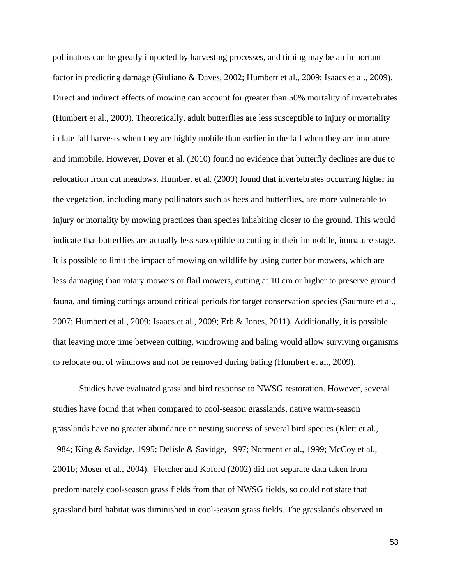pollinators can be greatly impacted by harvesting processes, and timing may be an important factor in predicting damage (Giuliano & Daves, 2002; Humbert et al., 2009; Isaacs et al., 2009). Direct and indirect effects of mowing can account for greater than 50% mortality of invertebrates (Humbert et al., 2009). Theoretically, adult butterflies are less susceptible to injury or mortality in late fall harvests when they are highly mobile than earlier in the fall when they are immature and immobile. However, Dover et al. (2010) found no evidence that butterfly declines are due to relocation from cut meadows. Humbert et al. (2009) found that invertebrates occurring higher in the vegetation, including many pollinators such as bees and butterflies, are more vulnerable to injury or mortality by mowing practices than species inhabiting closer to the ground. This would indicate that butterflies are actually less susceptible to cutting in their immobile, immature stage. It is possible to limit the impact of mowing on wildlife by using cutter bar mowers, which are less damaging than rotary mowers or flail mowers, cutting at 10 cm or higher to preserve ground fauna, and timing cuttings around critical periods for target conservation species (Saumure et al., 2007; Humbert et al., 2009; Isaacs et al., 2009; Erb & Jones, 2011). Additionally, it is possible that leaving more time between cutting, windrowing and baling would allow surviving organisms to relocate out of windrows and not be removed during baling (Humbert et al., 2009).

Studies have evaluated grassland bird response to NWSG restoration. However, several studies have found that when compared to cool-season grasslands, native warm-season grasslands have no greater abundance or nesting success of several bird species (Klett et al., 1984; King & Savidge, 1995; Delisle & Savidge, 1997; Norment et al., 1999; McCoy et al., 2001b; Moser et al., 2004). Fletcher and Koford (2002) did not separate data taken from predominately cool-season grass fields from that of NWSG fields, so could not state that grassland bird habitat was diminished in cool-season grass fields. The grasslands observed in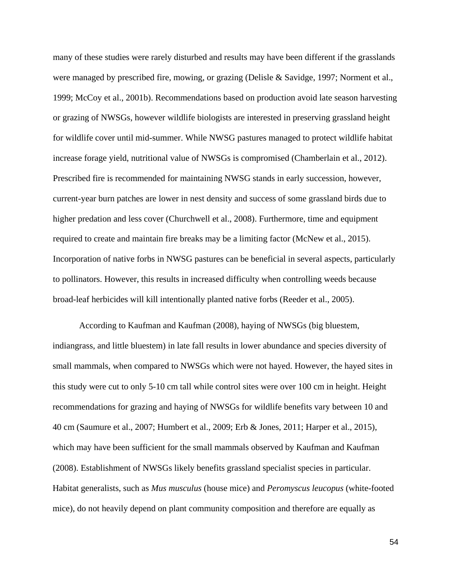many of these studies were rarely disturbed and results may have been different if the grasslands were managed by prescribed fire, mowing, or grazing (Delisle & Savidge, 1997; Norment et al., 1999; McCoy et al., 2001b). Recommendations based on production avoid late season harvesting or grazing of NWSGs, however wildlife biologists are interested in preserving grassland height for wildlife cover until mid-summer. While NWSG pastures managed to protect wildlife habitat increase forage yield, nutritional value of NWSGs is compromised (Chamberlain et al., 2012). Prescribed fire is recommended for maintaining NWSG stands in early succession, however, current-year burn patches are lower in nest density and success of some grassland birds due to higher predation and less cover (Churchwell et al., 2008). Furthermore, time and equipment required to create and maintain fire breaks may be a limiting factor (McNew et al., 2015). Incorporation of native forbs in NWSG pastures can be beneficial in several aspects, particularly to pollinators. However, this results in increased difficulty when controlling weeds because broad-leaf herbicides will kill intentionally planted native forbs (Reeder et al., 2005).

According to Kaufman and Kaufman (2008), haying of NWSGs (big bluestem, indiangrass, and little bluestem) in late fall results in lower abundance and species diversity of small mammals, when compared to NWSGs which were not hayed. However, the hayed sites in this study were cut to only 5-10 cm tall while control sites were over 100 cm in height. Height recommendations for grazing and haying of NWSGs for wildlife benefits vary between 10 and 40 cm (Saumure et al., 2007; Humbert et al., 2009; Erb & Jones, 2011; Harper et al., 2015), which may have been sufficient for the small mammals observed by Kaufman and Kaufman (2008). Establishment of NWSGs likely benefits grassland specialist species in particular. Habitat generalists, such as *Mus musculus* (house mice) and *Peromyscus leucopus* (white-footed mice), do not heavily depend on plant community composition and therefore are equally as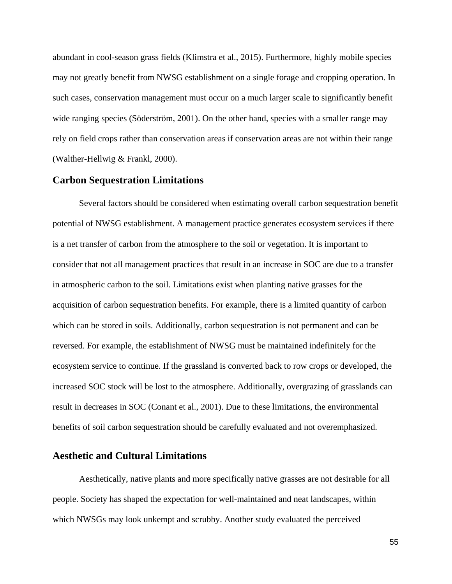abundant in cool-season grass fields (Klimstra et al., 2015). Furthermore, highly mobile species may not greatly benefit from NWSG establishment on a single forage and cropping operation. In such cases, conservation management must occur on a much larger scale to significantly benefit wide ranging species (Söderström, 2001). On the other hand, species with a smaller range may rely on field crops rather than conservation areas if conservation areas are not within their range (Walther-Hellwig & Frankl, 2000).

#### **Carbon Sequestration Limitations**

Several factors should be considered when estimating overall carbon sequestration benefit potential of NWSG establishment. A management practice generates ecosystem services if there is a net transfer of carbon from the atmosphere to the soil or vegetation. It is important to consider that not all management practices that result in an increase in SOC are due to a transfer in atmospheric carbon to the soil. Limitations exist when planting native grasses for the acquisition of carbon sequestration benefits. For example, there is a limited quantity of carbon which can be stored in soils. Additionally, carbon sequestration is not permanent and can be reversed. For example, the establishment of NWSG must be maintained indefinitely for the ecosystem service to continue. If the grassland is converted back to row crops or developed, the increased SOC stock will be lost to the atmosphere. Additionally, overgrazing of grasslands can result in decreases in SOC (Conant et al., 2001). Due to these limitations, the environmental benefits of soil carbon sequestration should be carefully evaluated and not overemphasized.

# **Aesthetic and Cultural Limitations**

Aesthetically, native plants and more specifically native grasses are not desirable for all people. Society has shaped the expectation for well-maintained and neat landscapes, within which NWSGs may look unkempt and scrubby. Another study evaluated the perceived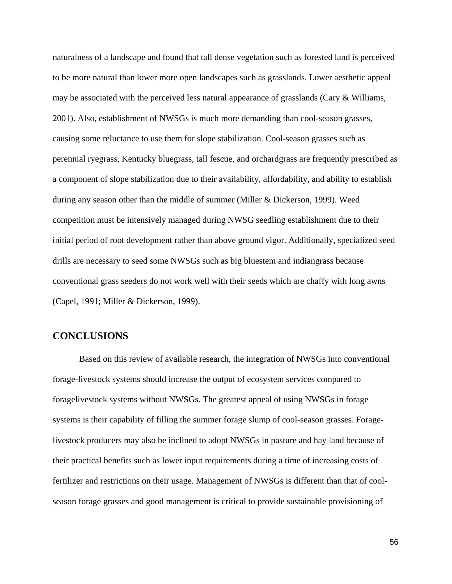naturalness of a landscape and found that tall dense vegetation such as forested land is perceived to be more natural than lower more open landscapes such as grasslands. Lower aesthetic appeal may be associated with the perceived less natural appearance of grasslands (Cary & Williams, 2001). Also, establishment of NWSGs is much more demanding than cool-season grasses, causing some reluctance to use them for slope stabilization. Cool-season grasses such as perennial ryegrass, Kentucky bluegrass, tall fescue, and orchardgrass are frequently prescribed as a component of slope stabilization due to their availability, affordability, and ability to establish during any season other than the middle of summer (Miller & Dickerson, 1999). Weed competition must be intensively managed during NWSG seedling establishment due to their initial period of root development rather than above ground vigor. Additionally, specialized seed drills are necessary to seed some NWSGs such as big bluestem and indiangrass because conventional grass seeders do not work well with their seeds which are chaffy with long awns (Capel, 1991; Miller & Dickerson, 1999).

### **CONCLUSIONS**

Based on this review of available research, the integration of NWSGs into conventional forage-livestock systems should increase the output of ecosystem services compared to foragelivestock systems without NWSGs. The greatest appeal of using NWSGs in forage systems is their capability of filling the summer forage slump of cool-season grasses. Foragelivestock producers may also be inclined to adopt NWSGs in pasture and hay land because of their practical benefits such as lower input requirements during a time of increasing costs of fertilizer and restrictions on their usage. Management of NWSGs is different than that of coolseason forage grasses and good management is critical to provide sustainable provisioning of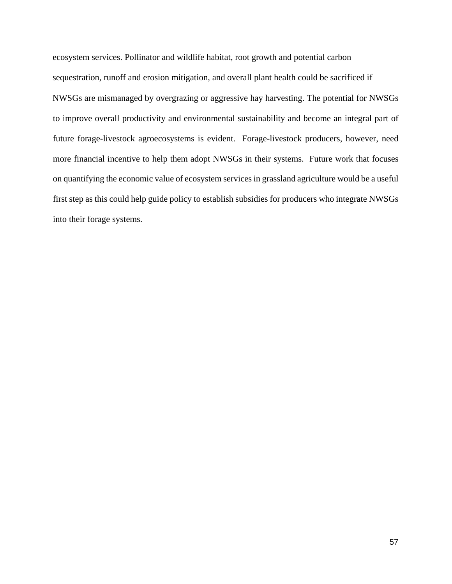ecosystem services. Pollinator and wildlife habitat, root growth and potential carbon sequestration, runoff and erosion mitigation, and overall plant health could be sacrificed if NWSGs are mismanaged by overgrazing or aggressive hay harvesting. The potential for NWSGs to improve overall productivity and environmental sustainability and become an integral part of future forage-livestock agroecosystems is evident. Forage-livestock producers, however, need more financial incentive to help them adopt NWSGs in their systems. Future work that focuses on quantifying the economic value of ecosystem services in grassland agriculture would be a useful first step as this could help guide policy to establish subsidies for producers who integrate NWSGs into their forage systems.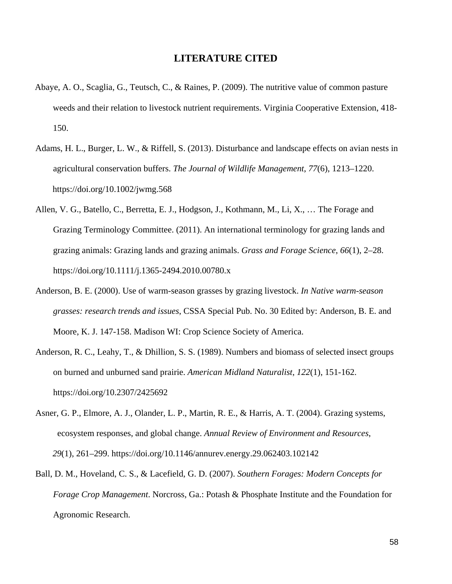## **LITERATURE CITED**

- Abaye, A. O., Scaglia, G., Teutsch, C., & Raines, P. (2009). The nutritive value of common pasture weeds and their relation to livestock nutrient requirements. Virginia Cooperative Extension, 418- 150.
- Adams, H. L., Burger, L. W., & Riffell, S. (2013). Disturbance and landscape effects on avian nests in agricultural conservation buffers. *The Journal of Wildlife Management*, *77*(6), 1213–1220. https://doi.org/10.1002/jwmg.568
- Allen, V. G., Batello, C., Berretta, E. J., Hodgson, J., Kothmann, M., Li, X., … The Forage and Grazing Terminology Committee. (2011). An international terminology for grazing lands and grazing animals: Grazing lands and grazing animals. *Grass and Forage Science*, *66*(1), 2–28. https://doi.org/10.1111/j.1365-2494.2010.00780.x
- Anderson, B. E. (2000). Use of warm-season grasses by grazing livestock. *In Native warm-season grasses: research trends and issues*, CSSA Special Pub. No. 30 Edited by: Anderson, B. E. and Moore, K. J. 147-158. Madison WI: Crop Science Society of America.
- Anderson, R. C., Leahy, T., & Dhillion, S. S. (1989). Numbers and biomass of selected insect groups on burned and unburned sand prairie. *American Midland Naturalist*, *122*(1), 151-162. https://doi.org/10.2307/2425692
- Asner, G. P., Elmore, A. J., Olander, L. P., Martin, R. E., & Harris, A. T. (2004). Grazing systems, ecosystem responses, and global change. *Annual Review of Environment and Resources*, *29*(1), 261–299. https://doi.org/10.1146/annurev.energy.29.062403.102142
- Ball, D. M., Hoveland, C. S., & Lacefield, G. D. (2007). *Southern Forages: Modern Concepts for Forage Crop Management*. Norcross, Ga.: Potash & Phosphate Institute and the Foundation for Agronomic Research.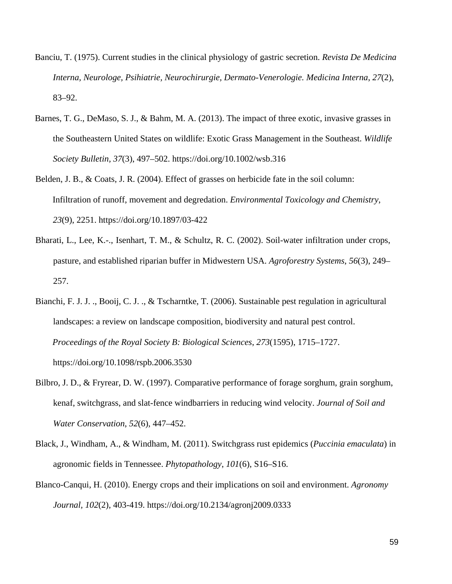- Banciu, T. (1975). Current studies in the clinical physiology of gastric secretion. *Revista De Medicina Interna, Neurologe, Psihiatrie, Neurochirurgie, Dermato-Venerologie. Medicina Interna*, *27*(2), 83–92.
- Barnes, T. G., DeMaso, S. J., & Bahm, M. A. (2013). The impact of three exotic, invasive grasses in the Southeastern United States on wildlife: Exotic Grass Management in the Southeast. *Wildlife Society Bulletin, 37*(3), 497–502. https://doi.org/10.1002/wsb.316
- Belden, J. B., & Coats, J. R. (2004). Effect of grasses on herbicide fate in the soil column: Infiltration of runoff, movement and degredation. *Environmental Toxicology and Chemistry*, *23*(9), 2251. https://doi.org/10.1897/03-422
- Bharati, L., Lee, K.-., Isenhart, T. M., & Schultz, R. C. (2002). Soil-water infiltration under crops, pasture, and established riparian buffer in Midwestern USA. *Agroforestry Systems*, *56*(3), 249– 257.
- Bianchi, F. J. J. ., Booij, C. J. ., & Tscharntke, T. (2006). Sustainable pest regulation in agricultural landscapes: a review on landscape composition, biodiversity and natural pest control. *Proceedings of the Royal Society B: Biological Sciences*, *273*(1595), 1715–1727. https://doi.org/10.1098/rspb.2006.3530
- Bilbro, J. D., & Fryrear, D. W. (1997). Comparative performance of forage sorghum, grain sorghum, kenaf, switchgrass, and slat-fence windbarriers in reducing wind velocity. *Journal of Soil and Water Conservation*, *52*(6), 447–452.
- Black, J., Windham, A., & Windham, M. (2011). Switchgrass rust epidemics (*Puccinia emaculata*) in agronomic fields in Tennessee. *Phytopathology*, *101*(6), S16–S16.
- Blanco-Canqui, H. (2010). Energy crops and their implications on soil and environment. *Agronomy Journal, 102*(2), 403-419. https://doi.org/10.2134/agronj2009.0333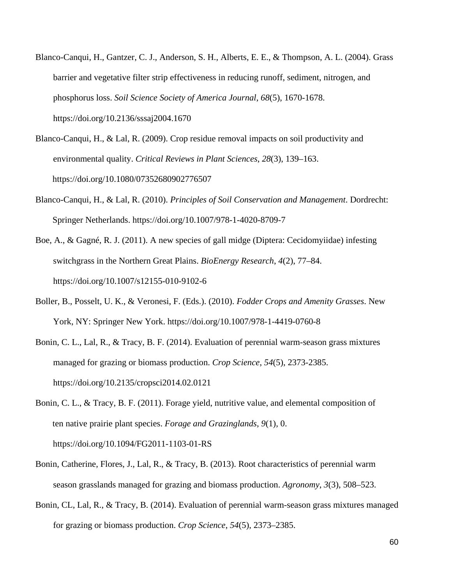- Blanco-Canqui, H., Gantzer, C. J., Anderson, S. H., Alberts, E. E., & Thompson, A. L. (2004). Grass barrier and vegetative filter strip effectiveness in reducing runoff, sediment, nitrogen, and phosphorus loss. *Soil Science Society of America Journal*, *68*(5), 1670-1678. https://doi.org/10.2136/sssaj2004.1670
- Blanco-Canqui, H., & Lal, R. (2009). Crop residue removal impacts on soil productivity and environmental quality. *Critical Reviews in Plant Sciences*, *28*(3), 139–163. https://doi.org/10.1080/07352680902776507
- Blanco-Canqui, H., & Lal, R. (2010). *Principles of Soil Conservation and Management*. Dordrecht: Springer Netherlands. https://doi.org/10.1007/978-1-4020-8709-7
- Boe, A., & Gagné, R. J. (2011). A new species of gall midge (Diptera: Cecidomyiidae) infesting switchgrass in the Northern Great Plains. *BioEnergy Research*, *4*(2), 77–84. https://doi.org/10.1007/s12155-010-9102-6
- Boller, B., Posselt, U. K., & Veronesi, F. (Eds.). (2010). *Fodder Crops and Amenity Grasses*. New York, NY: Springer New York. https://doi.org/10.1007/978-1-4419-0760-8
- Bonin, C. L., Lal, R., & Tracy, B. F. (2014). Evaluation of perennial warm-season grass mixtures managed for grazing or biomass production. *Crop Science*, *54*(5), 2373-2385. https://doi.org/10.2135/cropsci2014.02.0121
- Bonin, C. L., & Tracy, B. F. (2011). Forage yield, nutritive value, and elemental composition of ten native prairie plant species. *Forage and Grazinglands*, *9*(1), 0. https://doi.org/10.1094/FG2011-1103-01-RS
- Bonin, Catherine, Flores, J., Lal, R., & Tracy, B. (2013). Root characteristics of perennial warm season grasslands managed for grazing and biomass production. *Agronomy*, *3*(3), 508–523.
- Bonin, CL, Lal, R., & Tracy, B. (2014). Evaluation of perennial warm-season grass mixtures managed for grazing or biomass production. *Crop Science*, *54*(5), 2373–2385.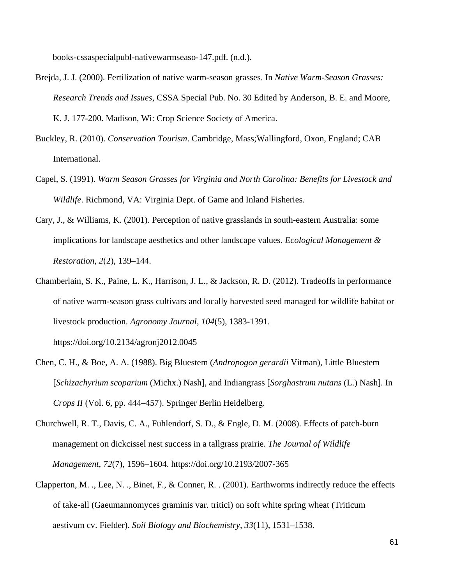books-cssaspecialpubl-nativewarmseaso-147.pdf. (n.d.).

- Brejda, J. J. (2000). Fertilization of native warm-season grasses. In *Native Warm-Season Grasses: Research Trends and Issues*, CSSA Special Pub. No. 30 Edited by Anderson, B. E. and Moore, K. J. 177-200. Madison, Wi: Crop Science Society of America.
- Buckley, R. (2010). *Conservation Tourism*. Cambridge, Mass;Wallingford, Oxon, England; CAB International.
- Capel, S. (1991). *Warm Season Grasses for Virginia and North Carolina: Benefits for Livestock and Wildlife*. Richmond, VA: Virginia Dept. of Game and Inland Fisheries.
- Cary, J., & Williams, K. (2001). Perception of native grasslands in south-eastern Australia: some implications for landscape aesthetics and other landscape values. *Ecological Management & Restoration*, *2*(2), 139–144.
- Chamberlain, S. K., Paine, L. K., Harrison, J. L., & Jackson, R. D. (2012). Tradeoffs in performance of native warm-season grass cultivars and locally harvested seed managed for wildlife habitat or livestock production. *Agronomy Journal*, *104*(5), 1383-1391.

https://doi.org/10.2134/agronj2012.0045

- Chen, C. H., & Boe, A. A. (1988). Big Bluestem (*Andropogon gerardii* Vitman), Little Bluestem [*Schizachyrium scoparium* (Michx.) Nash], and Indiangrass [*Sorghastrum nutans* (L.) Nash]. In *Crops II* (Vol. 6, pp. 444–457). Springer Berlin Heidelberg.
- Churchwell, R. T., Davis, C. A., Fuhlendorf, S. D., & Engle, D. M. (2008). Effects of patch-burn management on dickcissel nest success in a tallgrass prairie. *The Journal of Wildlife Management*, *72*(7), 1596–1604. https://doi.org/10.2193/2007-365
- Clapperton, M. ., Lee, N. ., Binet, F., & Conner, R. . (2001). Earthworms indirectly reduce the effects of take-all (Gaeumannomyces graminis var. tritici) on soft white spring wheat (Triticum aestivum cv. Fielder). *Soil Biology and Biochemistry*, *33*(11), 1531–1538.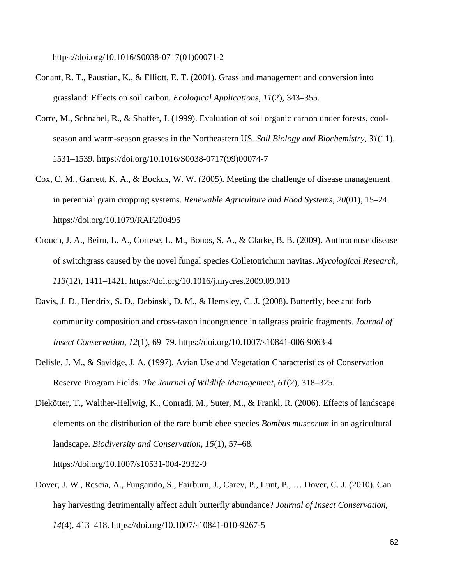https://doi.org/10.1016/S0038-0717(01)00071-2

- Conant, R. T., Paustian, K., & Elliott, E. T. (2001). Grassland management and conversion into grassland: Effects on soil carbon. *Ecological Applications*, *11*(2), 343–355.
- Corre, M., Schnabel, R., & Shaffer, J. (1999). Evaluation of soil organic carbon under forests, coolseason and warm-season grasses in the Northeastern US. *Soil Biology and Biochemistry*, *31*(11), 1531–1539. https://doi.org/10.1016/S0038-0717(99)00074-7
- Cox, C. M., Garrett, K. A., & Bockus, W. W. (2005). Meeting the challenge of disease management in perennial grain cropping systems. *Renewable Agriculture and Food Systems*, *20*(01), 15–24. https://doi.org/10.1079/RAF200495
- Crouch, J. A., Beirn, L. A., Cortese, L. M., Bonos, S. A., & Clarke, B. B. (2009). Anthracnose disease of switchgrass caused by the novel fungal species Colletotrichum navitas. *Mycological Research*, *113*(12), 1411–1421. https://doi.org/10.1016/j.mycres.2009.09.010
- Davis, J. D., Hendrix, S. D., Debinski, D. M., & Hemsley, C. J. (2008). Butterfly, bee and forb community composition and cross-taxon incongruence in tallgrass prairie fragments. *Journal of Insect Conservation*, *12*(1), 69–79. https://doi.org/10.1007/s10841-006-9063-4
- Delisle, J. M., & Savidge, J. A. (1997). Avian Use and Vegetation Characteristics of Conservation Reserve Program Fields. *The Journal of Wildlife Management*, *61*(2), 318–325.
- Diekötter, T., Walther-Hellwig, K., Conradi, M., Suter, M., & Frankl, R. (2006). Effects of landscape elements on the distribution of the rare bumblebee species *Bombus muscorum* in an agricultural landscape. *Biodiversity and Conservation, 15*(1), 57–68.

https://doi.org/10.1007/s10531-004-2932-9

Dover, J. W., Rescia, A., Fungariño, S., Fairburn, J., Carey, P., Lunt, P., … Dover, C. J. (2010). Can hay harvesting detrimentally affect adult butterfly abundance? *Journal of Insect Conservation*, *14*(4), 413–418. https://doi.org/10.1007/s10841-010-9267-5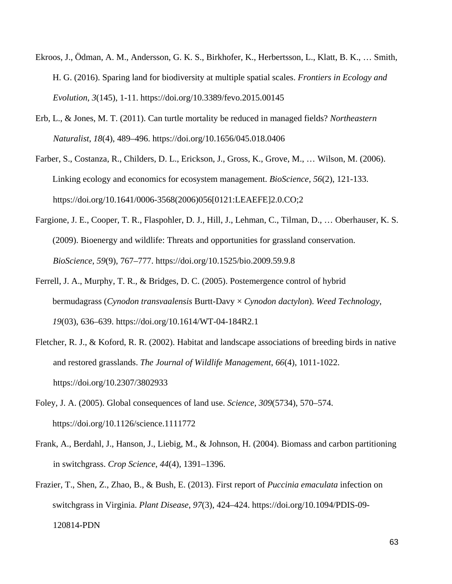- Ekroos, J., Ödman, A. M., Andersson, G. K. S., Birkhofer, K., Herbertsson, L., Klatt, B. K., … Smith, H. G. (2016). Sparing land for biodiversity at multiple spatial scales. *Frontiers in Ecology and Evolution*, *3*(145), 1-11. https://doi.org/10.3389/fevo.2015.00145
- Erb, L., & Jones, M. T. (2011). Can turtle mortality be reduced in managed fields? *Northeastern Naturalist*, *18*(4), 489–496. https://doi.org/10.1656/045.018.0406
- Farber, S., Costanza, R., Childers, D. L., Erickson, J., Gross, K., Grove, M., … Wilson, M. (2006). Linking ecology and economics for ecosystem management. *BioScience*, *56*(2), 121-133. https://doi.org/10.1641/0006-3568(2006)056[0121:LEAEFE]2.0.CO;2
- Fargione, J. E., Cooper, T. R., Flaspohler, D. J., Hill, J., Lehman, C., Tilman, D., … Oberhauser, K. S. (2009). Bioenergy and wildlife: Threats and opportunities for grassland conservation. *BioScience*, *59*(9), 767–777. https://doi.org/10.1525/bio.2009.59.9.8
- Ferrell, J. A., Murphy, T. R., & Bridges, D. C. (2005). Postemergence control of hybrid bermudagrass (*Cynodon transvaalensis* Burtt-Davy × *Cynodon dactylon*). *Weed Technology*, *19*(03), 636–639. https://doi.org/10.1614/WT-04-184R2.1
- Fletcher, R. J., & Koford, R. R. (2002). Habitat and landscape associations of breeding birds in native and restored grasslands. *The Journal of Wildlife Management*, *66*(4), 1011-1022. https://doi.org/10.2307/3802933
- Foley, J. A. (2005). Global consequences of land use. *Science*, *309*(5734), 570–574. https://doi.org/10.1126/science.1111772
- Frank, A., Berdahl, J., Hanson, J., Liebig, M., & Johnson, H. (2004). Biomass and carbon partitioning in switchgrass. *Crop Science*, *44*(4), 1391–1396.
- Frazier, T., Shen, Z., Zhao, B., & Bush, E. (2013). First report of *Puccinia emaculata* infection on switchgrass in Virginia. *Plant Disease*, *97*(3), 424–424. https://doi.org/10.1094/PDIS-09- 120814-PDN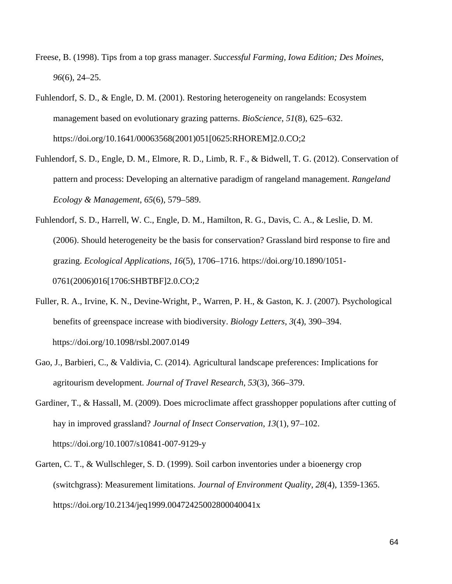- Freese, B. (1998). Tips from a top grass manager. *Successful Farming, Iowa Edition; Des Moines*, *96*(6), 24–25.
- Fuhlendorf, S. D., & Engle, D. M. (2001). Restoring heterogeneity on rangelands: Ecosystem management based on evolutionary grazing patterns. *BioScience*, *51*(8), 625–632. https://doi.org/10.1641/00063568(2001)051[0625:RHOREM]2.0.CO;2
- Fuhlendorf, S. D., Engle, D. M., Elmore, R. D., Limb, R. F., & Bidwell, T. G. (2012). Conservation of pattern and process: Developing an alternative paradigm of rangeland management. *Rangeland Ecology & Management*, *65*(6), 579–589.
- Fuhlendorf, S. D., Harrell, W. C., Engle, D. M., Hamilton, R. G., Davis, C. A., & Leslie, D. M. (2006). Should heterogeneity be the basis for conservation? Grassland bird response to fire and grazing. *Ecological Applications*, *16*(5), 1706–1716. https://doi.org/10.1890/1051- 0761(2006)016[1706:SHBTBF]2.0.CO;2
- Fuller, R. A., Irvine, K. N., Devine-Wright, P., Warren, P. H., & Gaston, K. J. (2007). Psychological benefits of greenspace increase with biodiversity. *Biology Letters*, *3*(4), 390–394. https://doi.org/10.1098/rsbl.2007.0149
- Gao, J., Barbieri, C., & Valdivia, C. (2014). Agricultural landscape preferences: Implications for agritourism development. *Journal of Travel Research*, *53*(3), 366–379.
- Gardiner, T., & Hassall, M. (2009). Does microclimate affect grasshopper populations after cutting of hay in improved grassland? *Journal of Insect Conservation*, *13*(1), 97–102. https://doi.org/10.1007/s10841-007-9129-y
- Garten, C. T., & Wullschleger, S. D. (1999). Soil carbon inventories under a bioenergy crop (switchgrass): Measurement limitations. *Journal of Environment Quality*, *28*(4), 1359-1365. https://doi.org/10.2134/jeq1999.00472425002800040041x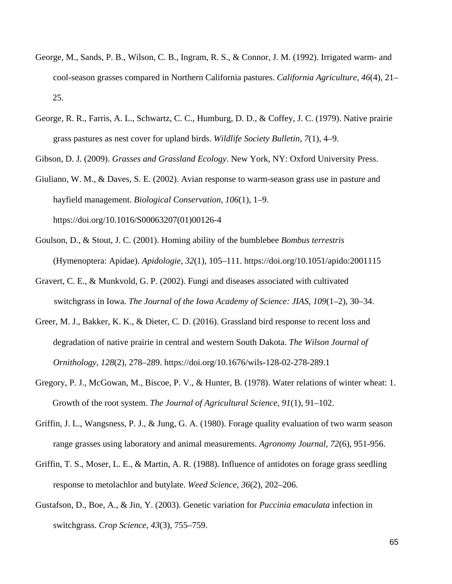- George, M., Sands, P. B., Wilson, C. B., Ingram, R. S., & Connor, J. M. (1992). Irrigated warm- and cool-season grasses compared in Northern California pastures. *California Agriculture*, *46*(4), 21– 25.
- George, R. R., Farris, A. L., Schwartz, C. C., Humburg, D. D., & Coffey, J. C. (1979). Native prairie grass pastures as nest cover for upland birds. *Wildlife Society Bulletin*, *7*(1), 4–9.

Gibson, D. J. (2009). *Grasses and Grassland Ecology*. New York, NY: Oxford University Press.

- Giuliano, W. M., & Daves, S. E. (2002). Avian response to warm-season grass use in pasture and hayfield management. *Biological Conservation*, *106*(1), 1–9. https://doi.org/10.1016/S00063207(01)00126-4
- Goulson, D., & Stout, J. C. (2001). Homing ability of the bumblebee *Bombus terrestris* (Hymenoptera: Apidae). *Apidologie*, *32*(1), 105–111. https://doi.org/10.1051/apido:2001115
- Gravert, C. E., & Munkvold, G. P. (2002). Fungi and diseases associated with cultivated switchgrass in Iowa. *The Journal of the Iowa Academy of Science: JIAS*, *109*(1–2), 30–34.
- Greer, M. J., Bakker, K. K., & Dieter, C. D. (2016). Grassland bird response to recent loss and degradation of native prairie in central and western South Dakota. *The Wilson Journal of Ornithology*, *128*(2), 278–289. https://doi.org/10.1676/wils-128-02-278-289.1
- Gregory, P. J., McGowan, M., Biscoe, P. V., & Hunter, B. (1978). Water relations of winter wheat: 1. Growth of the root system. *The Journal of Agricultural Science*, *91*(1), 91–102.
- Griffin, J. L., Wangsness, P. J., & Jung, G. A. (1980). Forage quality evaluation of two warm season range grasses using laboratory and animal measurements. *Agronomy Journal*, *72*(6), 951-956.
- Griffin, T. S., Moser, L. E., & Martin, A. R. (1988). Influence of antidotes on forage grass seedling response to metolachlor and butylate. *Weed Science*, *36*(2), 202–206.
- Gustafson, D., Boe, A., & Jin, Y. (2003). Genetic variation for *Puccinia emaculata* infection in switchgrass. *Crop Science*, *43*(3), 755–759.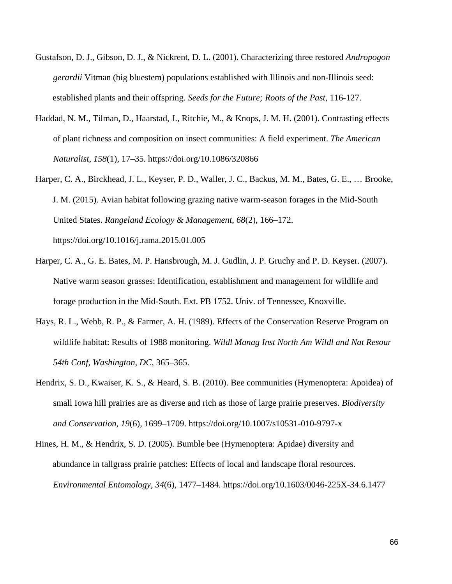- Gustafson, D. J., Gibson, D. J., & Nickrent, D. L. (2001). Characterizing three restored *Andropogon gerardii* Vitman (big bluestem) populations established with Illinois and non-Illinois seed: established plants and their offspring. *Seeds for the Future; Roots of the Past*, 116-127.
- Haddad, N. M., Tilman, D., Haarstad, J., Ritchie, M., & Knops, J. M. H. (2001). Contrasting effects of plant richness and composition on insect communities: A field experiment. *The American Naturalist*, *158*(1), 17–35. https://doi.org/10.1086/320866
- Harper, C. A., Birckhead, J. L., Keyser, P. D., Waller, J. C., Backus, M. M., Bates, G. E., … Brooke, J. M. (2015). Avian habitat following grazing native warm-season forages in the Mid-South United States. *Rangeland Ecology & Management*, *68*(2), 166–172. https://doi.org/10.1016/j.rama.2015.01.005
- Harper, C. A., G. E. Bates, M. P. Hansbrough, M. J. Gudlin, J. P. Gruchy and P. D. Keyser. (2007). Native warm season grasses: Identification, establishment and management for wildlife and forage production in the Mid-South. Ext. PB 1752. Univ. of Tennessee, Knoxville.
- Hays, R. L., Webb, R. P., & Farmer, A. H. (1989). Effects of the Conservation Reserve Program on wildlife habitat: Results of 1988 monitoring. *Wildl Manag Inst North Am Wildl and Nat Resour 54th Conf, Washington, DC*, 365–365.
- Hendrix, S. D., Kwaiser, K. S., & Heard, S. B. (2010). Bee communities (Hymenoptera: Apoidea) of small Iowa hill prairies are as diverse and rich as those of large prairie preserves. *Biodiversity and Conservation, 19*(6), 1699–1709.<https://doi.org/10.1007/s10531-010-9797-x>
- Hines, H. M., & Hendrix, S. D. (2005). Bumble bee (Hymenoptera: Apidae) diversity and abundance in tallgrass prairie patches: Effects of local and landscape floral resources. *Environmental Entomology*, *34*(6), 1477–1484. https://doi.org/10.1603/0046-225X-34.6.1477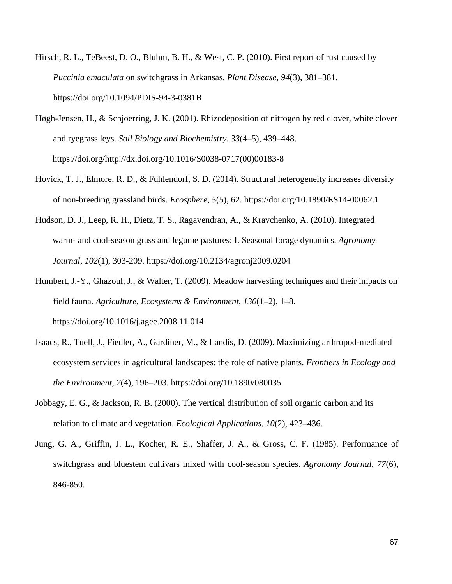- Hirsch, R. L., TeBeest, D. O., Bluhm, B. H., & West, C. P. (2010). First report of rust caused by *Puccinia emaculata* on switchgrass in Arkansas. *Plant Disease*, *94*(3), 381–381. https://doi.org/10.1094/PDIS-94-3-0381B
- Høgh-Jensen, H., & Schjoerring, J. K. (2001). Rhizodeposition of nitrogen by red clover, white clover and ryegrass leys. *Soil Biology and Biochemistry*, *33*(4–5), 439–448. https://doi.org/http://dx.doi.org/10.1016/S0038-0717(00)00183-8
- Hovick, T. J., Elmore, R. D., & Fuhlendorf, S. D. (2014). Structural heterogeneity increases diversity of non-breeding grassland birds. *Ecosphere*, *5*(5), 62. https://doi.org/10.1890/ES14-00062.1
- Hudson, D. J., Leep, R. H., Dietz, T. S., Ragavendran, A., & Kravchenko, A. (2010). Integrated warm- and cool-season grass and legume pastures: I. Seasonal forage dynamics. *Agronomy Journal*, *102*(1), 303-209. https://doi.org/10.2134/agronj2009.0204
- Humbert, J.-Y., Ghazoul, J., & Walter, T. (2009). Meadow harvesting techniques and their impacts on field fauna. *Agriculture, Ecosystems & Environment*, *130*(1–2), 1–8. https://doi.org/10.1016/j.agee.2008.11.014
- Isaacs, R., Tuell, J., Fiedler, A., Gardiner, M., & Landis, D. (2009). Maximizing arthropod-mediated ecosystem services in agricultural landscapes: the role of native plants. *Frontiers in Ecology and the Environment*, *7*(4), 196–203. https://doi.org/10.1890/080035
- Jobbagy, E. G., & Jackson, R. B. (2000). The vertical distribution of soil organic carbon and its relation to climate and vegetation. *Ecological Applications*, *10*(2), 423–436.
- Jung, G. A., Griffin, J. L., Kocher, R. E., Shaffer, J. A., & Gross, C. F. (1985). Performance of switchgrass and bluestem cultivars mixed with cool-season species. *Agronomy Journal*, *77*(6), 846-850.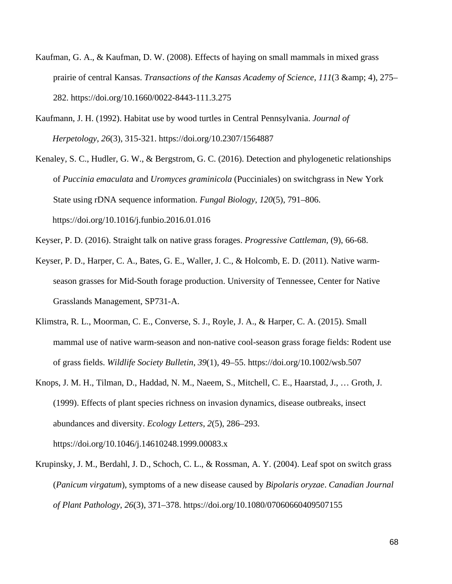- Kaufman, G. A., & Kaufman, D. W. (2008). Effects of haying on small mammals in mixed grass prairie of central Kansas. *Transactions of the Kansas Academy of Science*, 111(3 & amp; 4), 275– 282. https://doi.org/10.1660/0022-8443-111.3.275
- Kaufmann, J. H. (1992). Habitat use by wood turtles in Central Pennsylvania. *Journal of Herpetology*, *26*(3), 315-321. https://doi.org/10.2307/1564887
- Kenaley, S. C., Hudler, G. W., & Bergstrom, G. C. (2016). Detection and phylogenetic relationships of *Puccinia emaculata* and *Uromyces graminicola* (Pucciniales) on switchgrass in New York State using rDNA sequence information. *Fungal Biology*, *120*(5), 791–806. https://doi.org/10.1016/j.funbio.2016.01.016
- Keyser, P. D. (2016). Straight talk on native grass forages. *Progressive Cattleman,* (9), 66-68.
- Keyser, P. D., Harper, C. A., Bates, G. E., Waller, J. C., & Holcomb, E. D. (2011). Native warmseason grasses for Mid-South forage production. University of Tennessee, Center for Native Grasslands Management, SP731-A.
- Klimstra, R. L., Moorman, C. E., Converse, S. J., Royle, J. A., & Harper, C. A. (2015). Small mammal use of native warm-season and non-native cool-season grass forage fields: Rodent use of grass fields. *Wildlife Society Bulletin*, *39*(1), 49–55. https://doi.org/10.1002/wsb.507
- Knops, J. M. H., Tilman, D., Haddad, N. M., Naeem, S., Mitchell, C. E., Haarstad, J., … Groth, J. (1999). Effects of plant species richness on invasion dynamics, disease outbreaks, insect abundances and diversity. *Ecology Letters*, *2*(5), 286–293. https://doi.org/10.1046/j.14610248.1999.00083.x
- Krupinsky, J. M., Berdahl, J. D., Schoch, C. L., & Rossman, A. Y. (2004). Leaf spot on switch grass (*Panicum virgatum*), symptoms of a new disease caused by *Bipolaris oryzae*. *Canadian Journal of Plant Pathology*, *26*(3), 371–378. https://doi.org/10.1080/07060660409507155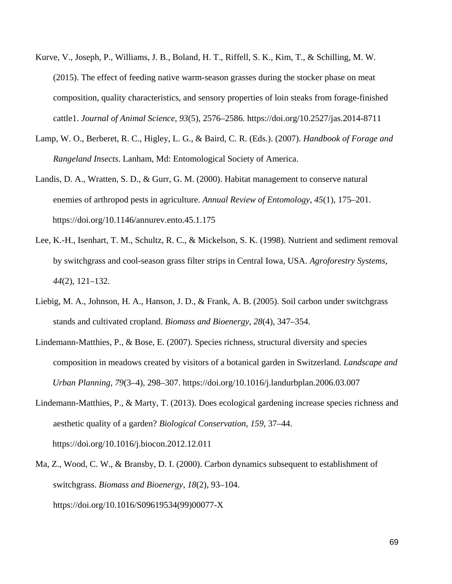- Kurve, V., Joseph, P., Williams, J. B., Boland, H. T., Riffell, S. K., Kim, T., & Schilling, M. W. (2015). The effect of feeding native warm-season grasses during the stocker phase on meat composition, quality characteristics, and sensory properties of loin steaks from forage-finished cattle1. *Journal of Animal Science*, *93*(5), 2576–2586. https://doi.org/10.2527/jas.2014-8711
- Lamp, W. O., Berberet, R. C., Higley, L. G., & Baird, C. R. (Eds.). (2007). *Handbook of Forage and Rangeland Insects*. Lanham, Md: Entomological Society of America.
- Landis, D. A., Wratten, S. D., & Gurr, G. M. (2000). Habitat management to conserve natural enemies of arthropod pests in agriculture. *Annual Review of Entomology*, *45*(1), 175–201. https://doi.org/10.1146/annurev.ento.45.1.175
- Lee, K.-H., Isenhart, T. M., Schultz, R. C., & Mickelson, S. K. (1998). Nutrient and sediment removal by switchgrass and cool-season grass filter strips in Central Iowa, USA. *Agroforestry Systems*, *44*(2), 121–132.
- Liebig, M. A., Johnson, H. A., Hanson, J. D., & Frank, A. B. (2005). Soil carbon under switchgrass stands and cultivated cropland. *Biomass and Bioenergy*, *28*(4), 347–354.
- Lindemann-Matthies, P., & Bose, E. (2007). Species richness, structural diversity and species composition in meadows created by visitors of a botanical garden in Switzerland. *Landscape and Urban Planning*, *79*(3–4), 298–307. https://doi.org/10.1016/j.landurbplan.2006.03.007
- Lindemann-Matthies, P., & Marty, T. (2013). Does ecological gardening increase species richness and aesthetic quality of a garden? *Biological Conservation*, *159*, 37–44. https://doi.org/10.1016/j.biocon.2012.12.011
- Ma, Z., Wood, C. W., & Bransby, D. I. (2000). Carbon dynamics subsequent to establishment of switchgrass. *Biomass and Bioenergy*, *18*(2), 93–104. https://doi.org/10.1016/S09619534(99)00077-X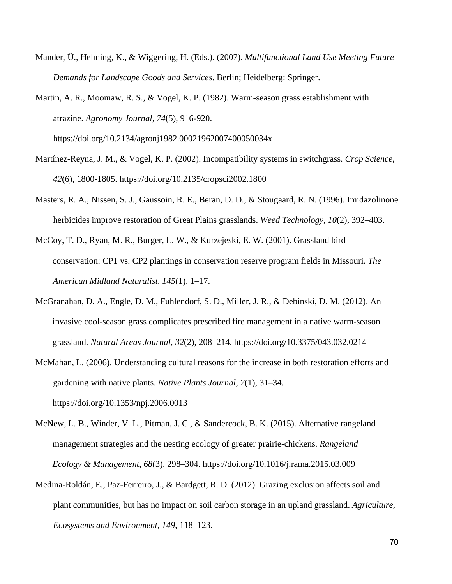- Mander, Ü., Helming, K., & Wiggering, H. (Eds.). (2007). *Multifunctional Land Use Meeting Future Demands for Landscape Goods and Services*. Berlin; Heidelberg: Springer.
- Martin, A. R., Moomaw, R. S., & Vogel, K. P. (1982). Warm-season grass establishment with atrazine. *Agronomy Journal*, *74*(5), 916-920.

https://doi.org/10.2134/agronj1982.00021962007400050034x

- Martínez-Reyna, J. M., & Vogel, K. P. (2002). Incompatibility systems in switchgrass. *Crop Science*, *42*(6), 1800-1805. https://doi.org/10.2135/cropsci2002.1800
- Masters, R. A., Nissen, S. J., Gaussoin, R. E., Beran, D. D., & Stougaard, R. N. (1996). Imidazolinone herbicides improve restoration of Great Plains grasslands. *Weed Technology*, *10*(2), 392–403.
- McCoy, T. D., Ryan, M. R., Burger, L. W., & Kurzejeski, E. W. (2001). Grassland bird conservation: CP1 vs. CP2 plantings in conservation reserve program fields in Missouri. *The American Midland Naturalist*, *145*(1), 1–17.
- McGranahan, D. A., Engle, D. M., Fuhlendorf, S. D., Miller, J. R., & Debinski, D. M. (2012). An invasive cool-season grass complicates prescribed fire management in a native warm-season grassland. *Natural Areas Journal*, *32*(2), 208–214. https://doi.org/10.3375/043.032.0214
- McMahan, L. (2006). Understanding cultural reasons for the increase in both restoration efforts and gardening with native plants. *Native Plants Journal*, *7*(1), 31–34. https://doi.org/10.1353/npj.2006.0013
- McNew, L. B., Winder, V. L., Pitman, J. C., & Sandercock, B. K. (2015). Alternative rangeland management strategies and the nesting ecology of greater prairie-chickens. *Rangeland Ecology & Management*, *68*(3), 298–304. https://doi.org/10.1016/j.rama.2015.03.009
- Medina-Roldán, E., Paz-Ferreiro, J., & Bardgett, R. D. (2012). Grazing exclusion affects soil and plant communities, but has no impact on soil carbon storage in an upland grassland. *Agriculture, Ecosystems and Environment*, *149*, 118–123.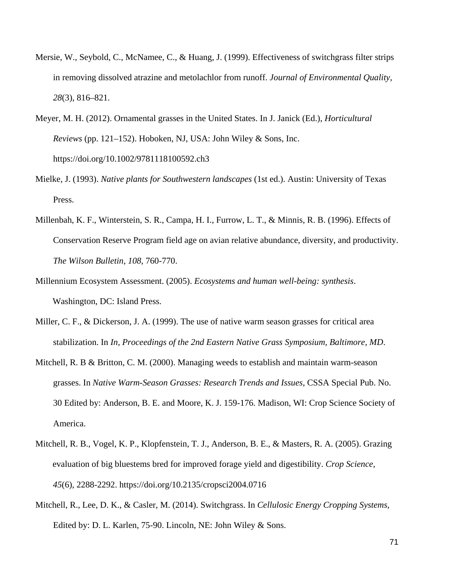- Mersie, W., Seybold, C., McNamee, C., & Huang, J. (1999). Effectiveness of switchgrass filter strips in removing dissolved atrazine and metolachlor from runoff. *Journal of Environmental Quality*, *28*(3), 816–821.
- Meyer, M. H. (2012). Ornamental grasses in the United States. In J. Janick (Ed.), *Horticultural Reviews* (pp. 121–152). Hoboken, NJ, USA: John Wiley & Sons, Inc. https://doi.org/10.1002/9781118100592.ch3
- Mielke, J. (1993). *Native plants for Southwestern landscapes* (1st ed.). Austin: University of Texas Press.
- Millenbah, K. F., Winterstein, S. R., Campa, H. I., Furrow, L. T., & Minnis, R. B. (1996). Effects of Conservation Reserve Program field age on avian relative abundance, diversity, and productivity. *The Wilson Bulletin*, *108*, 760-770.
- Millennium Ecosystem Assessment. (2005). *Ecosystems and human well-being: synthesis*. Washington, DC: Island Press.
- Miller, C. F., & Dickerson, J. A. (1999). The use of native warm season grasses for critical area stabilization. In *In, Proceedings of the 2nd Eastern Native Grass Symposium, Baltimore, MD*.
- Mitchell, R. B & Britton, C. M. (2000). Managing weeds to establish and maintain warm-season grasses. In *Native Warm-Season Grasses: Research Trends and Issues*, CSSA Special Pub. No. 30 Edited by: Anderson, B. E. and Moore, K. J. 159-176. Madison, WI: Crop Science Society of America.
- Mitchell, R. B., Vogel, K. P., Klopfenstein, T. J., Anderson, B. E., & Masters, R. A. (2005). Grazing evaluation of big bluestems bred for improved forage yield and digestibility. *Crop Science*, *45*(6), 2288-2292. https://doi.org/10.2135/cropsci2004.0716
- Mitchell, R., Lee, D. K., & Casler, M. (2014). Switchgrass. In *Cellulosic Energy Cropping Systems*, Edited by: D. L. Karlen, 75-90. Lincoln, NE: John Wiley & Sons.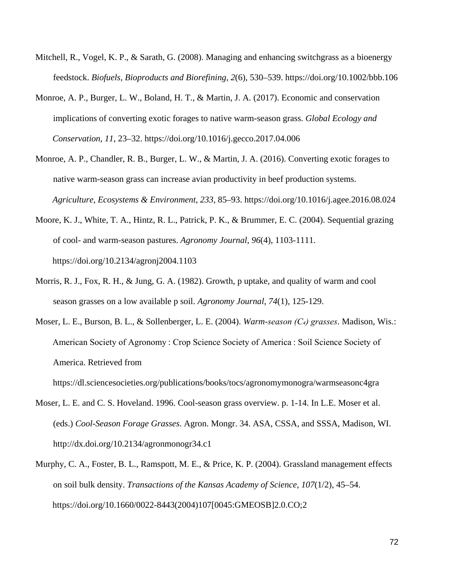- Mitchell, R., Vogel, K. P., & Sarath, G. (2008). Managing and enhancing switchgrass as a bioenergy feedstock. *Biofuels, Bioproducts and Biorefining*, *2*(6), 530–539. https://doi.org/10.1002/bbb.106
- Monroe, A. P., Burger, L. W., Boland, H. T., & Martin, J. A. (2017). Economic and conservation implications of converting exotic forages to native warm-season grass. *Global Ecology and Conservation*, *11*, 23–32. https://doi.org/10.1016/j.gecco.2017.04.006
- Monroe, A. P., Chandler, R. B., Burger, L. W., & Martin, J. A. (2016). Converting exotic forages to native warm-season grass can increase avian productivity in beef production systems. *Agriculture, Ecosystems & Environment*, *233*, 85–93. https://doi.org/10.1016/j.agee.2016.08.024
- Moore, K. J., White, T. A., Hintz, R. L., Patrick, P. K., & Brummer, E. C. (2004). Sequential grazing of cool- and warm-season pastures. *Agronomy Journal*, *96*(4), 1103-1111. https://doi.org/10.2134/agronj2004.1103
- Morris, R. J., Fox, R. H., & Jung, G. A. (1982). Growth, p uptake, and quality of warm and cool season grasses on a low available p soil. *Agronomy Journal*, *74*(1), 125-129.
- Moser, L. E., Burson, B. L., & Sollenberger, L. E. (2004). *Warm-season (C<sub>4</sub>) grasses*. Madison, Wis.: American Society of Agronomy : Crop Science Society of America : Soil Science Society of America. Retrieved from

https://dl.sciencesocieties.org/publications/books/tocs/agronomymonogra/warmseasonc4gra

- Moser, L. E. and C. S. Hoveland. 1996. Cool-season grass overview. p. 1-14. In L.E. Moser et al. (eds.) *Cool-Season Forage Grasses*. Agron. Mongr. 34. ASA, CSSA, and SSSA, Madison, WI. http://dx.doi.org/10.2134/agronmonogr34.c1
- Murphy, C. A., Foster, B. L., Ramspott, M. E., & Price, K. P. (2004). Grassland management effects on soil bulk density. *Transactions of the Kansas Academy of Science*, *107*(1/2), 45–54. https://doi.org/10.1660/0022-8443(2004)107[0045:GMEOSB]2.0.CO;2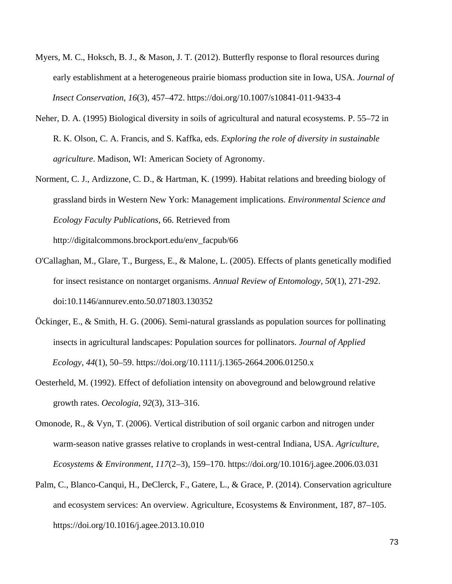- Myers, M. C., Hoksch, B. J., & Mason, J. T. (2012). Butterfly response to floral resources during early establishment at a heterogeneous prairie biomass production site in Iowa, USA. *Journal of Insect Conservation*, *16*(3), 457–472. https://doi.org/10.1007/s10841-011-9433-4
- Neher, D. A. (1995) Biological diversity in soils of agricultural and natural ecosystems. P. 55–72 in R. K. Olson, C. A. Francis, and S. Kaffka, eds. *Exploring the role of diversity in sustainable agriculture*. Madison, WI: American Society of Agronomy.
- Norment, C. J., Ardizzone, C. D., & Hartman, K. (1999). Habitat relations and breeding biology of grassland birds in Western New York: Management implications. *Environmental Science and Ecology Faculty Publications*, 66. Retrieved from http://digitalcommons.brockport.edu/env\_facpub/66
- O'Callaghan, M., Glare, T., Burgess, E., & Malone, L. (2005). Effects of plants genetically modified for insect resistance on nontarget organisms. *Annual Review of Entomology, 50*(1), 271-292. doi:10.1146/annurev.ento.50.071803.130352
- Öckinger, E., & Smith, H. G. (2006). Semi-natural grasslands as population sources for pollinating insects in agricultural landscapes: Population sources for pollinators. *Journal of Applied Ecology*, *44*(1), 50–59. https://doi.org/10.1111/j.1365-2664.2006.01250.x
- Oesterheld, M. (1992). Effect of defoliation intensity on aboveground and belowground relative growth rates. *Oecologia*, *92*(3), 313–316.
- Omonode, R., & Vyn, T. (2006). Vertical distribution of soil organic carbon and nitrogen under warm-season native grasses relative to croplands in west-central Indiana, USA. *Agriculture, Ecosystems & Environment*, *117*(2–3), 159–170. https://doi.org/10.1016/j.agee.2006.03.031
- Palm, C., Blanco-Canqui, H., DeClerck, F., Gatere, L., & Grace, P. (2014). Conservation agriculture and ecosystem services: An overview. Agriculture, Ecosystems & Environment, 187, 87–105. https://doi.org/10.1016/j.agee.2013.10.010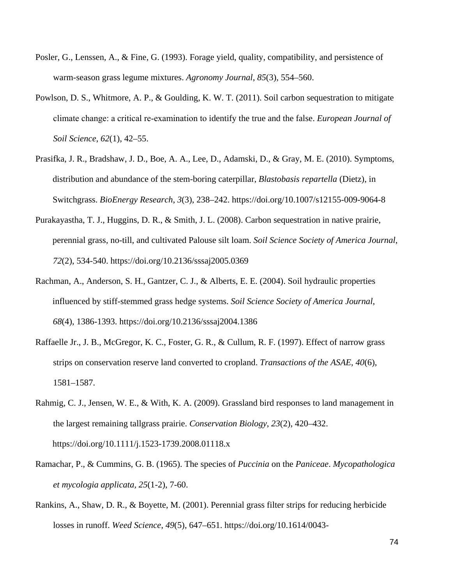- Posler, G., Lenssen, A., & Fine, G. (1993). Forage yield, quality, compatibility, and persistence of warm-season grass legume mixtures. *Agronomy Journal*, *85*(3), 554–560.
- Powlson, D. S., Whitmore, A. P., & Goulding, K. W. T. (2011). Soil carbon sequestration to mitigate climate change: a critical re‐examination to identify the true and the false. *European Journal of Soil Science*, *62*(1), 42–55.
- Prasifka, J. R., Bradshaw, J. D., Boe, A. A., Lee, D., Adamski, D., & Gray, M. E. (2010). Symptoms, distribution and abundance of the stem-boring caterpillar, *Blastobasis repartella* (Dietz), in Switchgrass. *BioEnergy Research*, *3*(3), 238–242. https://doi.org/10.1007/s12155-009-9064-8
- Purakayastha, T. J., Huggins, D. R., & Smith, J. L. (2008). Carbon sequestration in native prairie, perennial grass, no-till, and cultivated Palouse silt loam. *Soil Science Society of America Journal*, *72*(2), 534-540. https://doi.org/10.2136/sssaj2005.0369
- Rachman, A., Anderson, S. H., Gantzer, C. J., & Alberts, E. E. (2004). Soil hydraulic properties influenced by stiff-stemmed grass hedge systems. *Soil Science Society of America Journal*, *68*(4), 1386-1393. https://doi.org/10.2136/sssaj2004.1386
- Raffaelle Jr., J. B., McGregor, K. C., Foster, G. R., & Cullum, R. F. (1997). Effect of narrow grass strips on conservation reserve land converted to cropland. *Transactions of the ASAE*, *40*(6), 1581–1587.
- Rahmig, C. J., Jensen, W. E., & With, K. A. (2009). Grassland bird responses to land management in the largest remaining tallgrass prairie. *Conservation Biology*, *23*(2), 420–432. https://doi.org/10.1111/j.1523-1739.2008.01118.x
- Ramachar, P., & Cummins, G. B. (1965). The species of *Puccinia* on the *Paniceae*. *Mycopathologica et mycologia applicata, 25*(1-2), 7-60.
- Rankins, A., Shaw, D. R., & Boyette, M. (2001). Perennial grass filter strips for reducing herbicide losses in runoff. *Weed Science*, *49*(5), 647–651. https://doi.org/10.1614/0043-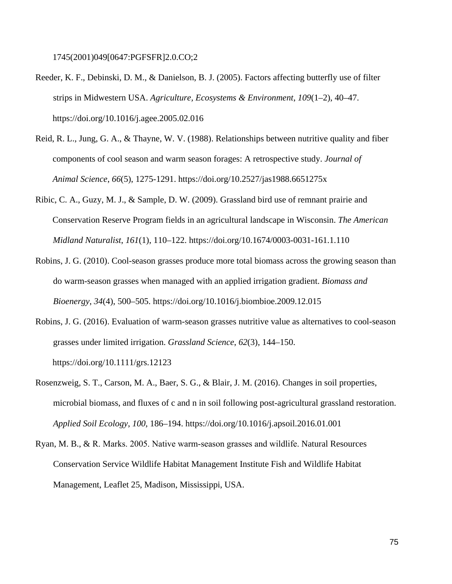1745(2001)049[0647:PGFSFR]2.0.CO;2

- Reeder, K. F., Debinski, D. M., & Danielson, B. J. (2005). Factors affecting butterfly use of filter strips in Midwestern USA. *Agriculture, Ecosystems & Environment*, *109*(1–2), 40–47. https://doi.org/10.1016/j.agee.2005.02.016
- Reid, R. L., Jung, G. A., & Thayne, W. V. (1988). Relationships between nutritive quality and fiber components of cool season and warm season forages: A retrospective study. *Journal of Animal Science*, *66*(5), 1275-1291. https://doi.org/10.2527/jas1988.6651275x
- Ribic, C. A., Guzy, M. J., & Sample, D. W. (2009). Grassland bird use of remnant prairie and Conservation Reserve Program fields in an agricultural landscape in Wisconsin. *The American Midland Naturalist*, *161*(1), 110–122. https://doi.org/10.1674/0003-0031-161.1.110
- Robins, J. G. (2010). Cool-season grasses produce more total biomass across the growing season than do warm-season grasses when managed with an applied irrigation gradient. *Biomass and Bioenergy*, *34*(4), 500–505. https://doi.org/10.1016/j.biombioe.2009.12.015
- Robins, J. G. (2016). Evaluation of warm-season grasses nutritive value as alternatives to cool-season grasses under limited irrigation. *Grassland Science*, *62*(3), 144–150. https://doi.org/10.1111/grs.12123
- Rosenzweig, S. T., Carson, M. A., Baer, S. G., & Blair, J. M. (2016). Changes in soil properties, microbial biomass, and fluxes of c and n in soil following post-agricultural grassland restoration. *Applied Soil Ecology*, *100*, 186–194. https://doi.org/10.1016/j.apsoil.2016.01.001
- Ryan, M. B., & R. Marks. 2005. Native warm‐season grasses and wildlife. Natural Resources Conservation Service Wildlife Habitat Management Institute Fish and Wildlife Habitat Management, Leaflet 25, Madison, Mississippi, USA.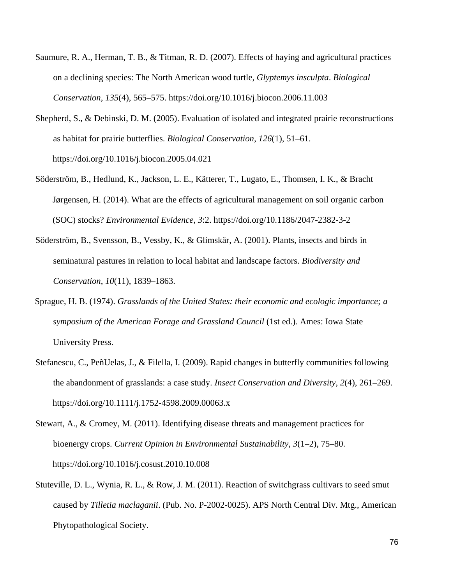- Saumure, R. A., Herman, T. B., & Titman, R. D. (2007). Effects of haying and agricultural practices on a declining species: The North American wood turtle, *Glyptemys insculpta*. *Biological Conservation*, *135*(4), 565–575. https://doi.org/10.1016/j.biocon.2006.11.003
- Shepherd, S., & Debinski, D. M. (2005). Evaluation of isolated and integrated prairie reconstructions as habitat for prairie butterflies. *Biological Conservation*, *126*(1), 51–61. https://doi.org/10.1016/j.biocon.2005.04.021
- Söderström, B., Hedlund, K., Jackson, L. E., Kätterer, T., Lugato, E., Thomsen, I. K., & Bracht Jørgensen, H. (2014). What are the effects of agricultural management on soil organic carbon (SOC) stocks? *Environmental Evidence*, *3*:2. https://doi.org/10.1186/2047-2382-3-2
- Söderström, B., Svensson, B., Vessby, K., & Glimskär, A. (2001). Plants, insects and birds in seminatural pastures in relation to local habitat and landscape factors. *Biodiversity and Conservation*, *10*(11), 1839–1863.
- Sprague, H. B. (1974). *Grasslands of the United States: their economic and ecologic importance; a symposium of the American Forage and Grassland Council* (1st ed.). Ames: Iowa State University Press.
- Stefanescu, C., PeñUelas, J., & Filella, I. (2009). Rapid changes in butterfly communities following the abandonment of grasslands: a case study. *Insect Conservation and Diversity*, *2*(4), 261–269. https://doi.org/10.1111/j.1752-4598.2009.00063.x
- Stewart, A., & Cromey, M. (2011). Identifying disease threats and management practices for bioenergy crops. *Current Opinion in Environmental Sustainability*, *3*(1–2), 75–80. https://doi.org/10.1016/j.cosust.2010.10.008
- Stuteville, D. L., Wynia, R. L., & Row, J. M. (2011). Reaction of switchgrass cultivars to seed smut caused by *Tilletia maclaganii*. (Pub. No. P-2002-0025). APS North Central Div. Mtg., American Phytopathological Society.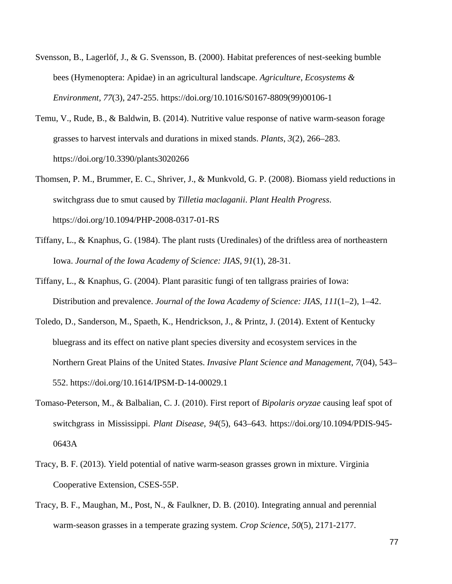- Svensson, B., Lagerlöf, J., & G. Svensson, B. (2000). Habitat preferences of nest-seeking bumble bees (Hymenoptera: Apidae) in an agricultural landscape. *Agriculture, Ecosystems & Environment, 77*(3), 247-255. https://doi.org/10.1016/S0167-8809(99)00106-1
- Temu, V., Rude, B., & Baldwin, B. (2014). Nutritive value response of native warm-season forage grasses to harvest intervals and durations in mixed stands. *Plants*, *3*(2), 266–283. https://doi.org/10.3390/plants3020266
- Thomsen, P. M., Brummer, E. C., Shriver, J., & Munkvold, G. P. (2008). Biomass yield reductions in switchgrass due to smut caused by *Tilletia maclaganii*. *Plant Health Progress*. https://doi.org/10.1094/PHP-2008-0317-01-RS
- Tiffany, L., & Knaphus, G. (1984). The plant rusts (Uredinales) of the driftless area of northeastern Iowa. *Journal of the Iowa Academy of Science: JIAS, 91*(1), 28-31.
- Tiffany, L., & Knaphus, G. (2004). Plant parasitic fungi of ten tallgrass prairies of Iowa: Distribution and prevalence. *Journal of the Iowa Academy of Science: JIAS*, *111*(1–2), 1–42.
- Toledo, D., Sanderson, M., Spaeth, K., Hendrickson, J., & Printz, J. (2014). Extent of Kentucky bluegrass and its effect on native plant species diversity and ecosystem services in the Northern Great Plains of the United States. *Invasive Plant Science and Management*, *7*(04), 543– 552. https://doi.org/10.1614/IPSM-D-14-00029.1
- Tomaso-Peterson, M., & Balbalian, C. J. (2010). First report of *Bipolaris oryzae* causing leaf spot of switchgrass in Mississippi. *Plant Disease*, *94*(5), 643–643. https://doi.org/10.1094/PDIS-945- 0643A
- Tracy, B. F. (2013). Yield potential of native warm-season grasses grown in mixture. Virginia Cooperative Extension, CSES-55P.
- Tracy, B. F., Maughan, M., Post, N., & Faulkner, D. B. (2010). Integrating annual and perennial warm-season grasses in a temperate grazing system. *Crop Science*, *50*(5), 2171-2177.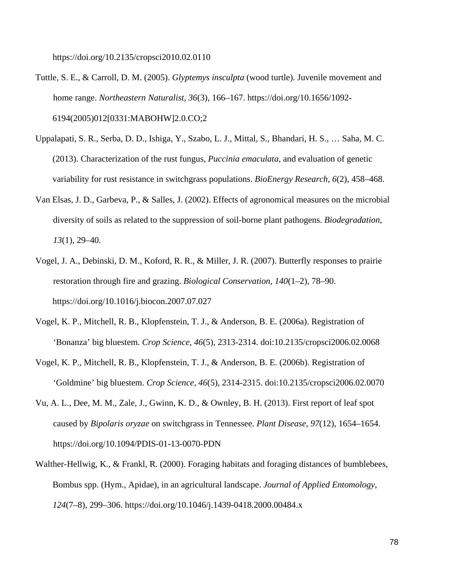https://doi.org/10.2135/cropsci2010.02.0110

- Tuttle, S. E., & Carroll, D. M. (2005). *Glyptemys insculpta* (wood turtle). Juvenile movement and home range. *Northeastern Naturalist*, *36*(3), 166–167. https://doi.org/10.1656/1092- 6194(2005)012[0331:MABOHW]2.0.CO;2
- Uppalapati, S. R., Serba, D. D., Ishiga, Y., Szabo, L. J., Mittal, S., Bhandari, H. S., … Saha, M. C. (2013). Characterization of the rust fungus, *Puccinia emaculata*, and evaluation of genetic variability for rust resistance in switchgrass populations. *BioEnergy Research*, *6*(2), 458–468.
- Van Elsas, J. D., Garbeva, P., & Salles, J. (2002). Effects of agronomical measures on the microbial diversity of soils as related to the suppression of soil-borne plant pathogens. *Biodegradation*, *13*(1), 29–40.
- Vogel, J. A., Debinski, D. M., Koford, R. R., & Miller, J. R. (2007). Butterfly responses to prairie restoration through fire and grazing. *Biological Conservation*, *140*(1–2), 78–90. https://doi.org/10.1016/j.biocon.2007.07.027
- Vogel, K. P., Mitchell, R. B., Klopfenstein, T. J., & Anderson, B. E. (2006a). Registration of 'Bonanza' big bluestem. *Crop Science, 46*(5), 2313-2314. doi:10.2135/cropsci2006.02.0068
- Vogel, K. P., Mitchell, R. B., Klopfenstein, T. J., & Anderson, B. E. (2006b). Registration of 'Goldmine' big bluestem. *Crop Science, 46*(5), 2314-2315. doi:10.2135/cropsci2006.02.0070
- Vu, A. L., Dee, M. M., Zale, J., Gwinn, K. D., & Ownley, B. H. (2013). First report of leaf spot caused by *Bipolaris oryzae* on switchgrass in Tennessee. *Plant Disease*, *97*(12), 1654–1654. https://doi.org/10.1094/PDIS-01-13-0070-PDN
- Walther-Hellwig, K., & Frankl, R. (2000). Foraging habitats and foraging distances of bumblebees, Bombus spp. (Hym., Apidae), in an agricultural landscape. *Journal of Applied Entomology*, *124*(7–8), 299–306. https://doi.org/10.1046/j.1439-0418.2000.00484.x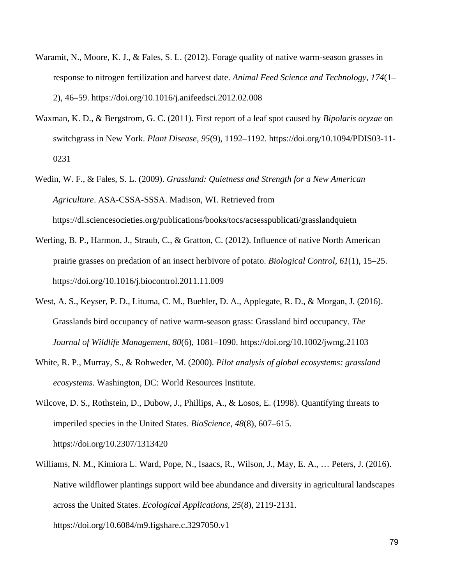- Waramit, N., Moore, K. J., & Fales, S. L. (2012). Forage quality of native warm-season grasses in response to nitrogen fertilization and harvest date. *Animal Feed Science and Technology*, *174*(1– 2), 46–59. https://doi.org/10.1016/j.anifeedsci.2012.02.008
- Waxman, K. D., & Bergstrom, G. C. (2011). First report of a leaf spot caused by *Bipolaris oryzae* on switchgrass in New York. *Plant Disease*, *95*(9), 1192–1192. https://doi.org/10.1094/PDIS03-11- 0231
- Wedin, W. F., & Fales, S. L. (2009). *Grassland: Quietness and Strength for a New American Agriculture*. ASA-CSSA-SSSA. Madison, WI. Retrieved from https://dl.sciencesocieties.org/publications/books/tocs/acsesspublicati/grasslandquietn
- Werling, B. P., Harmon, J., Straub, C., & Gratton, C. (2012). Influence of native North American prairie grasses on predation of an insect herbivore of potato. *Biological Control*, *61*(1), 15–25. https://doi.org/10.1016/j.biocontrol.2011.11.009
- West, A. S., Keyser, P. D., Lituma, C. M., Buehler, D. A., Applegate, R. D., & Morgan, J. (2016). Grasslands bird occupancy of native warm-season grass: Grassland bird occupancy. *The Journal of Wildlife Management*, *80*(6), 1081–1090. https://doi.org/10.1002/jwmg.21103
- White, R. P., Murray, S., & Rohweder, M. (2000). *Pilot analysis of global ecosystems: grassland ecosystems*. Washington, DC: World Resources Institute.
- Wilcove, D. S., Rothstein, D., Dubow, J., Phillips, A., & Losos, E. (1998). Quantifying threats to imperiled species in the United States. *BioScience*, *48*(8), 607–615. https://doi.org/10.2307/1313420
- Williams, N. M., Kimiora L. Ward, Pope, N., Isaacs, R., Wilson, J., May, E. A., … Peters, J. (2016). Native wildflower plantings support wild bee abundance and diversity in agricultural landscapes across the United States. *Ecological Applications, 25*(8), 2119-2131. https://doi.org/10.6084/m9.figshare.c.3297050.v1